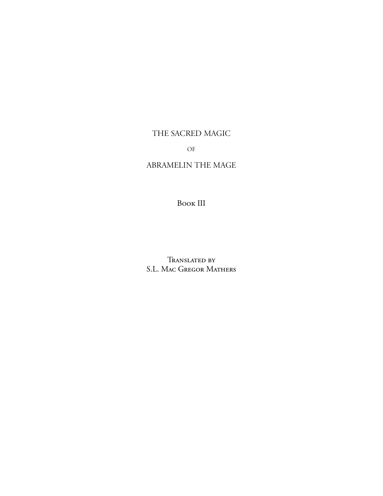OF

## Abramelin the Mage

Book III

Translated by S.L. MAC GREGOR MATHERS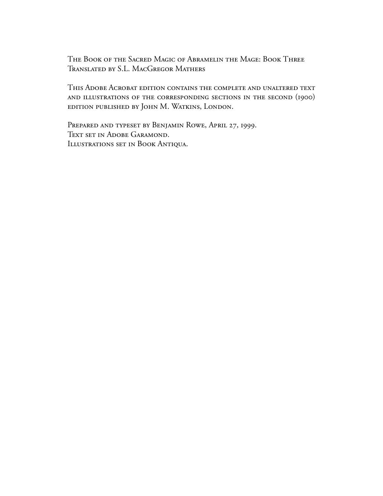The Book of the Sacred Magic of Abramelin the Mage: Book Three Translated by S.L. MacGregor Mathers

This Adobe Acrobat edition contains the complete and unaltered text and illustrations of the corresponding sections in the second (1900) edition published by John M. Watkins, London.

PREPARED AND TYPESET BY BENJAMIN ROWE, APRIL 27, 1999. Text set in Adobe Garamond. Illustrations set in Book Antiqua.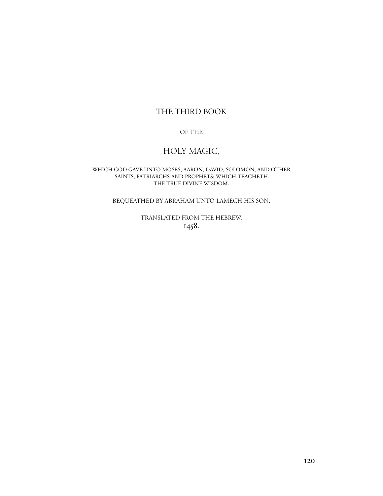## THE THIRD BOOK

#### OF THE

## HOLY MAGIC,

#### WHICH GOD GAVE UNTO MOSES, AARON, DAVID, SOLOMON, AND OTHER SAINTS, PATRIARCHS AND PROPHETS; WHICH TEACHETH THE TRUE DIVINE WISDOM.

#### BEQUEATHED BY ABRAHAM UNTO LAMECH HIS SON.

TRANSLATED FROM THE HEBREW. 1458.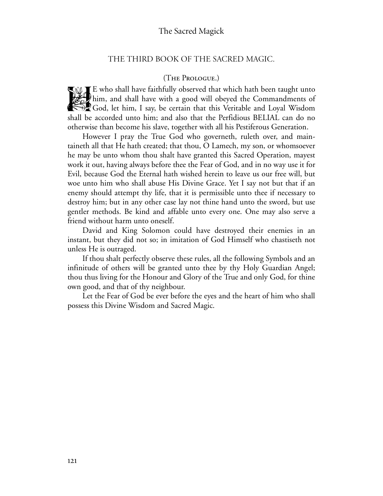#### THE THIRD BOOK OF THE sACRED MAGIC.

#### (The Prologue.)

E who shall have faithfully observed that which hath been taught unto him, and shall have with a good will obeyed the Commandments of God, let him, I say, be certain that this Veritable and Loyal Wisdom shall be accorded unto him; and also that the Perfidious BELIAL can do no otherwise than become his slave, together with all his Pestiferous Generation. No.

However I pray the True God who governeth, ruleth over, and maintaineth all that He hath created; that thou, O Lamech, my son, or whomsoever he may be unto whom thou shalt have granted this Sacred Operation, mayest work it out, having always before thee the Fear of God, and in no way use it for Evil, because God the Eternal hath wished herein to leave us our free will, but woe unto him who shall abuse His Divine Grace. Yet I say not but that if an enemy should attempt thy life, that it is permissible unto thee if necessary to destroy him; but in any other case lay not thine hand unto the sword, but use gentler methods. Be kind and affable unto every one. One may also serve a friend without harm unto oneself.

David and King Solomon could have destroyed their enemies in an instant, but they did not so; in imitation of God Himself who chastiseth not unless He is outraged.

If thou shalt perfectly observe these rules, all the following Symbols and an infinitude of others will be granted unto thee by thy Holy Guardian Angel; thou thus living for the Honour and Glory of the True and only God, for thine own good, and that of thy neighbour.

Let the Fear of God be ever before the eyes and the heart of him who shall possess this Divine Wisdom and Sacred Magic.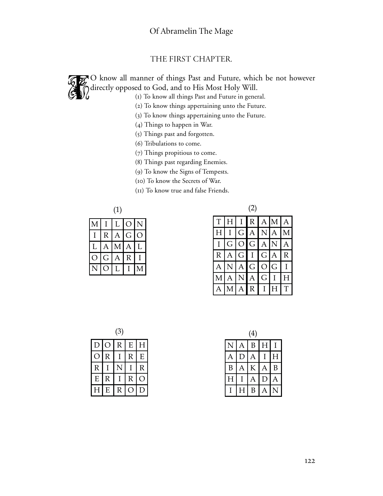## Of Abramelin The Mage

#### THE FIRST CHAPTER.



- (2) To know things appertaining unto the Future.
- () To know things appertaining unto the Future.
- (4) Things to happen in War.
- () Things past and forgotten.
- (6) Tribulations to come.
- (7) Things propitious to come.
- (8) Things past regarding Enemies.
- () To know the Signs of Tempests.
- (10) To know the Secrets of War.
- (II) To know true and false Friends.



| M <sub>l</sub>          | I L            |                 | O N                      |                |
|-------------------------|----------------|-----------------|--------------------------|----------------|
| $\mathbf{I}$            | $\mathbb{R}$   |                 | A G                      | $\overline{O}$ |
| L                       |                | $A$ $M$ $A$ $L$ |                          |                |
| $\overline{\mathrm{o}}$ | G              | $A$ $R$ $I$     |                          |                |
| N <sub>1</sub>          | $\overline{O}$ | l L             | $\mathsf{L}\mathsf{L}^+$ | M              |

| (2) |  |  |  |                             |  |  |  |  |  |
|-----|--|--|--|-----------------------------|--|--|--|--|--|
|     |  |  |  | $T$ $H$ $I$ $R$ $A$ $M$ $A$ |  |  |  |  |  |
|     |  |  |  | $H$ $I$ $G$ $A$ $N$ $A$ $M$ |  |  |  |  |  |
|     |  |  |  | I G O G A N A               |  |  |  |  |  |
|     |  |  |  | $R$ $A$ $G$ $I$ $G$ $A$ $R$ |  |  |  |  |  |
|     |  |  |  | A[N]A[G]O[G]I               |  |  |  |  |  |
|     |  |  |  | M A N A G I H               |  |  |  |  |  |
|     |  |  |  | $A$ M $A$ R I H T           |  |  |  |  |  |

| (3) |   |   |             |   |  |  |  |  |
|-----|---|---|-------------|---|--|--|--|--|
|     |   | R | Ε           | H |  |  |  |  |
|     | R |   | R           | E |  |  |  |  |
| R   |   | N |             | R |  |  |  |  |
| Ε   | R |   | $\mathbb R$ |   |  |  |  |  |
|     | E | R |             |   |  |  |  |  |

| $\left( 4\right)$ |             |             |                           |   |  |  |  |  |  |
|-------------------|-------------|-------------|---------------------------|---|--|--|--|--|--|
| N                 | Α           | $\mathbf B$ | $\boldsymbol{\mathrm{H}}$ | I |  |  |  |  |  |
| A                 |             | Α           | Ι                         | Η |  |  |  |  |  |
| B                 | Α           | $\rm K$     | Α                         | B |  |  |  |  |  |
| Η                 | $\mathbf I$ | A           |                           |   |  |  |  |  |  |
| L                 | H           | B           |                           |   |  |  |  |  |  |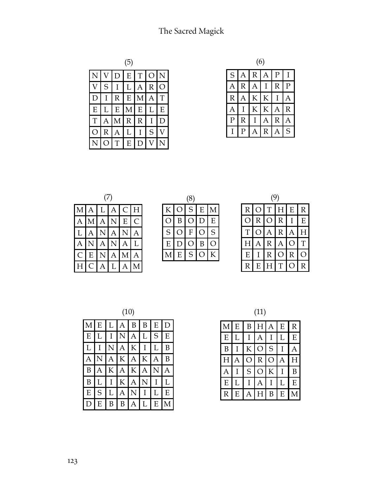|  |  | NVDETON             |  |  |
|--|--|---------------------|--|--|
|  |  | $V\ S\ I\ L\ A\ R\$ |  |  |
|  |  | $D$ I R E M A T     |  |  |
|  |  | E L E M E L E       |  |  |
|  |  | $T$ A M R R I D     |  |  |
|  |  | O R A L I S V       |  |  |
|  |  | NOTEDV              |  |  |

(6)

|                             | $S$ $A$ $R$ $A$ $P$ $I$ |  |                             |  |  |  |  |  |  |
|-----------------------------|-------------------------|--|-----------------------------|--|--|--|--|--|--|
|                             | A R A I R P             |  |                             |  |  |  |  |  |  |
| $R$ $A$ $K$ $K$ $I$ $I$ $A$ |                         |  |                             |  |  |  |  |  |  |
|                             | $A$ I K K A R           |  |                             |  |  |  |  |  |  |
| P                           |                         |  | $R$   $I$   $A$   $R$   $A$ |  |  |  |  |  |  |
|                             | P                       |  | $A \, R \, A \, S$          |  |  |  |  |  |  |

| (7)                                         |  |  |  |  |  |  |  |  |  |
|---------------------------------------------|--|--|--|--|--|--|--|--|--|
| M[A]L[A]C]H                                 |  |  |  |  |  |  |  |  |  |
| $A$ M $A$ N $E$ C                           |  |  |  |  |  |  |  |  |  |
| L A N A N A                                 |  |  |  |  |  |  |  |  |  |
| $A \big  N \big  A \big  N \big  A \big  L$ |  |  |  |  |  |  |  |  |  |
| CE[N]A[M]A                                  |  |  |  |  |  |  |  |  |  |
| H C A L A M                                 |  |  |  |  |  |  |  |  |  |

| (8) |   |   |              |             |  |  |  |  |
|-----|---|---|--------------|-------------|--|--|--|--|
| K   |   | S | Ε            | $\mathbf M$ |  |  |  |  |
|     | B |   |              | E           |  |  |  |  |
| S   |   | F |              | S           |  |  |  |  |
| E   |   |   | $\mathbf{B}$ |             |  |  |  |  |
|     | E | S |              |             |  |  |  |  |

| (9)            |                |                |                           |                |              |  |  |  |  |
|----------------|----------------|----------------|---------------------------|----------------|--------------|--|--|--|--|
| $\mathbb{R}$   | $\overline{O}$ | $\Gamma$       | H/E                       |                | $\mathbb{R}$ |  |  |  |  |
|                | $\mathbb{R}$   | O[R]I          |                           |                | E            |  |  |  |  |
| T              |                | $\overline{A}$ | $\vert R \vert$           | $\overline{A}$ |              |  |  |  |  |
| $\overline{H}$ |                | $\overline{R}$ | $\mathsf{I}_{\mathsf{A}}$ | $\bigcirc$     | $\mathbf T$  |  |  |  |  |
| E              |                | $\mathbb R$    | I O                       | $\mathbb R$    | $\circ$      |  |  |  |  |
| R              | E.             | H              | T                         |                | R            |  |  |  |  |

(10)

| M E L A B B E D                                                                                                                                             |  |  |  |  |
|-------------------------------------------------------------------------------------------------------------------------------------------------------------|--|--|--|--|
| E L I N A L S E                                                                                                                                             |  |  |  |  |
| $\boxed{\begin{array}{c c c c c} \hline \textbf{L} & \textbf{I} & \textbf{N} & \textbf{A} & \textbf{K} & \textbf{I} & \textbf{L} & \textbf{B} \end{array}}$ |  |  |  |  |
| $A \big[\text{N} \big] A \big[\text{K} \big] A \big[\text{K} \big] A \big] B$                                                                               |  |  |  |  |
| $B$ A K A K A N A                                                                                                                                           |  |  |  |  |
| B L I K A N I L                                                                                                                                             |  |  |  |  |
| E[S L A N I L]E                                                                                                                                             |  |  |  |  |
| D E B B A L E M                                                                                                                                             |  |  |  |  |

(11)

|  |  | MEBHAER                     |  |
|--|--|-----------------------------|--|
|  |  | E L I A I L E               |  |
|  |  | B I K O S I A               |  |
|  |  | $H$ $A$ $O$ $R$ $O$ $A$ $H$ |  |
|  |  | $A$ $I$ $S$ $O$ $K$ $I$ $B$ |  |
|  |  | E L I A I L E               |  |
|  |  | R E  A  H B E  M            |  |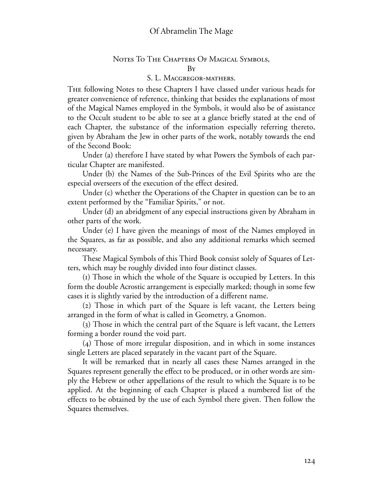#### Of Abramelin The Mage

#### NOTES TO THE CHAPTERS OF MAGICAL SYMBOLS,

#### By

#### S. L. Macgregor-mathers.

The following Notes to these Chapters I have classed under various heads for greater convenience of reference, thinking that besides the explanations of most of the Magical Names employed in the Symbols, it would also be of assistance to the Occult student to be able to see at a glance briefly stated at the end of each Chapter, the substance of the information especially referring thereto, given by Abraham the Jew in other parts of the work, notably towards the end of the Second Book:

Under (a) therefore I have stated by what Powers the Symbols of each particular Chapter are manifested.

Under (b) the Names of the Sub-Princes of the Evil Spirits who are the especial overseers of the execution of the effect desired.

Under (c) whether the Operations of the Chapter in question can be to an extent performed by the "Familiar Spirits," or not.

Under (d) an abridgment of any especial instructions given by Abraham in other parts of the work.

Under (e) I have given the meanings of most of the Names employed in the Squares, as far as possible, and also any additional remarks which seemed necessary.

These Magical Symbols of this Third Book consist solely of Squares of Letters, which may be roughly divided into four distinct classes.

() Those in which the whole of the Square is occupied by Letters. In this form the double Acrostic arrangement is especially marked; though in some few cases it is slightly varied by the introduction of a different name.

 $(2)$  Those in which part of the Square is left vacant, the Letters being arranged in the form of what is called in Geometry, a Gnomon.

(3) Those in which the central part of the Square is left vacant, the Letters forming a border round the void part.

 $(4)$  Those of more irregular disposition, and in which in some instances single Letters are placed separately in the vacant part of the Square.

It will be remarked that in nearly all cases these Names arranged in the Squares represent generally the effect to be produced, or in other words are simply the Hebrew or other appellations of the result to which the Square is to be applied. At the beginning of each Chapter is placed a numbered list of the effects to be obtained by the use of each Symbol there given. Then follow the Squares themselves.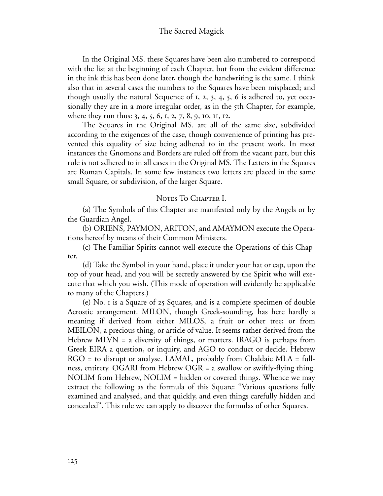In the Original MS. these Squares have been also numbered to correspond with the list at the beginning of each Chapter, but from the evident difference in the ink this has been done later, though the handwriting is the same. I think also that in several cases the numbers to the Squares have been misplaced; and though usually the natural Sequence of  $I$ ,  $2$ ,  $3$ ,  $4$ ,  $5$ ,  $6$  is adhered to, yet occasionally they are in a more irregular order, as in the 5th Chapter, for example, where they run thus: 3, 4, 5, 6, 1, 2, 7, 8, 9, 10, 11, 12.

The Squares in the Original MS. are all of the same size, subdivided according to the exigences of the case, though convenience of printing has prevented this equality of size being adhered to in the present work. In most instances the Gnomons and Borders are ruled off from the vacant part, but this rule is not adhered to in all cases in the Original MS. The Letters in the Squares are Roman Capitals. In some few instances two letters are placed in the same small Square, or subdivision, of the larger Square.

#### NOTES TO CHAPTER I.

(a) The Symbols of this Chapter are manifested only by the Angels or by the Guardian Angel.

(b) ORIENS, PAYMON, ARITON, and AMAYMON execute the Operations hereof by means of their Common Ministers.

(c) The Familiar Spirits cannot well execute the Operations of this Chapter.

(d) Take the Symbol in your hand, place it under your hat or cap, upon the top of your head, and you will be secretly answered by the Spirit who will execute that which you wish. (This mode of operation will evidently be applicable to many of the Chapters.)

(e) No.  $\bar{I}$  is a Square of 25 Squares, and is a complete specimen of double Acrostic arrangement. MILON, though Greek-sounding, has here hardly a meaning if derived from either MILOS, a fruit or other tree; or from MEILON, a precious thing, or article of value. It seems rather derived from the Hebrew MLVN = a diversity of things, or matters. IRAGO is perhaps from Greek EIRA a question, or inquiry, and AGO to conduct or decide. Hebrew RGO = to disrupt or analyse. LAMAL, probably from Chaldaic MLA = fullness, entirety. OGARI from Hebrew OGR = a swallow or swiftly-flying thing. NOLIM from Hebrew, NOLIM = hidden or covered things. Whence we may extract the following as the formula of this Square: "Various questions fully examined and analysed, and that quickly, and even things carefully hidden and concealed". This rule we can apply to discover the formulas of other Squares.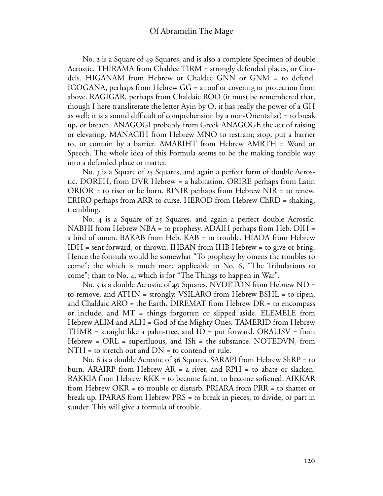#### Of Abramelin The Mage

No. 2 is a Square of 49 Squares, and is also a complete Specimen of double Acrostic. THIRAMA from Chaldee TIRM = strongly defended places, or Citadels. HIGANAM from Hebrew or Chaldee GNN or GNM = to defend. IGOGANA, perhaps from Hebrew GG = a roof or covering or protection from above. RAGIGAR, perhaps from Chaldaic ROO (it must be remembered that, though I here transliterate the letter Ayin by O, it has really the power of a GH as well; it is a sound difficult of comprehension by a non-Orientalist) = to break up, or breach. ANAGOGI probably from Greek ANAGOGE the act of raising or elevating. MANAGIH from Hebrew MNO to restrain; stop, put a barrier to, or contain by a barrier. AMARIHT from Hebrew AMRTH = Word or Speech. The whole idea of this Formula seems to be the making forcible way into a defended place or matter.

No. 3 is a Square of 25 Squares, and again a perfect form of double Acrostic. DOREH, from DVR Hebrew = a habitation. ORIRE perhaps from Latin ORIOR = to riser or be born. RINIR perhaps from Hebrew NIR = to renew. ERIRO perhaps from ARR to curse. HEROD from Hebrew ChRD = shaking, trembling.

No. 4 is a Square of 25 Squares, and again a perfect double Acrostic. NABHI from Hebrew NBA = to prophesy. ADAIH perhaps from Heb. DIH = a bird of omen. BAKAB from Heb. KAB = in trouble. HIADA from Hebrew IDH = sent forward, or thrown. IHBAN from IHB Hebrew = to give or bring. Hence the formula would be somewhat "To prophesy by omens the troubles to come"; the which is much more applicable to No. 6, "The Tribulations to come"; than to No. 4, which is for "The Things to happen in War".

No. 5 is a double Acrostic of 49 Squares. NVDETON from Hebrew  $ND =$ to remove, and ATHN = strongly. VSILARO from Hebrew BSHL = to ripen, and Chaldaic ARO = the Earth. DIREMAT from Hebrew DR = to encompass or include, and MT = things forgotten or slipped aside. ELEMELE from Hebrew ALIM and ALH = God of the Mighty Ones. TAMERID from Hebrew THMR = straight like a palm-tree, and ID = put forward. ORALISV = from Hebrew = ORL = superfluous, and ISh = the substance. NOTEDVN, from  $NTH =$  to stretch out and  $DN =$  to contend or rule.

No. 6 is a double Acrostic of  $36$  Squares. SARAPI from Hebrew ShRP = to burn. ARAIRP from Hebrew AR = a river, and RPH = to abate or slacken. RAKKIA from Hebrew RKK = to become faint, to become softened. AIKKAR from Hebrew OKR = to trouble or disturb. PRIARA from PRR = to shatter or break up. IPARAS from Hebrew PRS = to break in pieces, to divide, or part in sunder. This will give a formula of trouble.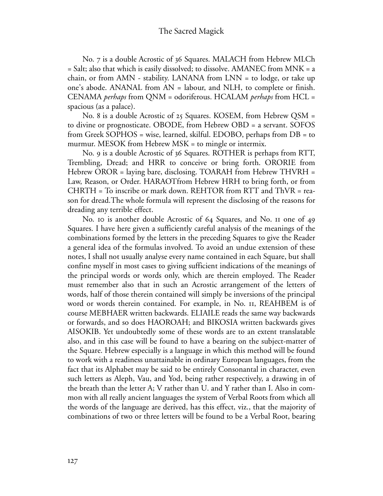No. 7 is a double Acrostic of 36 Squares. MALACH from Hebrew MLCh = Salt; also that which is easily dissolved; to dissolve. AMANEC from MNK = a chain, or from AMN - stability. LANANA from LNN = to lodge, or take up one's abode. ANANAL from AN = labour, and NLH, to complete or finish. CENAMA *perhaps* from QNM = odoriferous. HCALAM *perhaps* from HCL = spacious (as a palace).

No. 8 is a double Acrostic of 25 Squares. KOSEM, from Hebrew QSM = to divine or prognosticate. OBODE, from Hebrew OBD = a servant. SOFOS from Greek SOPHOS = wise, learned, skilful. EDOBO, perhaps from DB = to murmur. MESOK from Hebrew MSK = to mingle or intermix.

No. 9 is a double Acrostic of 36 Squares. ROTHER is perhaps from RTT, Trembling, Dread; and HRR to conceive or bring forth. ORORIE from Hebrew OROR = laying bare, disclosing. TOARAH from Hebrew THVRH = Law, Reason, or Order. HARAOTfrom Hebrew HRH to bring forth, or from CHRTH = To inscribe or mark down. REHTOR from RTT and ThVR = reason for dread.The whole formula will represent the disclosing of the reasons for dreading any terrible effect.

No. 10 is another double Acrostic of 64 Squares, and No. II one of 49 Squares. I have here given a sufficiently careful analysis of the meanings of the combinations formed by the letters in the preceding Squares to give the Reader a general idea of the formulas involved. To avoid an undue extension of these notes, I shall not usually analyse every name contained in each Square, but shall confine myself in most cases to giving sufficient indications of the meanings of the principal words or words only, which are therein employed. The Reader must remember also that in such an Acrostic arrangement of the letters of words, half of those therein contained will simply be inversions of the principal word or words therein contained. For example, in No. II, REAHBEM is of course MEBHAER written backwards. ELIAILE reads the same way backwards or forwards, and so does HAOROAH; and BIKOSIA written backwards gives AISOKIB. Yet undoubtedly some of these words are to an extent translatable also, and in this case will be found to have a bearing on the subject-matter of the Square. Hebrew especially is a language in which this method will be found to work with a readiness unattainable in ordinary European languages, from the fact that its Alphabet may be said to be entirely Consonantal in character, even such letters as Aleph, Vau, and Yod, being rather respectively, a drawing in of the breath than the letter A; V rather than U. and Y rather than I. Also in common with all really ancient languages the system of Verbal Roots from which all the words of the language are derived, has this effect, viz., that the majority of combinations of two or three letters will be found to be a Verbal Root, bearing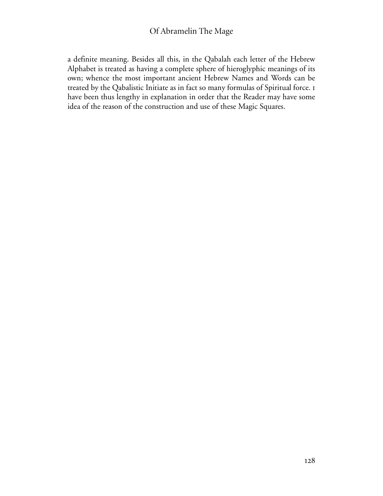# Of Abramelin The Mage

a definite meaning. Besides all this, in the Qabalah each letter of the Hebrew Alphabet is treated as having a complete sphere of hieroglyphic meanings of its own; whence the most important ancient Hebrew Names and Words can be treated by the Qabalistic Initiate as in fact so many formulas of Spiritual force. have been thus lengthy in explanation in order that the Reader may have some idea of the reason of the construction and use of these Magic Squares.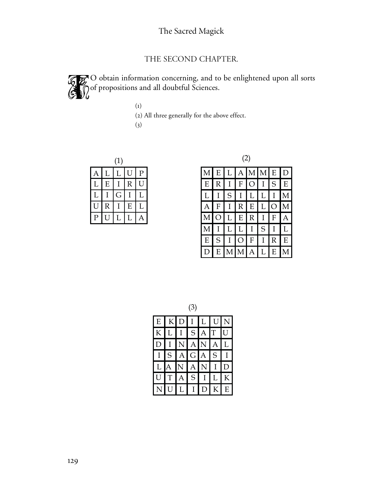### THE SECOND CHAPTER.



- $\left(1\right)$
- (2) All three generally for the above effect.
- $(3)$

| (1) |   |  |   |   |  |
|-----|---|--|---|---|--|
|     |   |  |   | Р |  |
|     | Ε |  | R |   |  |
|     |   |  |   |   |  |
|     | R |  | E |   |  |
|     |   |  |   |   |  |

|  |  | $ME[L]$ A $M$ $ME$ $D$                        |  |
|--|--|-----------------------------------------------|--|
|  |  | E[R I F]O I S E                               |  |
|  |  | $L$   $I$   $S$   $I$   $L$   $L$   $I$   $M$ |  |
|  |  | $A$ $F$ $I$ $R$ $E$ $L$ $O$ $M$               |  |
|  |  | MOLERIFA                                      |  |
|  |  | $M$   $I$   $L$   $L$   $I$   $S$   $I$   $L$ |  |
|  |  | E[S I O]F I R E                               |  |
|  |  | D E M M A L E M                               |  |

(3)

|  | $E$ KDILUN      |  |  |
|--|-----------------|--|--|
|  | $KLII$ SATU     |  |  |
|  | $D$ I N A N A L |  |  |
|  | $I$ SAGASI      |  |  |
|  | LANANID         |  |  |
|  | UTASILK         |  |  |
|  | NULIDKE         |  |  |
|  |                 |  |  |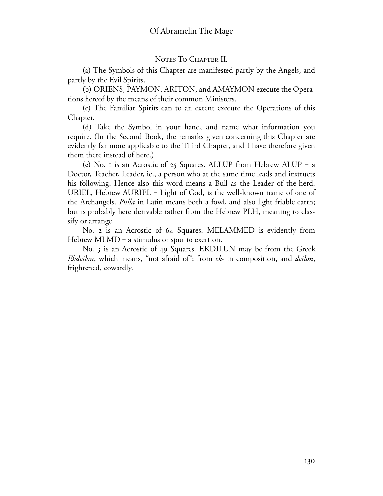#### NOTES TO CHAPTER II.

(a) The Symbols of this Chapter are manifested partly by the Angels, and partly by the Evil Spirits.

(b) ORIENS, PAYMON, ARITON, and AMAYMON execute the Operations hereof by the means of their common Ministers.

(c) The Familiar Spirits can to an extent execute the Operations of this Chapter.

(d) Take the Symbol in your hand, and name what information you require. (In the Second Book, the remarks given concerning this Chapter are evidently far more applicable to the Third Chapter, and I have therefore given them there instead of here.)

(e) No. I is an Acrostic of  $25$  Squares. ALLUP from Hebrew ALUP = a Doctor, Teacher, Leader, ie., a person who at the same time leads and instructs his following. Hence also this word means a Bull as the Leader of the herd. URIEL, Hebrew AURIEL = Light of God, is the well-known name of one of the Archangels. *Pulla* in Latin means both a fowl, and also light friable earth; but is probably here derivable rather from the Hebrew PLH, meaning to classify or arrange.

No. 2 is an Acrostic of 64 Squares. MELAMMED is evidently from Hebrew MLMD = a stimulus or spur to exertion.

No. 3 is an Acrostic of 49 Squares. EKDILUN may be from the Greek *Ekdeilon*, which means, "not afraid of"; from *ek-* in composition, and *deilon*, frightened, cowardly.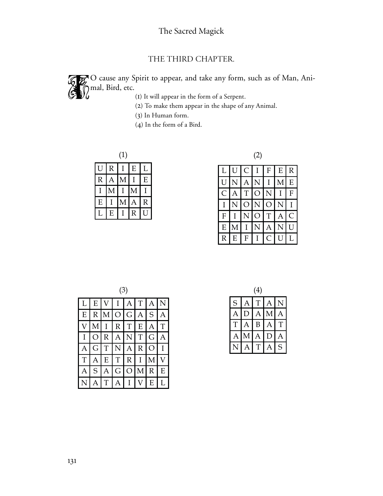## THE THIRD CHAPTER.

O cause any Spirit to appear, and take any form, such as of Man, Ani-<br>
Capual, Bird, etc.<br>
(1) It will appear in the form of a Serpent. mal, Bird, etc.

() It will appear in the form of a Serpent.

(2) To make them appear in the shape of any Animal.

(3) In Human form.

(4) In the form of a Bird.

| Ŭ | R | I | E              |   |
|---|---|---|----------------|---|
| R | Α | M | I              | E |
|   | М | I | M              |   |
| E |   | M | A              | R |
|   | E |   | $\overline{R}$ |   |

| L U C I F E R                        |  |  |  |
|--------------------------------------|--|--|--|
| U[N A N I M E                        |  |  |  |
| C[A T O N I F                        |  |  |  |
| I N O N O N I                        |  |  |  |
| $\overline{F}$ I   N   O   T   A   C |  |  |  |
| $E$ MINANU                           |  |  |  |
| $R$ $E$ $F$ $I$ $C$ $U$ $L$          |  |  |  |

(3)

|                     |  |  | L E V I A T A N                 |  |
|---------------------|--|--|---------------------------------|--|
|                     |  |  | E[R]MO[G]A[S]A                  |  |
|                     |  |  | $V$ MIRTEAT                     |  |
|                     |  |  | $I$ ORANTGA                     |  |
|                     |  |  | $A$ GTNAROI                     |  |
|                     |  |  | $T$ $A$ $E$ $T$ $R$ $I$ $M$ $V$ |  |
| $A$ S $A$ G O M R E |  |  |                                 |  |
| NA[T A I V]E L      |  |  |                                 |  |

| $\left( 4\right)$ |                |                |     |   |  |
|-------------------|----------------|----------------|-----|---|--|
| S.                | A              | T A            |     | N |  |
| Α                 | D              | $\mathbf{A}$   | M   | Α |  |
| $\mathbf T$       | $\overline{A}$ | $\overline{B}$ | l A | T |  |
| Α                 | $\mathbf M$    | $\overline{A}$ | l D |   |  |
|                   | А              | T              | А   | S |  |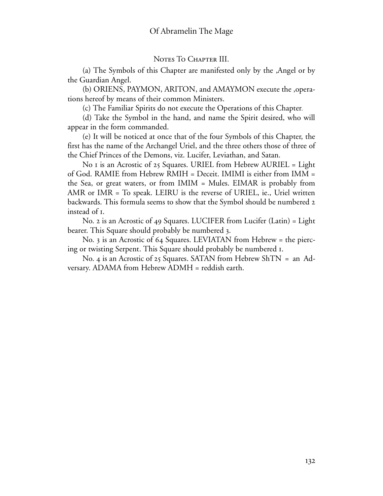NOTES TO CHAPTER III.

(a) The Symbols of this Chapter are manifested only by the ,Angel or by the Guardian Angel.

(b) ORIENS, PAYMON, ARITON, and AMAYMON execute the ,operations hereof by means of their common Ministers.

(c) The Familiar Spirits do not execute the Operations of this Chapter.

(d) Take the Symbol in the hand, and name the Spirit desired, who will appear in the form commanded.

(e) It will be noticed at once that of the four Symbols of this Chapter, the first has the name of the Archangel Uriel, and the three others those of three of the Chief Princes of the Demons, viz. Lucifer, Leviathan, and Satan.

No I is an Acrostic of  $25$  Squares. URIEL from Hebrew AURIEL = Light of God. RAMIE from Hebrew RMIH = Deceit. IMIMI is either from IMM = the Sea, or great waters, or from IMIM = Mules. EIMAR is probably from AMR or IMR = To speak. LEIRU is the reverse of URIEL, ie., Uriel written backwards. This formula seems to show that the Symbol should be numbered instead of I.

No. 2 is an Acrostic of 49 Squares. LUCIFER from Lucifer (Latin) = Light bearer. This Square should probably be numbered 3.

No. 3 is an Acrostic of 64 Squares. LEVIATAN from Hebrew = the piercing or twisting Serpent. This Square should probably be numbered .

No. 4 is an Acrostic of 25 Squares. SATAN from Hebrew  $\text{ShTN} = \text{an Ad}$ versary. ADAMA from Hebrew ADMH = reddish earth.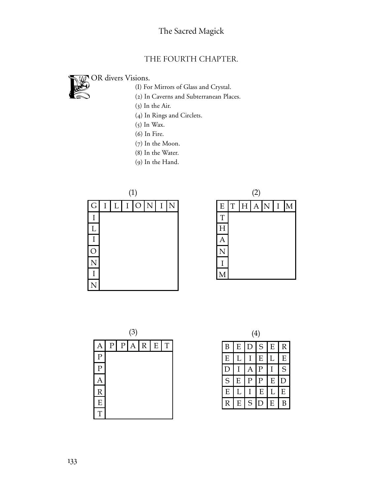# THE FOURTH CHAPTER.



(I) For Mirrors of Glass and Crystal.

- (2) In Caverns and Subterranean Places.
- (3) In the Air.
- (4) In Rings and Circlets.
- $(5)$  In Wax.
- $(6)$  In Fire.
- $(7)$  In the Moon.
- (8) In the Water.
- (9) In the Hand.







| $\left( 4\right)$ |   |              |              |   |             |  |
|-------------------|---|--------------|--------------|---|-------------|--|
| B                 | E | D            | S            | E | $\mathbb R$ |  |
| E                 |   | Ι            | E            |   | E           |  |
|                   | I | Α            | Ρ            | I | S           |  |
| S                 | E | $\mathbf{P}$ | $\mathbf{P}$ | E |             |  |
| E                 |   | I            | E            |   | E           |  |
| $\mathbb{R}$      | E | Ś            |              | E | B           |  |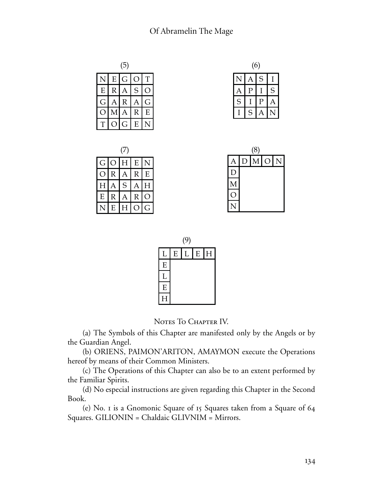## Of Abramelin The Mage

| (5) |   |                |   |             |  |
|-----|---|----------------|---|-------------|--|
| N   | E | $\overline{G}$ |   | $\mathbf T$ |  |
| Ε   | R |                | S |             |  |
|     |   | R              |   |             |  |
|     |   |                | R | Е           |  |
|     |   |                | Н |             |  |

| (6)            |   |   |   |  |  |  |
|----------------|---|---|---|--|--|--|
| $\mathbf{I}%$  |   | S |   |  |  |  |
|                |   |   | S |  |  |  |
| $\overline{S}$ |   |   |   |  |  |  |
|                | ς |   |   |  |  |  |

| G                       |              | H | E            | N |  |  |  |
|-------------------------|--------------|---|--------------|---|--|--|--|
|                         | $\mathbb{R}$ | А | $\mathbb{R}$ | Ε |  |  |  |
| $\overline{\mathrm{H}}$ | A            | S |              | H |  |  |  |
| Ε                       | R            |   | R            |   |  |  |  |
|                         | Ε            | H |              |   |  |  |  |

| (8)      |   |             |                |           |  |  |
|----------|---|-------------|----------------|-----------|--|--|
| Α        | D | $\mathbf M$ | $\overline{O}$ | ${\bf N}$ |  |  |
|          |   |             |                |           |  |  |
| M        |   |             |                |           |  |  |
|          |   |             |                |           |  |  |
| $\Gamma$ |   |             |                |           |  |  |

| (9) |   |   |   |   |  |  |
|-----|---|---|---|---|--|--|
| L   | E | L | E | H |  |  |
| E   |   |   |   |   |  |  |
|     |   |   |   |   |  |  |
| E   |   |   |   |   |  |  |
| Η   |   |   |   |   |  |  |

NOTES TO CHAPTER IV.

(a) The Symbols of this Chapter are manifested only by the Angels or by the Guardian Angel.

(b) ORIENS, PAIMON'ARITON, AMAYMON execute the Operations hereof by means of their Common Ministers.

(c) The Operations of this Chapter can also be to an extent performed by the Familiar Spirits.

(d) No especial instructions are given regarding this Chapter in the Second Book.

(e) No. I is a Gnomonic Square of  $I_5$  Squares taken from a Square of  $64$ Squares. GILIONIN = Chaldaic GLIVNIM = Mirrors.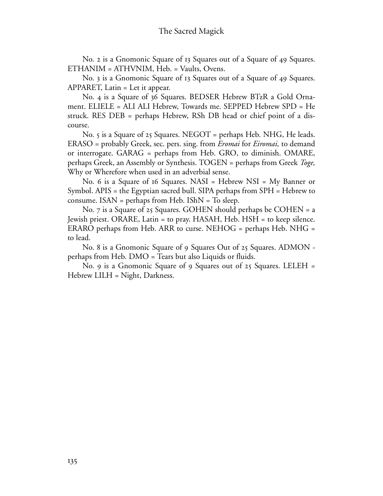No. 2 is a Gnomonic Square of 13 Squares out of a Square of 49 Squares. ETHANIM = ATHVNIM, Heb. = Vaults, Ovens.

No. 3 is a Gnomonic Square of 13 Squares out of a Square of 49 Squares. APPARET, Latin = Let it appear.

No. 4 is a Square of 36 Squares. BEDSER Hebrew BTzR a Gold Ornament. ELIELE = ALI ALI Hebrew, Towards me. SEPPED Hebrew SPD = He struck. RES DEB = perhaps Hebrew, RSh DB head or chief point of a discourse.

No.  $\zeta$  is a Square of 2 $\zeta$  Squares. NEGOT = perhaps Heb. NHG, He leads. ERASO = probably Greek, sec. pers. sing. from *Eromai* for *Eiromai,* to demand or interrogate. GARAG = perhaps from Heb. GRO, to diminish. OMARE, perhaps Greek, an Assembly or Synthesis. TOGEN = perhaps from Greek *Toge,* Why or Wherefore when used in an adverbial sense.

No. 6 is a Square of 16 Squares. NASI = Hebrew NSI = My Banner or Symbol. APIS = the Egyptian sacred bull. SIPA perhaps from SPH = Hebrew to consume. ISAN = perhaps from Heb. IShN = To sleep.

No.  $\frac{7}{5}$  is a Square of 25 Squares. GOHEN should perhaps be COHEN = a Jewish priest. ORARE, Latin = to pray. HASAH, Heb. HSH = to keep silence. ERARO perhaps from Heb. ARR to curse. NEHOG = perhaps Heb. NHG = to lead.

No. 8 is a Gnomonic Square of 9 Squares Out of 25 Squares. ADMON perhaps from Heb. DMO = Tears but also Liquids or fluids.

No. 9 is a Gnomonic Square of 9 Squares out of  $25$  Squares. LELEH = Hebrew LILH = Night, Darkness.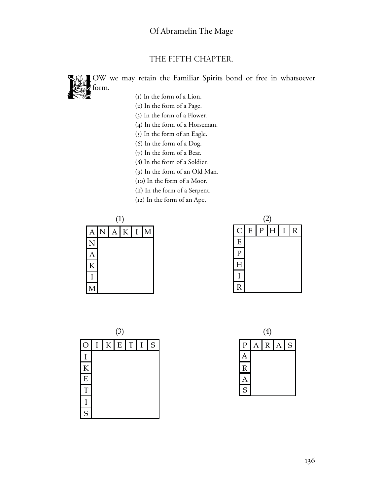## THE FIFTH CHAPTER.

OW we may retain the Familiar Spirits bond or free in whatsoever .<br>orm. No.

- () In the form of a Lion.
- (2) In the form of a Page.
- () In the form of a Flower.
- (4) In the form of a Horseman.
- () In the form of an Eagle.
- (6) In the form of a Dog.
- $(7)$  In the form of a Bear.
- (8) In the form of a Soldier.
- () In the form of an Old Man.
- (10) In the form of a Moor.
- (if) In the form of a Serpent.
- (12) In the form of an Ape,







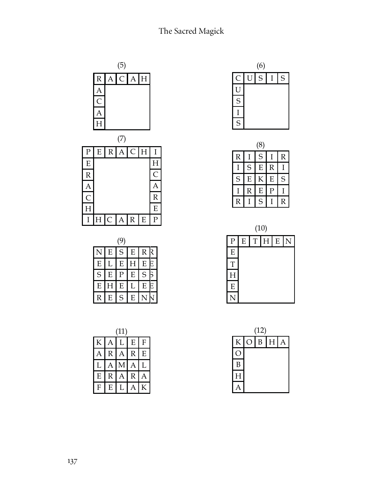

|                |           |              | v.           |              |   |              |
|----------------|-----------|--------------|--------------|--------------|---|--------------|
| $\mathbf P$    | ${\bf E}$ | $\mathbb{R}$ | $\mathbf{A}$ | $\mathsf{C}$ | H | Ι            |
| E              |           |              |              |              |   | H            |
| $\mathbb R$    |           |              |              |              |   | C            |
|                |           |              |              |              |   |              |
| Г              |           |              |              |              |   | $\mathbb{R}$ |
| $\overline{H}$ |           |              |              |              |   | E            |
|                | H         | $\mathsf{C}$ | A            | ${\bf R}$    | E | $\mathbf P$  |

| $\mathbf N$ | E | S              | Ε | R | ₹  |
|-------------|---|----------------|---|---|----|
| E           |   | E              |   | Ε | H  |
| S           | Ε |                | Е | S | יר |
| E           |   | E              |   | E | Н  |
| R           | E | $\overline{S}$ | E |   |    |

| (11) |   |             |   |   |  |  |  |
|------|---|-------------|---|---|--|--|--|
| K    | A |             | E | F |  |  |  |
|      | R | Ą           | R | E |  |  |  |
|      |   |             |   |   |  |  |  |
|      | Α | $\mathbf M$ | A |   |  |  |  |
| E    | R |             | R |   |  |  |  |

|   | (6) |   |  |   |  |  |  |
|---|-----|---|--|---|--|--|--|
|   | U   | S |  | S |  |  |  |
|   |     |   |  |   |  |  |  |
| S |     |   |  |   |  |  |  |
|   |     |   |  |   |  |  |  |
| S |     |   |  |   |  |  |  |

| (8)         |   |   |   |   |  |  |
|-------------|---|---|---|---|--|--|
| $\mathbb R$ | I | S | I | R |  |  |
|             | S | E | R |   |  |  |
| Ś           | E | K | E | S |  |  |
|             | R | E | P |   |  |  |
| R           |   | Ś |   | R |  |  |

|             | (10) |   |   |             |           |  |  |
|-------------|------|---|---|-------------|-----------|--|--|
| $\mathbf P$ | E    | T | H | $\mathbf E$ | ${\bf N}$ |  |  |
| E           |      |   |   |             |           |  |  |
| T           |      |   |   |             |           |  |  |
| H           |      |   |   |             |           |  |  |
| E           |      |   |   |             |           |  |  |
|             |      |   |   |             |           |  |  |

| (12) |  |   |   |   |  |  |
|------|--|---|---|---|--|--|
| K    |  | B | H | Α |  |  |
|      |  |   |   |   |  |  |
| B    |  |   |   |   |  |  |
| Η    |  |   |   |   |  |  |
|      |  |   |   |   |  |  |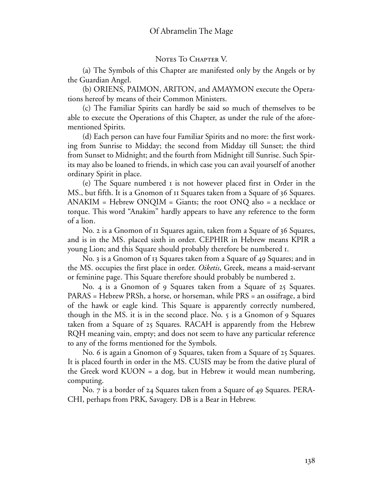#### NOTES TO CHAPTER V.

(a) The Symbols of this Chapter are manifested only by the Angels or by the Guardian Angel.

(b) ORIENS, PAIMON, ARITON, and AMAYMON execute the Operations hereof by means of their Common Ministers.

(c) The Familiar Spirits can hardly be said so much of themselves to be able to execute the Operations of this Chapter, as under the rule of the aforementioned Spirits.

(d) Each person can have four Familiar Spirits and no more: the first working from Sunrise to Midday; the second from Midday till Sunset; the third from Sunset to Midnight; and the fourth from Midnight till Sunrise. Such Spirits may also be loaned to friends, in which case you can avail yourself of another ordinary Spirit in place.

(e) The Square numbered is not however placed first in Order in the MS., but fifth. It is a Gnomon of II Squares taken from a Square of 36 Squares. ANAKIM = Hebrew ONQIM = Giants; the root ONQ also = a necklace or torque. This word "Anakim" hardly appears to have any reference to the form of a lion.

No. 2 is a Gnomon of II Squares again, taken from a Square of 36 Squares, and is in the MS. placed sixth in order. CEPHIR in Hebrew means KPIR a young Lion; and this Square should probably therefore be numbered .

No. 3 is a Gnomon of 13 Squares taken from a Square of 49 Squares; and in the MS. occupies the first place in order. *Oiketis*, Greek, means a maid-servant or feminine page. This Square therefore should probably be numbered 2.

No. 4 is a Gnomon of 9 Squares taken from a Square of 25 Squares. PARAS = Hebrew PRSh, a horse, or horseman, while PRS = an ossifrage, a bird of the hawk or eagle kind. This Square is apparently correctly numbered, though in the MS. it is in the second place. No.  $5$  is a Gnomon of  $9$  Squares taken from a Square of 25 Squares. RACAH is apparently from the Hebrew RQH meaning vain, empty; and does not seem to have any particular reference to any of the forms mentioned for the Symbols.

No. 6 is again a Gnomon of 9 Squares, taken from a Square of 25 Squares. It is placed fourth in order in the MS. CUSIS may be from the dative plural of the Greek word KUON = a dog, but in Hebrew it would mean numbering, computing.

No. 7 is a border of 24 Squares taken from a Square of 49 Squares. PERA-CHI, perhaps from PRK, Savagery. DB is a Bear in Hebrew.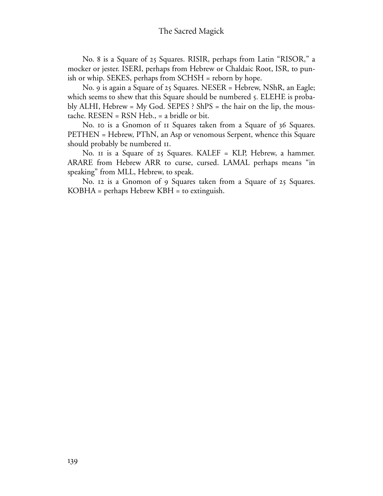No. 8 is a Square of 25 Squares. RISIR, perhaps from Latin "RISOR," a mocker or jester. ISERI, perhaps from Hebrew or Chaldaic Root, ISR, to punish or whip. SEKES, perhaps from SCHSH = reborn by hope.

No. 9 is again a Square of 25 Squares. NESER = Hebrew, NShR, an Eagle; which seems to shew that this Square should be numbered 5. ELEHE is probably ALHI, Hebrew = My God. SEPES ? ShPS = the hair on the lip, the moustache. RESEN = RSN Heb., = a bridle or bit.

No. Io is a Gnomon of II Squares taken from a Square of 36 Squares. PETHEN = Hebrew, PThN, an Asp or venomous Serpent, whence this Square should probably be numbered  $\text{II}$ .

No.  $\text{II}$  is a Square of 25 Squares. KALEF = KLP, Hebrew, a hammer. ARARE from Hebrew ARR to curse, cursed. LAMAL perhaps means "in speaking" from MLL, Hebrew, to speak.

No. 12 is a Gnomon of 9 Squares taken from a Square of 25 Squares. KOBHA = perhaps Hebrew KBH = to extinguish.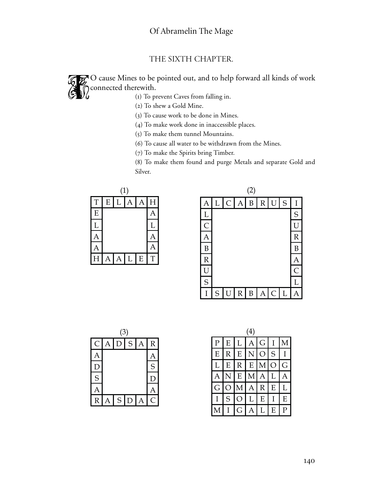## THE SIXTH CHAPTER.



CO cause Mines to be pointed out, and to help forward all kinds of work<br>CO connected therewith.<br>(1) To prevent Caves from falling in. connected therewith.

- () To prevent Caves from falling in.
- (2) To shew a Gold Mine.
- (3) To cause work to be done in Mines.
- (4) To make work done in inaccessible places.
- () To make them tunnel Mountains.
- (6) To cause all water to be withdrawn from the Mines.
- (7) To make the Spirits bring Timber.

(8) To make them found and purge Metals and separate Gold and Silver.





| (3)            |   |   |               |                  |              |  |
|----------------|---|---|---------------|------------------|--------------|--|
| $\overline{C}$ | A | D | $S_{\text{}}$ | $\boldsymbol{A}$ | $\mathbb{R}$ |  |
| А              |   |   |               |                  |              |  |
| Е              |   |   |               |                  | S            |  |
| S              |   |   |               |                  |              |  |
|                |   |   |               |                  |              |  |
| R              | А | S | D             |                  |              |  |

|  | (4)                                                                    |  |  |
|--|------------------------------------------------------------------------|--|--|
|  | $P$ E L A G I M                                                        |  |  |
|  | E[R E N O S I]                                                         |  |  |
|  | L  E  R  E  M  O  G                                                    |  |  |
|  | $\overline{A} \overline{N} \overline{E} \overline{M} A L \overline{L}$ |  |  |
|  | $G$ OMAREL                                                             |  |  |
|  | $I$ SOLEIE                                                             |  |  |
|  | $\overline{M}$ I $G$ $A$ $L$ $E$ $P$                                   |  |  |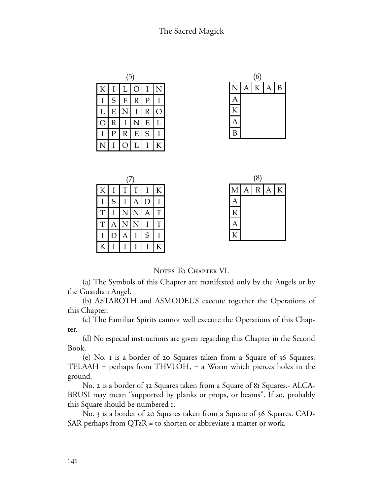| K | I |   | ί. |               |              |
|---|---|---|----|---------------|--------------|
|   | S | Ε | R  | Ρ             |              |
|   | E |   |    | R             | $\mathbf{r}$ |
|   | R |   |    | E             |              |
|   | Ρ | R | E  | ${\mathsf S}$ |              |
|   |   |   |    |               | K            |

| (6) |  |   |   |   |   |  |  |  |  |
|-----|--|---|---|---|---|--|--|--|--|
| N   |  | Α | K | A | B |  |  |  |  |
|     |  |   |   |   |   |  |  |  |  |
| K   |  |   |   |   |   |  |  |  |  |
| Ą   |  |   |   |   |   |  |  |  |  |
| В   |  |   |   |   |   |  |  |  |  |

| $\mathbf K$ |   | T | T | I | $\mathbf K$ |   |  |
|-------------|---|---|---|---|-------------|---|--|
|             | S | I |   |   |             |   |  |
| T           |   |   |   |   |             | R |  |
| $\mathbf T$ |   |   |   |   |             |   |  |
|             |   | Α |   | S |             |   |  |
| K           |   |   |   |   |             |   |  |

| (8) |   |   |   |   |   |  |  |  |  |
|-----|---|---|---|---|---|--|--|--|--|
|     | M | A | R | A | K |  |  |  |  |
|     |   |   |   |   |   |  |  |  |  |
|     | R |   |   |   |   |  |  |  |  |
|     | А |   |   |   |   |  |  |  |  |
|     | K |   |   |   |   |  |  |  |  |

NOTES TO CHAPTER VI.

(a) The Symbols of this Chapter are manifested only by the Angels or by the Guardian Angel.

(b) ASTAROTH and ASMODEUS execute together the Operations of this Chapter.

(c) The Familiar Spirits cannot well execute the Operations of this Chapter.

(d) No especial instructions are given regarding this Chapter in the Second Book.

(e) No. I is a border of 20 Squares taken from a Square of  $36$  Squares. TELAAH = perhaps from THVLOH, = a Worm which pierces holes in the ground.

No. 2 is a border of 32 Squares taken from a Square of 81 Squares.- ALCA-BRUSI may mean "supported by planks or props, or beams". If so, probably this Square should be numbered .

No. 3 is a border of 20 Squares taken from a Square of 36 Squares. CAD-SAR perhaps from QTzR = to shorten or abbreviate a matter or work.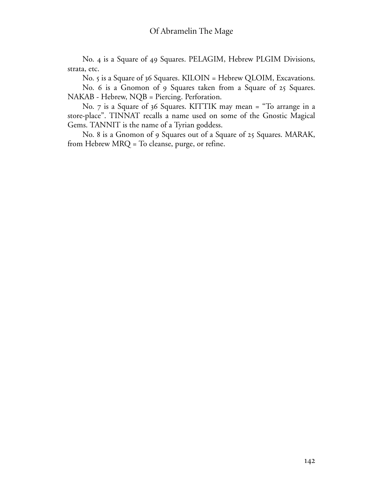No. 4 is a Square of 49 Squares. PELAGIM, Hebrew PLGIM Divisions, strata, etc.

No. 5 is a Square of 36 Squares. KILOIN = Hebrew QLOIM, Excavations. No. 6 is a Gnomon of 9 Squares taken from a Square of 25 Squares. NAKAB - Hebrew, NQB = Piercing. Perforation.

No.  $7$  is a Square of  $36$  Squares. KITTIK may mean = "To arrange in a store-place". TINNAT recalls a name used on some of the Gnostic Magical Gems. TANNIT is the name of a Tyrian goddess.

No. 8 is a Gnomon of 9 Squares out of a Square of 25 Squares. MARAK, from Hebrew MRQ = To cleanse, purge, or refine.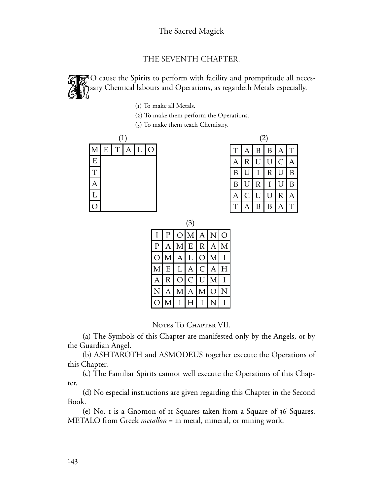## THE SEVENTH CHAPTER.

CO cause the Spirits to perform with facility and promptitude all neces-<br>CO sary Chemical labours and Operations, as regardeth Metals especially. sary Chemical labours and Operations, as regardeth Metals especially.

- () To make all Metals.
- (2) To make them perform the Operations.
- (3) To make them teach Chemistry.



| (2)         |             |                 |                |                |   |  |  |  |  |  |
|-------------|-------------|-----------------|----------------|----------------|---|--|--|--|--|--|
| $\mathbf T$ |             | $A \mid B \mid$ |                | $B \mid A$     | T |  |  |  |  |  |
|             | $\mathbb R$ | U               | l U            | $\mathsf{C}$   |   |  |  |  |  |  |
| B           | U           | $\mathbf{I}$    | $\overline{R}$ | $\mathbf U$    | B |  |  |  |  |  |
| B           | U           | $\overline{R}$  | l I            | $\mathbf U$    | B |  |  |  |  |  |
|             | $\mathsf C$ | l U             | $\mathbf U$    | $\overline{R}$ |   |  |  |  |  |  |
|             |             | B               | B              |                | T |  |  |  |  |  |

|                                         | (3) |  |  |
|-----------------------------------------|-----|--|--|
| $I$   $P$   $O$   $M$   $A$   $N$   $O$ |     |  |  |
| $P$ A M E R A M                         |     |  |  |
| $O$ MALOMI                              |     |  |  |
| MELIA CA H                              |     |  |  |
| A R O C U M I                           |     |  |  |
| $N$ $A$ $M$ $A$ $M$ $O$ $N$             |     |  |  |
| $\overline{O}$ M I H I N I              |     |  |  |

NOTES TO CHAPTER VII.

(a) The Symbols of this Chapter are manifested only by the Angels, or by the Guardian Angel.

(b) ASHTAROTH and ASMODEUS together execute the Operations of this Chapter.

(c) The Familiar Spirits cannot well execute the Operations of this Chapter.

(d) No especial instructions are given regarding this Chapter in the Second Book.

(e) No. I is a Gnomon of  $I$ I Squares taken from a Square of  $36$  Squares. METALO from Greek *metallon* = in metal, mineral, or mining work.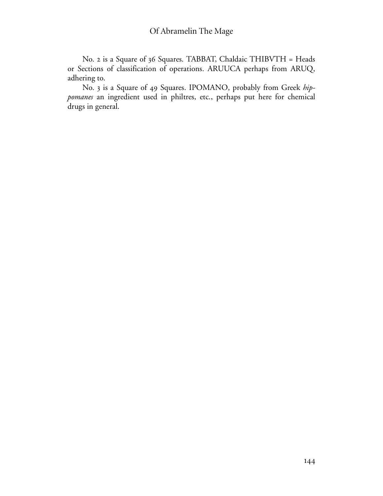No. 2 is a Square of 36 Squares. TABBAT, Chaldaic THIBVTH = Heads or Sections of classification of operations. ARUUCA perhaps from ARUQ, adhering to.

No. 3 is a Square of 49 Squares. IPOMANO, probably from Greek *hippomanes* an ingredient used in philtres, etc., perhaps put here for chemical drugs in general.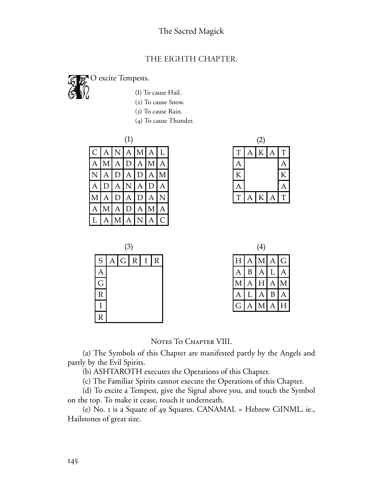## THE EIGHTH CHAPTER.



O excite Tempests.

(I) To cause Hail.

- (2) To cause Snow.
- (3) To cause Rain.
- (4) To cause Thunder.

| (1)                         |                       |  |  |  |  |  |  |  |  |  |
|-----------------------------|-----------------------|--|--|--|--|--|--|--|--|--|
|                             | C A N A M A L         |  |  |  |  |  |  |  |  |  |
|                             | $A$ M $A$ D $A$ M $A$ |  |  |  |  |  |  |  |  |  |
|                             | $N$  A D A D A M      |  |  |  |  |  |  |  |  |  |
|                             | A[D A N A D A]        |  |  |  |  |  |  |  |  |  |
|                             | M A D A D A N         |  |  |  |  |  |  |  |  |  |
|                             | $A$ M $A$ D $A$ M $A$ |  |  |  |  |  |  |  |  |  |
| $L$ $A$ $M$ $A$ $N$ $A$ $C$ |                       |  |  |  |  |  |  |  |  |  |

| (2) |   |                |   |   |  |  |  |
|-----|---|----------------|---|---|--|--|--|
| T   | А | K <sub>l</sub> | A | T |  |  |  |
|     |   |                |   |   |  |  |  |
| K   |   |                |   | K |  |  |  |
|     |   |                |   |   |  |  |  |
|     |   | $\mathbf K$    |   | Г |  |  |  |

| (၁)                     |  |  |        |          |              |  |  |  |  |
|-------------------------|--|--|--------|----------|--------------|--|--|--|--|
| S                       |  |  | A[G R] | $\bf{I}$ | $\mathbb{R}$ |  |  |  |  |
|                         |  |  |        |          |              |  |  |  |  |
| G                       |  |  |        |          |              |  |  |  |  |
| $\overline{\mathrm{R}}$ |  |  |        |          |              |  |  |  |  |
| I                       |  |  |        |          |              |  |  |  |  |
| R                       |  |  |        |          |              |  |  |  |  |

| (3) |  |             |                |                     | $\left( 4\right)$ |                 |  |
|-----|--|-------------|----------------|---------------------|-------------------|-----------------|--|
|     |  | : R   I   R |                | $H$ $A$ $M$ $A$ $G$ |                   |                 |  |
|     |  |             | Α              | B                   | A L A             |                 |  |
|     |  |             | M              |                     | $A$ H $A$ M       |                 |  |
|     |  |             | $\mathbf{A}$   | L                   | A                 | $\vert B \vert$ |  |
|     |  |             | G <sub>1</sub> | $\mathbf{A}$        | M                 | A H             |  |

#### NOTES TO CHAPTER VIII.

(a) The Symbols of this Chapter are manifested partly by the Angels and partly by the Evil Spirits.

(b) ASHTAROTH executes the Operations of this Chapter.

(c) The Familiar Spirits cannot execute the Operations of this Chapter.

(d) To excite a Tempest, give the Signal above you, and touch the Symbol on the top. To make it cease, touch it underneath.

(e) No.  $I$  is a Square of 49 Squares. CANAMAL = Hebrew CiINML, ie., Hailstones of great size.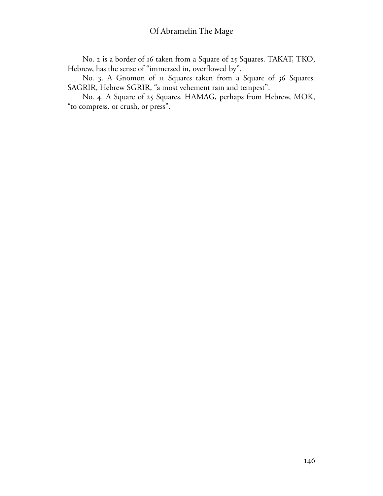No. 2 is a border of 16 taken from a Square of 25 Squares. TAKAT, TKO, Hebrew, has the sense of "immersed in, overflowed by".

No. 3. A Gnomon of II Squares taken from a Square of 36 Squares. SAGRIR, Hebrew SGRIR, "a most vehement rain and tempest".

No. 4. A Square of 25 Squares. HAMAG, perhaps from Hebrew, MOK, "to compress. or crush, or press".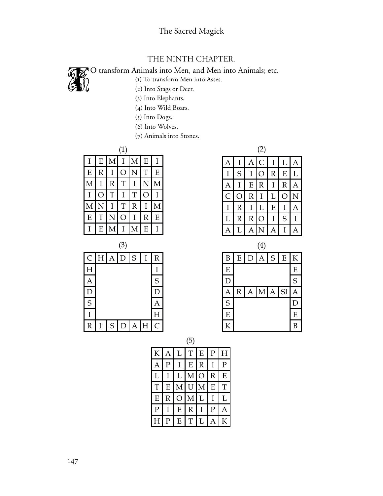# THE NINTH CHAPTER.

O transform Animals into Men, and Men into Animals; etc.<br>
(i) To transform Men into Asses.<br>
(2) Into Stags or Deer.

- () To transform Men into Asses.
	- (2) Into Stags or Deer.
	- (3) Into Elephants.
	- (4) Into Wild Boars.
	- (5) Into Dogs.
	- (6) Into Wolves.
	- (7) Animals into Stones.

|             |   |  |  | $E$ M IM $E$ I                      |  |     |  |  |  |  |
|-------------|---|--|--|-------------------------------------|--|-----|--|--|--|--|
| E           |   |  |  | $R$ I ONTE                          |  |     |  |  |  |  |
| $\mathbf M$ |   |  |  | $I \big  R \big  T \big  I \big  N$ |  | M   |  |  |  |  |
|             |   |  |  | QTTITOII                            |  |     |  |  |  |  |
|             |   |  |  | MNITRIM                             |  |     |  |  |  |  |
| E           |   |  |  | $T$ NOIR                            |  | l E |  |  |  |  |
|             | E |  |  | $MLI$ $ME$                          |  |     |  |  |  |  |



| (2)            |                         |         |           |  |                |   |  |  |  |
|----------------|-------------------------|---------|-----------|--|----------------|---|--|--|--|
| A <sub>l</sub> |                         |         | A C I L A |  |                |   |  |  |  |
|                | SLI[O R]E L             |         |           |  |                |   |  |  |  |
|                |                         |         | E[R I R]A |  |                |   |  |  |  |
|                | C O                     | $R$ ILO |           |  |                | N |  |  |  |
|                |                         |         |           |  |                |   |  |  |  |
|                | $R$ $I$ $L$ $E$ $I$     |         |           |  |                |   |  |  |  |
|                | $\overline{\mathsf{R}}$ |         | $R$ O $I$ |  | $\mathsf{I}$ S |   |  |  |  |

| (4)                     |             |              |                |             |    |   |  |  |  |
|-------------------------|-------------|--------------|----------------|-------------|----|---|--|--|--|
| B                       | ${\bf E}$   | D            | $\overline{A}$ | $\mathbf S$ | E  | K |  |  |  |
| $\overline{E}$          |             |              |                |             |    | E |  |  |  |
| D                       |             |              |                |             |    | S |  |  |  |
| A                       | $\mathbb R$ | $\mathbf{A}$ | MA             |             | SI | A |  |  |  |
| $\overline{\mathsf{S}}$ |             |              |                |             |    | L |  |  |  |
|                         |             |              |                |             |    | E |  |  |  |
| E                       |             |              |                |             |    |   |  |  |  |

(5)

|  |                             |  | KALI[T]E P H |
|--|-----------------------------|--|--------------|
|  | $A$ $P$ $I$ $E$ $R$ $I$ $P$ |  |              |
|  | $L$ $I$ $L$ $M$ $O$ $R$ $E$ |  |              |
|  | $T$ $E$ $M$ $U$ $M$ $E$ $T$ |  |              |
|  | E[R O M L I L]              |  |              |
|  | $P$ I E R I P A             |  |              |
|  | $H$ $P$ $E$ $T$ $L$ $A$ $K$ |  |              |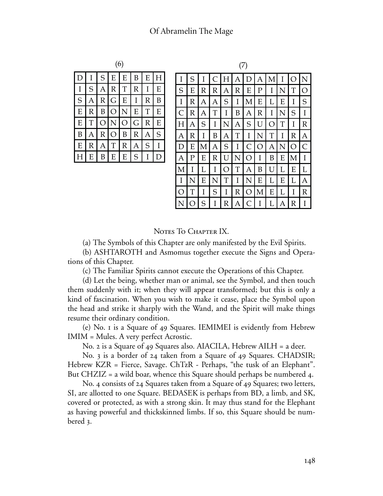## Of Abramelin The Mage

| × |
|---|
|   |

|  |  | $D$ $I$ $S$ $E$ $E$ $B$ $E$ $H$                                    |  |  |
|--|--|--------------------------------------------------------------------|--|--|
|  |  | $I \svert S \rvert A \rvert R \rvert T \rvert R \rvert I \rvert E$ |  |  |
|  |  | $S$ A R G E I R B                                                  |  |  |
|  |  | E[R B O N E T E                                                    |  |  |
|  |  | E[T O N O G R E                                                    |  |  |
|  |  | $B$ $A$ $R$ $O$ $B$ $R$ $A$ $S$                                    |  |  |
|  |  | E[R A T R A S I                                                    |  |  |
|  |  | H E B E E S I D                                                    |  |  |

|                | (7)          |             |              |   |                |                |                         |                |   |   |   |  |
|----------------|--------------|-------------|--------------|---|----------------|----------------|-------------------------|----------------|---|---|---|--|
| I              | S            | I           | C            | H | A              | D              | A                       | M              |   | ∩ | N |  |
| S              | Ε            | $\mathbb R$ | $\mathbb{R}$ | A | R              | ${\bf E}$      | $\mathbf P$             | Ι              | N | T | O |  |
| $\mathbf I$    | R            | A           | A            | S | I              | M              | E                       |                | E | I | S |  |
| $\mathsf{C}$   | R            | A           | T            | I | B              | A              | $\overline{\mathrm{R}}$ |                | N | S | I |  |
| H              | A            | S           | Ι            | N | A              | S              | IJ                      | ( )            | T | I | R |  |
| $\overline{A}$ | $\mathbb{R}$ | I           | B            | A | T              | I              | N                       | T              | I | R | A |  |
| D              | Ε            | M           | A            | S | I              | $\overline{C}$ | $\overline{O}$          | A              | N | O | C |  |
| $\overline{A}$ | $\mathbf{P}$ | E           | $\mathbb{R}$ | U | N              | $\overline{O}$ | $\mathbf I$             | B              | E | M | I |  |
| M              | I            | L           | I            | ∩ | T              | A              | B                       | $\overline{U}$ | L | E | L |  |
| $\mathbf I$    | N            | E           | N            | T | I              | N              | Ε                       | L              | E | L | A |  |
| O              | T            | I           | S            | I | R              | O              | M                       | E              | L | I | R |  |
| N              |              | S           |              | R | $\overline{A}$ | C              |                         |                |   | R | I |  |

NOTES TO CHAPTER IX.

(a) The Symbols of this Chapter are only manifested by the Evil Spirits.

(b) ASHTAROTH and Asmomus together execute the Signs and Operations of this Chapter.

(c) The Familiar Spirits cannot execute the Operations of this Chapter.

(d) Let the being, whether man or animal, see the Symbol, and then touch them suddenly with it; when they will appear transformed; but this is only a kind of fascination. When you wish to make it cease, place the Symbol upon the head and strike it sharply with the Wand, and the Spirit will make things resume their ordinary condition.

(e) No. 1 is a Square of 49 Squares. IEMIMEI is evidently from Hebrew IMIM = Mules. A very perfect Acrostic.

No. 2 is a Square of 49 Squares also. AIACILA, Hebrew AILH = a deer.

No. 3 is a border of 24 taken from a Square of 49 Squares. CHADSIR; Hebrew KZR = Fierce, Savage. ChTzR - Perhaps, "the tusk of an Elephant". But CHZIZ = a wild boar, whence this Square should perhaps be numbered 4.

No. 4 consists of 24 Squares taken from a Square of 49 Squares; two letters, SI, are allotted to one Square. BEDASEK is perhaps from BD, a limb, and SK, covered or protected, as with a strong skin. It may thus stand for the Elephant as having powerful and thickskinned limbs. If so, this Square should be numbered 3.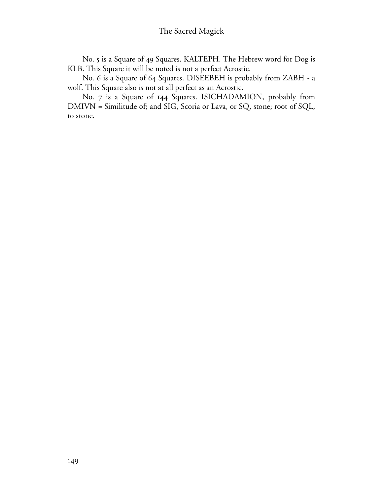No. 5 is a Square of 49 Squares. KALTEPH. The Hebrew word for Dog is KLB. This Square it will be noted is not a perfect Acrostic.

No. 6 is a Square of 64 Squares. DISEEBEH is probably from ZABH - a wolf. This Square also is not at all perfect as an Acrostic.

No. 7 is a Square of 144 Squares. ISICHADAMION, probably from DMIVN = Similitude of; and SIG, Scoria or Lava, or SQ, stone; root of SQL, to stone.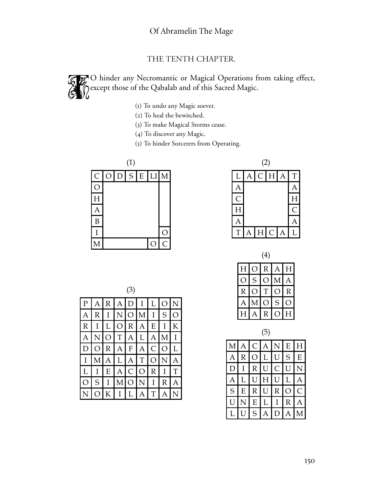## THE TENTH CHAPTER.



- () To undo any Magic soever.
- (2) To heal the bewitched.
- (3) To make Magical Storms cease.
- (4) To discover any Magic.
- () To hinder Sorcerers from Operating.



|   | (2)         |  |             |                |                         |  |  |  |  |
|---|-------------|--|-------------|----------------|-------------------------|--|--|--|--|
| L | A           |  | $C$ $H$ $A$ |                | T                       |  |  |  |  |
|   |             |  |             |                |                         |  |  |  |  |
|   |             |  |             |                | $\overline{\mathrm{H}}$ |  |  |  |  |
| Η |             |  |             |                |                         |  |  |  |  |
|   |             |  |             |                |                         |  |  |  |  |
| T | $\mathbf A$ |  | H C         | $\overline{A}$ |                         |  |  |  |  |

 $(2)$ 

| $\left( 4\right)$ |    |              |                           |             |  |  |  |  |
|-------------------|----|--------------|---------------------------|-------------|--|--|--|--|
| H                 | O. | $\mathbb{R}$ | $\boldsymbol{\mathrm{A}}$ | H           |  |  |  |  |
|                   | S  |              | M                         |             |  |  |  |  |
| $\mathbb R$       |    | T            |                           | $\mathbb R$ |  |  |  |  |
| Α                 | M  |              | S                         |             |  |  |  |  |
| H                 |    | $\mathbb{R}$ |                           |             |  |  |  |  |

| I<br>v<br>× |  |
|-------------|--|

|  |  |  | M[A]C[A]N[E]H         |
|--|--|--|-----------------------|
|  |  |  | A R O L U S E         |
|  |  |  | D I R U C U N         |
|  |  |  | A L U H U L A         |
|  |  |  | $S$ E $R$ U $R$ O $C$ |
|  |  |  | U[N]E[L I R A]        |
|  |  |  | $L U S A D A M $      |

|  |  | P   A   R   A   D   I   L   O   N |  |  |
|--|--|-----------------------------------|--|--|
|  |  | A R I N O  M I S                  |  |  |
|  |  |                                   |  |  |

(3)

| $A \, R \, I \, N$   O   M   I   S   O |  |  |  |  |
|----------------------------------------|--|--|--|--|
| $R$  I L O R A E I K                   |  |  |  |  |
| A[N]O[T]A[L]A[M]I                      |  |  |  |  |
| D[O[R[A]F[A]C]O[L]                     |  |  |  |  |
| $I$ MALATONA                           |  |  |  |  |
| $L$ $I$ $E$ $A$ $C$ $O$ $R$ $I$ $T$    |  |  |  |  |
| O S I M O N I R A                      |  |  |  |  |
| $N$ OKILLATAN                          |  |  |  |  |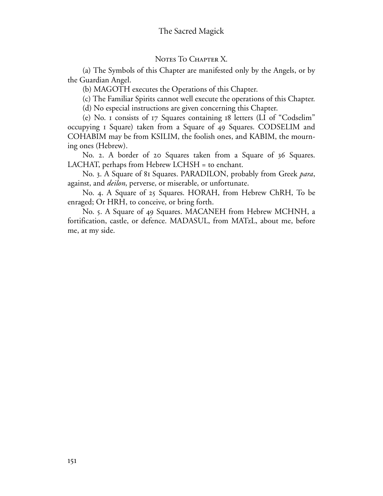#### NOTES TO CHAPTER X.

(a) The Symbols of this Chapter are manifested only by the Angels, or by the Guardian Angel.

(b) MAGOTH executes the Operations of this Chapter.

(c) The Familiar Spirits cannot well execute the operations of this Chapter.

(d) No especial instructions are given concerning this Chapter.

(e) No. I consists of  $17$  Squares containing  $18$  letters (LI of "Codselim" occupying I Square) taken from a Square of 49 Squares. CODSELIM and COHABIM may be from KSILIM, the foolish ones, and KABIM, the mourning ones (Hebrew).

No. 2. A border of 20 Squares taken from a Square of 36 Squares. LACHAT, perhaps from Hebrew LCHSH = to enchant.

No. 3. A Square of 81 Squares. PARADILON, probably from Greek *para*, against, and *deilon*, perverse, or miserable, or unfortunate.

No. 4. A Square of 25 Squares. HORAH, from Hebrew ChRH, To be enraged; Or HRH, to conceive, or bring forth.

No. 5. A Square of 49 Squares. MACANEH from Hebrew MCHNH, a fortification, castle, or defence. MADASUL, from MATzL, about me, before me, at my side.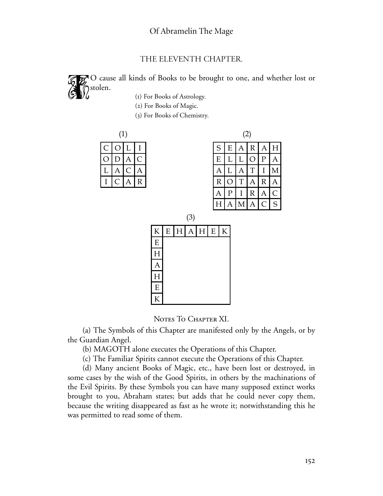#### THE ELEVENTH CHAPTER.

O cause all kinds of Books to be brought to one, and whether lost or stolen. 53

() For Books of Astrology.

(2) For Books of Magic.

() For Books of Chemistry.







NOTES TO CHAPTER XI.

(a) The Symbols of this Chapter are manifested only by the Angels, or by the Guardian Angel.

(b) MAGOTH alone executes the Operations of this Chapter.

(c) The Familiar Spirits cannot execute the Operations of this Chapter.

(d) Many ancient Books of Magic, etc., have been lost or destroyed, in some cases by the wish of the Good Spirits, in others by the machinations of the Evil Spirits. By these Symbols you can have many supposed extinct works brought to you, Abraham states; but adds that he could never copy them, because the writing disappeared as fast as he wrote it; notwithstanding this he was permitted to read some of them.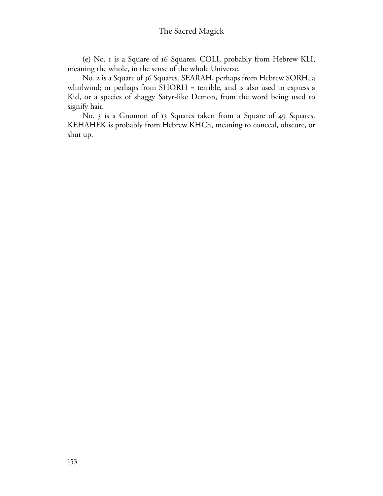(e) No. I is a Square of 16 Squares. COLI, probably from Hebrew KLI, meaning the whole, in the sense of the whole Universe.

No. 2 is a Square of 36 Squares. SEARAH, perhaps from Hebrew SORH, a whirlwind; or perhaps from SHORH = terrible, and is also used to express a Kid, or a species of shaggy Satyr-like Demon, from the word being used to signify hair.

No. 3 is a Gnomon of 13 Squares taken from a Square of 49 Squares. KEHAHEK is probably from Hebrew KHCh, meaning to conceal, obscure, or shut up.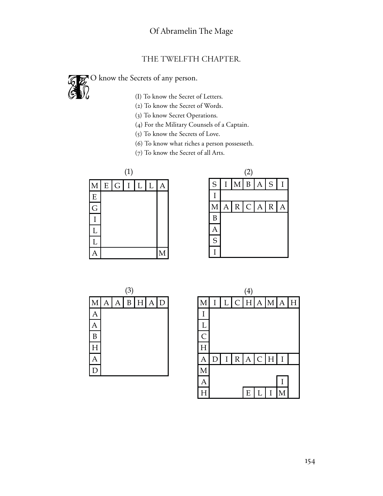### THE TWELFTH CHAPTER.

**CO** know the Secrets of any person.<br>  $\begin{bmatrix} 1 \end{bmatrix}$  (I) To know the Secret of



(I) To know the Secret of Letters.

(2) To know the Secret of Words.

(3) To know Secret Operations.

() For the Military Counsels of a Captain.

() To know the Secrets of Love.

() To know what riches a person possesseth.

(7) To know the Secret of all Arts.





| (3)                     |            |  |  |                 |  |  |  |  |
|-------------------------|------------|--|--|-----------------|--|--|--|--|
| $\mathbf M$             | $A \mid A$ |  |  | $B$ $H$ $A$ $D$ |  |  |  |  |
| Α                       |            |  |  |                 |  |  |  |  |
| Ą                       |            |  |  |                 |  |  |  |  |
| $\overline{B}$          |            |  |  |                 |  |  |  |  |
| $\overline{\mathrm{H}}$ |            |  |  |                 |  |  |  |  |
| Α                       |            |  |  |                 |  |  |  |  |
|                         |            |  |  |                 |  |  |  |  |

| (3)              |                |   |             |              | (4) |           |        |              |   |
|------------------|----------------|---|-------------|--------------|-----|-----------|--------|--------------|---|
| B<br>H<br>A<br>D | M              | I |             | L C          |     |           | $H$ AM | $\mathbf{A}$ | H |
|                  |                |   |             |              |     |           |        |              |   |
|                  |                |   |             |              |     |           |        |              |   |
|                  | $\overline{C}$ |   |             |              |     |           |        |              |   |
|                  | H              |   |             |              |     |           |        |              |   |
|                  | A              | D | $\mathbf I$ | $\mathbb{R}$ |     | $A$ C $H$ |        | $\mathbf I$  |   |
|                  | M              |   |             |              |     |           |        |              |   |
|                  | A              |   |             |              |     |           |        |              |   |
|                  |                |   |             |              | E   |           | I      |              |   |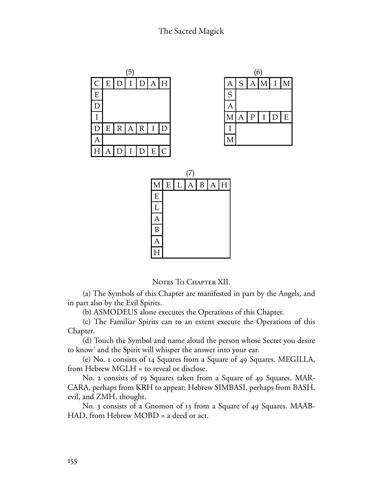The Sacred Magick



| (6) |             |             |              |                |           |  |  |  |
|-----|-------------|-------------|--------------|----------------|-----------|--|--|--|
| Α   | $\mathbf S$ |             | $A$ M I M    |                |           |  |  |  |
| S   |             |             |              |                |           |  |  |  |
|     |             |             |              |                |           |  |  |  |
| M   | A           | $\mathbf P$ | $\mathbf{I}$ | $\overline{D}$ | ${\bf E}$ |  |  |  |
| I   |             |             |              |                |           |  |  |  |
| M   |             |             |              |                |           |  |  |  |



NOTES TO CHAPTER XII.

(a) The Symbols of this Chapter are manifested in part by the Angels, and in part also by the Evil Spirits.

(b) ASMODEUS alone executes the Operations of this Chapter.

(c) The Familiar Spirits can to an extent execute the Operations of this Chapter.

(d) Touch the Symbol and name aloud the person whose Secret you desire to know' and the Spirit will whisper the answer into your ear.

(e) No. I consists of  $I_4$  Squares from a Square of 49 Squares. MEGILLA, from Hebrew MGLH = to reveal or disclose.

No. 2 consists of 19 Squares taken from a Square of 49 Squares. MAR-CARA, perhaps from KRH to appear; Hebrew SIMBASI, perhaps from BASH, evil, and ZMH, thought.

No. 3 consists of a Gnomon of 13 from a Square of 49 Squares. MAAB-HAD, from Hebrew MOBD = a deed or act.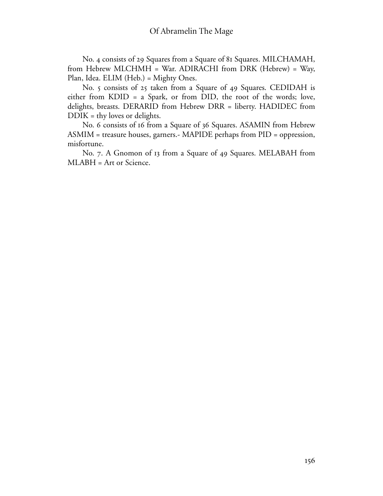No. 4 consists of 29 Squares from a Square of 81 Squares. MILCHAMAH, from Hebrew MLCHMH = War. ADIRACHI from DRK (Hebrew) = Way, Plan, Idea. ELIM (Heb.) = Mighty Ones.

No. 5 consists of 25 taken from a Square of 49 Squares. CEDIDAH is either from KDID = a Spark, or from DID, the root of the words; love, delights, breasts. DERARID from Hebrew DRR = liberty. HADIDEC from DDIK = thy loves or delights.

No. 6 consists of 16 from a Square of 36 Squares. ASAMIN from Hebrew ASMIM = treasure houses, garners.- MAPIDE perhaps from PID = oppression, misfortune.

No. 7. A Gnomon of 13 from a Square of 49 Squares. MELABAH from MLABH = Art or Science.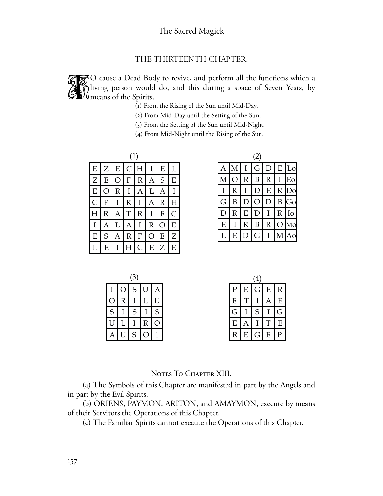### THE THIRTEENTH CHAPTER.

O cause a Dead Body to revive, and perform all the functions which a living person would do, and this during a space of Seven Years, by **F**O cause a Dead Books<br>Compliving person would<br>Complete Spirits.

- () From the Rising of the Sun until Mid-Day.
- () From Mid-Day until the Setting of the Sun.
- () From the Setting of the Sun until Mid-Night.
- () From Mid-Night until the Rising of the Sun.

| Е | Z | Ε | C |   |     | Е |   |  |  |     |    |   | G |
|---|---|---|---|---|-----|---|---|--|--|-----|----|---|---|
| Z | E |   | F | R | Α   | S | E |  |  |     |    | R | В |
| Е |   | R |   | Α |     | Α |   |  |  |     |    |   |   |
|   | F |   | R | T | Α   | R |   |  |  | : ∵ | В  |   |   |
|   | R | Α | T | R |     | F | C |  |  |     | R  | Ε |   |
|   | Α |   | Α | I | R   |   | E |  |  | E   |    | R | В |
| E | S | Α | R | F | . ) | Ε | Z |  |  |     | F. |   | G |
|   | E |   |   |   | E   | Z | E |  |  |     |    |   |   |

| (2) |  |                               |  |  |  |  |  |  |  |
|-----|--|-------------------------------|--|--|--|--|--|--|--|
|     |  | $A$ M I G D E Lo              |  |  |  |  |  |  |  |
|     |  | $M$ ORBRIG                    |  |  |  |  |  |  |  |
|     |  | I   R   I   D   E   R   Do    |  |  |  |  |  |  |  |
|     |  | $G$ $B$ $D$ $O$ $D$ $B$ $Go$  |  |  |  |  |  |  |  |
|     |  | $D$ $R$ $E$ $D$ $I$ $R$ $I$ o |  |  |  |  |  |  |  |
|     |  | $E$ I R B R O Mo              |  |  |  |  |  |  |  |
|     |  | LEDGIMA0                      |  |  |  |  |  |  |  |

| (3) |             |   |   |   |  |  |  |
|-----|-------------|---|---|---|--|--|--|
| I   |             | S | Ù |   |  |  |  |
|     | $\mathbb R$ |   |   |   |  |  |  |
| S   |             | S |   | S |  |  |  |
|     |             |   | R |   |  |  |  |
|     |             | S |   |   |  |  |  |

| $\left( 4\right)$ |   |   |   |   |  |  |  |  |
|-------------------|---|---|---|---|--|--|--|--|
| Ρ                 | E | 3 | E | R |  |  |  |  |
| E                 | Τ |   |   | E |  |  |  |  |
| .<br>.            |   | S |   |   |  |  |  |  |
| E                 |   |   | Τ | E |  |  |  |  |
| R                 | E |   | E |   |  |  |  |  |

## NOTES TO CHAPTER XIII.

(a) The Symbols of this Chapter are manifested in part by the Angels and in part by the Evil Spirits.

(b) ORIENS, PAYMON, ARITON, and AMAYMON, execute by means of their Servitors the Operations of this Chapter.

(c) The Familiar Spirits cannot execute the Operations of this Chapter.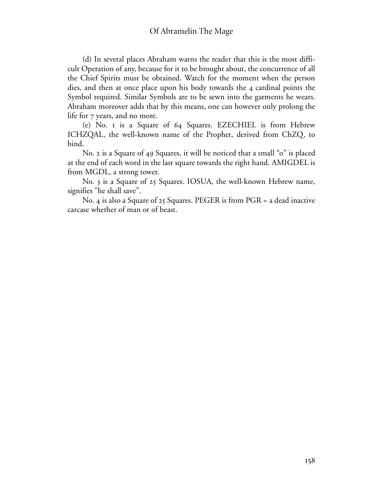(d) In several places Abraham warns the reader that this is the most difficult Operation of any, because for it to be brought about, the concurrence of all the Chief Spirits must be obtained. Watch for the moment when the person dies, and then at once place upon his body towards the  $4$  cardinal points the Symbol required. Similar Symbols are to be sewn into the garments he wears. Abraham moreover adds that by this means, one can however only prolong the life for 7 years, and no more.

(e) No. I is a Square of 64 Squares. EZECHIEL is from Hebrew ICHZQAL, the well-known name of the Prophet, derived from ChZQ, to bind.

No. 2 is a Square of 49 Squares, it will be noticed that a small "o" is placed at the end of each word in the last square towards the right hand. AMIGDEL is from MGDL, a strong tower.

No. 3 is a Square of 25 Squares. IOSUA, the well-known Hebrew name, signifies "he shall save".

No. 4 is also a Square of 25 Squares. PEGER is from PGR = a dead inactive carcase whether of man or of beast.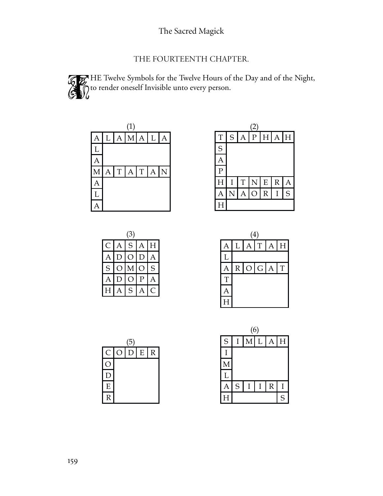The Sacred Magick

## THE FOURTEENTH CHAPTER.

HE Twelve Symbols for the Twelve Hours of the Day and of the Night,<br>Concerned the Symbols who every person. to render oneself Invisible unto every person.



| (2)                     |                |                |                |                     |  |    |  |  |
|-------------------------|----------------|----------------|----------------|---------------------|--|----|--|--|
| T                       | S <sub>1</sub> | $\overline{A}$ | $\mathbf{P}$   | H A                 |  | lН |  |  |
| S                       |                |                |                |                     |  |    |  |  |
|                         |                |                |                |                     |  |    |  |  |
| $\overline{P}$          |                |                |                |                     |  |    |  |  |
| $\overline{\mathrm{H}}$ |                |                |                | $I$ $T$ $N$ $E$ $R$ |  |    |  |  |
|                         | N              |                | $\overline{O}$ | $\overline{R}$      |  | S  |  |  |
| H                       |                |                |                |                     |  |    |  |  |

| (3) |   |   |                |   |  |  |  |
|-----|---|---|----------------|---|--|--|--|
|     | А | S | Α              | H |  |  |  |
|     |   | Г |                |   |  |  |  |
| S   |   | M | $\overline{O}$ | S |  |  |  |
|     |   |   | P              |   |  |  |  |
|     |   | S |                |   |  |  |  |

| (4)         |  |          |  |             |        |  |  |  |
|-------------|--|----------|--|-------------|--------|--|--|--|
| A           |  | $L \, A$ |  |             | T[A H] |  |  |  |
|             |  |          |  |             |        |  |  |  |
| Α           |  |          |  | $R$ O G A T |        |  |  |  |
| T           |  |          |  |             |        |  |  |  |
|             |  |          |  |             |        |  |  |  |
| $\mathbf H$ |  |          |  |             |        |  |  |  |



|   | (6) |             |         |             |           |  |  |  |
|---|-----|-------------|---------|-------------|-----------|--|--|--|
| S | I   | $\mathbf M$ | L       | $\vert A$   | $H_{\rm}$ |  |  |  |
| Ι |     |             |         |             |           |  |  |  |
| M |     |             |         |             |           |  |  |  |
| L |     |             |         |             |           |  |  |  |
| A | S   | I           | $\bf I$ | $\mathbb R$ | I         |  |  |  |
| Η |     |             |         |             | S         |  |  |  |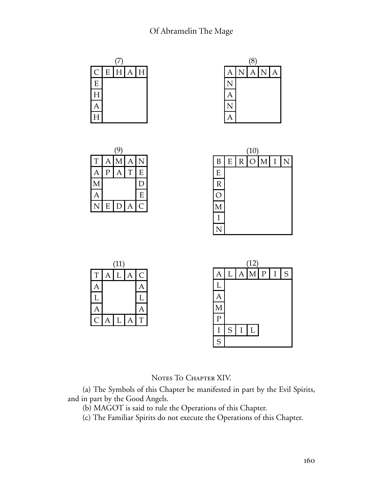











NOTES TO CHAPTER XIV.

(a) The Symbols of this Chapter be manifested in part by the Evil Spirits, and in part by the Good Angels.

(b) MAGOT is said to rule the Operations of this Chapter.

(c) The Familiar Spirits do not execute the Operations of this Chapter.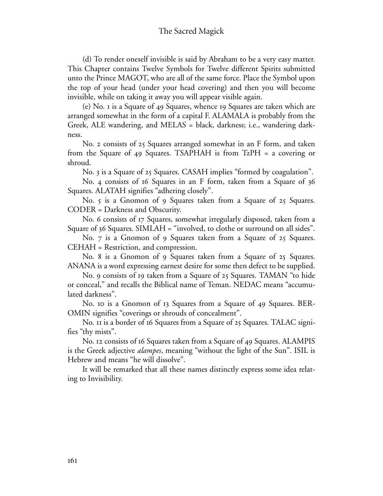### The Sacred Magick

(d) To render oneself invisible is said by Abraham to be a very easy matter. This Chapter contains Twelve Symbols for Twelve different Spirits submitted unto the Prince MAGOT, who are all of the same force. Place the Symbol upon the top of your head (under your head covering) and then you will become invisible, while on taking it away you will appear visible again.

(e) No. I is a Square of 49 Squares, whence  $I_9$  Squares are taken which are arranged somewhat in the form of a capital F. ALAMALA is probably from the Greek, ALE wandering, and MELAS = black, darkness; i.e., wandering darkness.

No. 2 consists of 25 Squares arranged somewhat in an F form, and taken from the Square of 49 Squares. TSAPHAH is from TzPH  $=$  a covering or shroud.

No. 3 is a Square of 25 Squares. CASAH implies "formed by coagulation".

No. 4 consists of 16 Squares in an F form, taken from a Square of 36 Squares. ALATAH signifies "adhering closely".

No. 5 is a Gnomon of 9 Squares taken from a Square of 25 Squares. CODER = Darkness and Obscurity.

No. 6 consists of 17 Squares, somewhat irregularly disposed, taken from a Square of 36 Squares. SIMLAH = "involved, to clothe or surround on all sides".

No. 7 is a Gnomon of 9 Squares taken from a Square of 25 Squares. CEHAH = Restriction, and compression.

No. 8 is a Gnomon of 9 Squares taken from a Square of 25 Squares. ANANA is a word expressing earnest desire for some then defect to be supplied.

No. 9 consists of 19 taken from a Square of 25 Squares. TAMAN "to hide or conceal," and recalls the Biblical name of Teman. NEDAC means "accumulated darkness".

No. 10 is a Gnomon of 13 Squares from a Square of 49 Squares. BER-OMIN signifies "coverings or shrouds of concealment".

No. II is a border of 16 Squares from a Square of 25 Squares. TALAC signifies "thy mists".

No. 12 consists of 16 Squares taken from a Square of 49 Squares. ALAMPIS is the Greek adjective *alampes*, meaning "without the light of the Sun". ISIL is Hebrew and means "he will dissolve".

It will be remarked that all these names distinctly express some idea relating to Invisibility.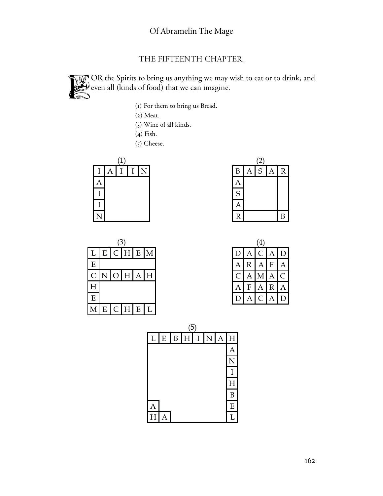### THE FIFTEENTH CHAPTER.

 $\sqrt{M}$  OR the Spirits to bring us anything we may wish to eat or to drink, and even all (kinds of food) that we can imagine. E

- () For them to bring us Bread.
- $(z)$  Meat.
- () Wine of all kinds.
- $(4)$  Fish.
- (5) Cheese.



| $\overline{2}$ |   |   |   |   |  |  |  |
|----------------|---|---|---|---|--|--|--|
| B              | A | S | A | R |  |  |  |
| А              |   |   |   |   |  |  |  |
| S              |   |   |   |   |  |  |  |
| Α              |   |   |   |   |  |  |  |
| R              |   |   |   | B |  |  |  |



| $ 4\rangle$    |                         |                         |                         |   |  |  |  |  |  |
|----------------|-------------------------|-------------------------|-------------------------|---|--|--|--|--|--|
| D              | A                       | $\overline{\mathsf{C}}$ | A                       | D |  |  |  |  |  |
| A              | $\overline{\mathrm{R}}$ | A                       | $\overline{F}$          |   |  |  |  |  |  |
| $\overline{C}$ | A                       | M                       | A                       | С |  |  |  |  |  |
| A              | $\overline{F}$          | A                       | $\overline{\mathrm{R}}$ |   |  |  |  |  |  |
|                |                         | Ċ                       | A                       | D |  |  |  |  |  |

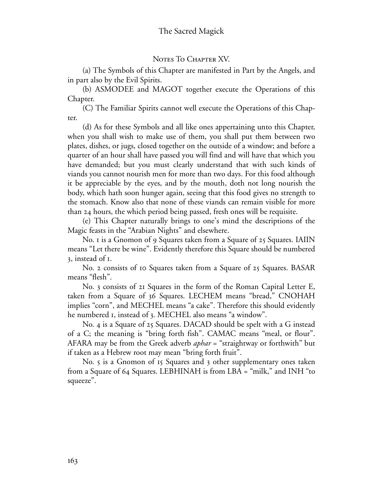### NOTES TO CHAPTER XV.

(a) The Symbols of this Chapter are manifested in Part by the Angels, and in part also by the Evil Spirits.

(b) ASMODEE and MAGOT together execute the Operations of this Chapter.

(C) The Familiar Spirits cannot well execute the Operations of this Chapter.

(d) As for these Symbols and all like ones appertaining unto this Chapter, when you shall wish to make use of them, you shall put them between two plates, dishes, or jugs, closed together on the outside of a window; and before a quarter of an hour shall have passed you will find and will have that which you have demanded; but you must clearly understand that with such kinds of viands you cannot nourish men for more than two days. For this food although it be appreciable by the eyes, and by the mouth, doth not long nourish the body, which hath soon hunger again, seeing that this food gives no strength to the stomach. Know also that none of these viands can remain visible for more than 24 hours, the which period being passed, fresh ones will be requisite.

(e) This Chapter naturally brings to one's mind the descriptions of the Magic feasts in the "Arabian Nights" and elsewhere.

No. I is a Gnomon of 9 Squares taken from a Square of 25 Squares. IAIIN means "Let there be wine". Evidently therefore this Square should be numbered 3, instead of I.

No. 2 consists of 10 Squares taken from a Square of 25 Squares. BASAR means "flesh".

No. 3 consists of 21 Squares in the form of the Roman Capital Letter E, taken from a Square of 36 Squares. LECHEM means "bread," CNOHAH implies "corn", and MECHEL means "a cake". Therefore this should evidently he numbered I, instead of 3. MECHEL also means "a window".

No. 4 is a Square of  $25$  Squares. DACAD should be spelt with a G instead of a C; the meaning is "bring forth fish". CAMAC means "meal, or flour". AFARA may be from the Greek adverb *aphar* = "straightway or forthwith" but if taken as a Hebrew root may mean "bring forth fruit".

No. 5 is a Gnomon of 15 Squares and 3 other supplementary ones taken from a Square of 64 Squares. LEBHINAH is from LBA = "milk," and INH "to squeeze".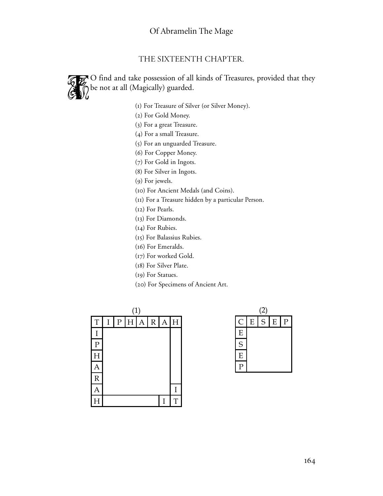#### THE SIXTEENTH CHAPTER.

O find and take possession of all kinds of Treasures, provided that they<br>  $\bigotimes_{i=0}^{\infty}$  be not at all (Magically) guarded. ) be not at all (Magically) guarded.

- () For Treasure of Silver (or Silver Money).
- (2) For Gold Money.
- (3) For a great Treasure.
- $(4)$  For a small Treasure.
- () For an unguarded Treasure.
- (6) For Copper Money.
- (7) For Gold in Ingots.
- (8) For Silver in Ingots.
- (9) For jewels.
- (10) For Ancient Medals (and Coins).
- (II) For a Treasure hidden by a particular Person.
- (12) For Pearls.
- (13) For Diamonds.
- $(i4)$  For Rubies.
- (15) For Balassius Rubies.
- (16) For Emeralds.
- $(r7)$  For worked Gold.
- (18) For Silver Plate.
- (19) For Statues.
- (20) For Specimens of Ancient Art.

| (1)            |         |  |  |                     |  |  |                           |  |  |
|----------------|---------|--|--|---------------------|--|--|---------------------------|--|--|
| T              | $\rm I$ |  |  | $\overline{P}$ HARA |  |  | $\boldsymbol{\mathrm{H}}$ |  |  |
| I              |         |  |  |                     |  |  |                           |  |  |
| $\overline{P}$ |         |  |  |                     |  |  |                           |  |  |
| H              |         |  |  |                     |  |  |                           |  |  |
| A              |         |  |  |                     |  |  |                           |  |  |
| ${\bf R}$      |         |  |  |                     |  |  |                           |  |  |
| Α              |         |  |  |                     |  |  | $\bf I$                   |  |  |
|                |         |  |  |                     |  |  | T                         |  |  |

|   |   | (2) |   |                |
|---|---|-----|---|----------------|
|   | E | S   | E | $\overline{P}$ |
| Ε |   |     |   |                |
| S |   |     |   |                |
| E |   |     |   |                |
|   |   |     |   |                |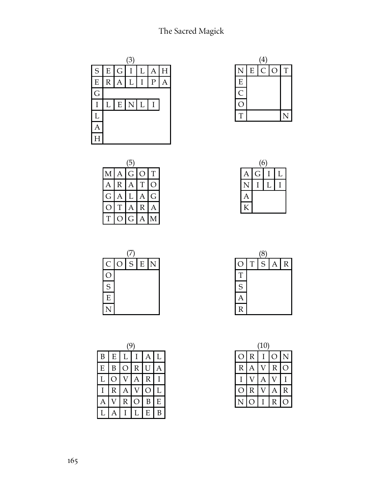# The Sacred Magick

| (3) |                         |                |       |             |             |   |  |  |  |
|-----|-------------------------|----------------|-------|-------------|-------------|---|--|--|--|
| S   | ${\bf E}$               | $\overline{G}$ |       | L           | Α           | H |  |  |  |
| E   | $\overline{\mathrm{R}}$ |                | L     | $\mathbf I$ | $\mathbf P$ |   |  |  |  |
| G   |                         |                |       |             |             |   |  |  |  |
|     | L                       | Ε              | $N$ L |             | I           |   |  |  |  |
|     |                         |                |       |             |             |   |  |  |  |
|     |                         |                |       |             |             |   |  |  |  |
|     |                         |                |       |             |             |   |  |  |  |

| (4) |   |  |  |  |  |  |  |  |
|-----|---|--|--|--|--|--|--|--|
| N   | E |  |  |  |  |  |  |  |
| E   |   |  |  |  |  |  |  |  |
|     |   |  |  |  |  |  |  |  |
|     |   |  |  |  |  |  |  |  |
|     |   |  |  |  |  |  |  |  |

| $\mathbf{M}$ | A         | Ġ | О            | T |  |  |  |  |  |
|--------------|-----------|---|--------------|---|--|--|--|--|--|
|              | ${\bf R}$ | Α | l T          |   |  |  |  |  |  |
|              |           |   |              |   |  |  |  |  |  |
|              | т         |   | $\mathbb{R}$ |   |  |  |  |  |  |
|              |           |   |              |   |  |  |  |  |  |



| ッ |           |              |     |                         |             |  |  |  |  |
|---|-----------|--------------|-----|-------------------------|-------------|--|--|--|--|
| B | ${\bf E}$ | $\mathbf{L}$ | l I | A                       | $\mathbf L$ |  |  |  |  |
| E | B         |              | O R | l U                     | A           |  |  |  |  |
|   |           |              | Α   | $\overline{\mathsf{R}}$ |             |  |  |  |  |
|   | ${\bf R}$ | A            | V   | О                       |             |  |  |  |  |
|   |           | $\mathbb{R}$ | O.  | B                       | E           |  |  |  |  |
|   |           |              |     | E                       | B           |  |  |  |  |

| 16 |    |   |  |  |  |  |  |  |
|----|----|---|--|--|--|--|--|--|
|    | ł, | L |  |  |  |  |  |  |
| ľ  |    |   |  |  |  |  |  |  |
|    |    |   |  |  |  |  |  |  |
|    |    |   |  |  |  |  |  |  |

| (8) |  |   |  |   |  |  |  |  |  |
|-----|--|---|--|---|--|--|--|--|--|
|     |  | Ś |  | R |  |  |  |  |  |
| T   |  |   |  |   |  |  |  |  |  |
| Ś   |  |   |  |   |  |  |  |  |  |
| A   |  |   |  |   |  |  |  |  |  |
| R   |  |   |  |   |  |  |  |  |  |

| (10) |             |  |   |             |  |  |  |  |  |
|------|-------------|--|---|-------------|--|--|--|--|--|
|      | $\mathbb R$ |  |   |             |  |  |  |  |  |
| R    |             |  | R |             |  |  |  |  |  |
|      |             |  |   |             |  |  |  |  |  |
|      | R           |  |   | $\mathbb R$ |  |  |  |  |  |
|      |             |  | R |             |  |  |  |  |  |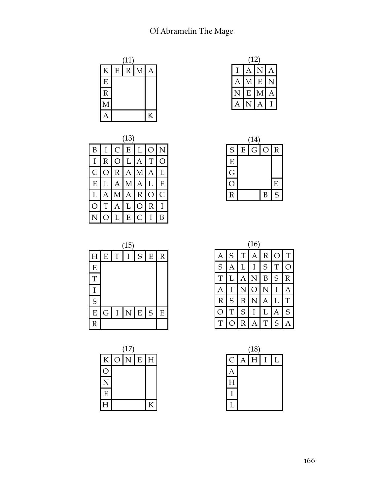| (11)        |   |             |   |   |  |  |  |  |  |
|-------------|---|-------------|---|---|--|--|--|--|--|
| K           | E | $\mathbb R$ | M | Α |  |  |  |  |  |
| E           |   |             |   |   |  |  |  |  |  |
| $\mathbb R$ |   |             |   |   |  |  |  |  |  |
| M           |   |             |   |   |  |  |  |  |  |
|             |   |             |   | K |  |  |  |  |  |

| (13) |  |                             |  |  |  |  |  |  |  |  |
|------|--|-----------------------------|--|--|--|--|--|--|--|--|
|      |  | B I C E L O N               |  |  |  |  |  |  |  |  |
|      |  | $R$ O L A T                 |  |  |  |  |  |  |  |  |
|      |  | $C$ O $R$ $A$ $M$ $A$ $L$   |  |  |  |  |  |  |  |  |
|      |  | E L A M A L E               |  |  |  |  |  |  |  |  |
|      |  | $L$ $A$ $M$ $A$ $R$ $O$ $C$ |  |  |  |  |  |  |  |  |
|      |  | O[T A L O R]                |  |  |  |  |  |  |  |  |
|      |  | O L E C I                   |  |  |  |  |  |  |  |  |

| $\left(15\right)$     |           |                |           |           |             |              |  |  |  |
|-----------------------|-----------|----------------|-----------|-----------|-------------|--------------|--|--|--|
| H                     | ${\bf E}$ | $\overline{T}$ | I         | S         | ${\bf E}$   | $\mathbb{R}$ |  |  |  |
| $\mathbf E$           |           |                |           |           |             |              |  |  |  |
| $\overline{T}$        |           |                |           |           |             |              |  |  |  |
| I                     |           |                |           |           |             |              |  |  |  |
| $\overline{s}$        |           |                |           |           |             |              |  |  |  |
| E                     | G         | $\bf{I}$       | ${\bf N}$ | ${\bf E}$ | $\mathsf S$ | E            |  |  |  |
| $\overline{\text{R}}$ |           |                |           |           |             |              |  |  |  |

| (17) |  |   |   |           |  |  |  |  |
|------|--|---|---|-----------|--|--|--|--|
| K    |  | N | E | $H_{\rm}$ |  |  |  |  |
|      |  |   |   |           |  |  |  |  |
| N    |  |   |   |           |  |  |  |  |
| E    |  |   |   |           |  |  |  |  |
| H    |  |   |   | K         |  |  |  |  |

|  |   | $\overline{\rm N}$ |  |  |  |  |  |  |
|--|---|--------------------|--|--|--|--|--|--|
|  | М | E                  |  |  |  |  |  |  |
|  | E | M                  |  |  |  |  |  |  |
|  |   |                    |  |  |  |  |  |  |

| (14) |   |   |   |   |  |  |  |  |
|------|---|---|---|---|--|--|--|--|
| S    | E | ុ |   | R |  |  |  |  |
| E    |   |   |   |   |  |  |  |  |
| R    |   |   |   |   |  |  |  |  |
|      |   |   |   | E |  |  |  |  |
| R    |   |   | B | S |  |  |  |  |

| (16)         |   |                   |                   |              |        |                |  |  |  |
|--------------|---|-------------------|-------------------|--------------|--------|----------------|--|--|--|
| $\mathbf{A}$ | S | $\vert T \vert A$ |                   |              | $R$ OT |                |  |  |  |
| S            |   |                   | $L$ $I$ $S$ $T$   |              |        | $\overline{O}$ |  |  |  |
| T            |   |                   | $A \mid N \mid B$ |              | l S    | l R            |  |  |  |
|              |   |                   | $N$ O $N$ I       |              |        |                |  |  |  |
| $\rm R$      | S | B N               |                   | $\mathsf{A}$ |        | l T            |  |  |  |
|              |   |                   | S <sub>II</sub> L |              |        | S              |  |  |  |
|              |   | $\overline{R}$    | $\overline{A}$    | $\top$       | S      |                |  |  |  |

| (18) |   |             |  |  |  |  |  |  |  |
|------|---|-------------|--|--|--|--|--|--|--|
|      | А | $\mathbf H$ |  |  |  |  |  |  |  |
|      |   |             |  |  |  |  |  |  |  |
| Η    |   |             |  |  |  |  |  |  |  |
|      |   |             |  |  |  |  |  |  |  |
|      |   |             |  |  |  |  |  |  |  |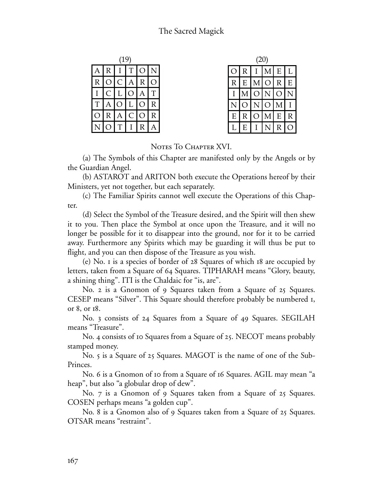## The Sacred Magick

|   | 19 |   |    |   |   |   | (20) |            |   |  |
|---|----|---|----|---|---|---|------|------------|---|--|
| A |    |   |    |   |   | R |      | <b>N</b>   | E |  |
| R |    | A | 17 |   | R | E |      |            | R |  |
|   |    |   | Α  | T |   |   |      |            |   |  |
| T |    |   |    | R |   |   |      |            |   |  |
|   | Α  |   |    | R | E | R |      | <b>IVI</b> | E |  |
| N |    |   |    | Α |   | E |      |            |   |  |

### NOTES TO CHAPTER XVI.

(a) The Symbols of this Chapter are manifested only by the Angels or by the Guardian Angel.

(b) ASTAROT and ARITON both execute the Operations hereof by their Ministers, yet not together, but each separately.

(c) The Familiar Spirits cannot well execute the Operations of this Chapter.

(d) Select the Symbol of the Treasure desired, and the Spirit will then shew it to you. Then place the Symbol at once upon the Treasure, and it will no longer be possible for it to disappear into the ground, nor for it to be carried away. Furthermore any Spirits which may be guarding it will thus be put to flight, and you can then dispose of the Treasure as you wish.

(e) No. I is a species of border of  $28$  Squares of which  $18$  are occupied by letters, taken from a Square of 64 Squares. TIPHARAH means "Glory, beauty, a shining thing". ITI is the Chaldaic for "is, are".

No. 2 is a Gnomon of 9 Squares taken from a Square of 25 Squares. CESEP means "Silver". This Square should therefore probably be numbered , or 8, or 18.

No. 3 consists of 24 Squares from a Square of 49 Squares. SEGILAH means "Treasure".

No. 4 consists of 10 Squares from a Square of 25. NECOT means probably stamped money.

No. 5 is a Square of 25 Squares. MAGOT is the name of one of the Sub-Princes.

No. 6 is a Gnomon of 10 from a Square of 16 Squares. AGIL may mean "a heap", but also "a globular drop of dew".

No. 7 is a Gnomon of 9 Squares taken from a Square of 25 Squares. COSEN perhaps means "a golden cup".

No. 8 is a Gnomon also of 9 Squares taken from a Square of 25 Squares. OTSAR means "restraint".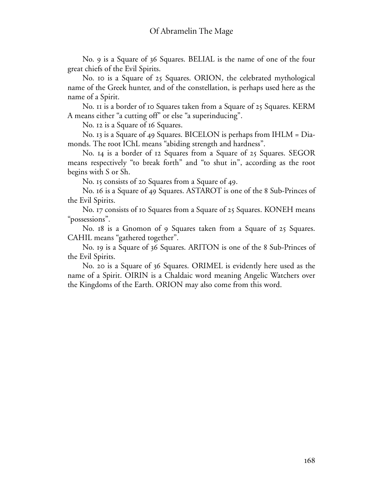No. 9 is a Square of 36 Squares. BELIAL is the name of one of the four great chiefs of the Evil Spirits.

No. Io is a Square of 25 Squares. ORION, the celebrated mythological name of the Greek hunter, and of the constellation, is perhaps used here as the name of a Spirit.

No. II is a border of 10 Squares taken from a Square of 25 Squares. KERM A means either "a cutting off" or else "a superinducing".

No. 12 is a Square of 16 Squares.

No. 13 is a Square of 49 Squares. BICELON is perhaps from IHLM = Diamonds. The root IChL means "abiding strength and hardness".

No. 14 is a border of 12 Squares from a Square of 25 Squares. SEGOR means respectively "to break forth" and "to shut in", according as the root begins with S or Sh.

No. 15 consists of 20 Squares from a Square of 49.

No. 16 is a Square of 49 Squares. ASTAROT is one of the 8 Sub-Princes of the Evil Spirits.

No. 17 consists of 10 Squares from a Square of 25 Squares. KONEH means "possessions".

No. 18 is a Gnomon of 9 Squares taken from a Square of 25 Squares. CAHIL means "gathered together".

No. 19 is a Square of 36 Squares. ARITON is one of the 8 Sub-Princes of the Evil Spirits.

No. 20 is a Square of 36 Squares. ORIMEL is evidently here used as the name of a Spirit. OIRIN is a Chaldaic word meaning Angelic Watchers over the Kingdoms of the Earth. ORION may also come from this word.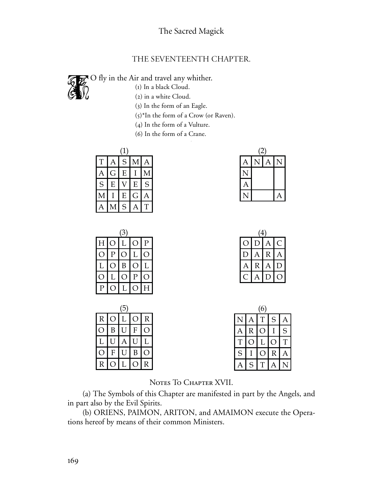## THE SEVENTEENTH CHAPTER.

O fly in the Air and travel any whither.<br>
(1) In a black Cloud.<br>
(2) in a white Cloud.



- () In a black Cloud.
- (2) in a white Cloud.
- () In the form of an Eagle.
- $(5)^*$ In the form of a Crow (or Raven).
- (4) In the form of a Vulture.

(6) In the form of a Crane.

| T | A | S | $\mathbf{M}$ | A |  |  |  |  |  |
|---|---|---|--------------|---|--|--|--|--|--|
|   | G | E |              |   |  |  |  |  |  |
| S | E |   | E            | S |  |  |  |  |  |
| M |   | E | G            |   |  |  |  |  |  |
|   |   | S |              |   |  |  |  |  |  |

| Α | N | Α | N |  |  |  |  |  |
|---|---|---|---|--|--|--|--|--|
| N |   |   |   |  |  |  |  |  |
| Α |   |   |   |  |  |  |  |  |
| ľ |   |   |   |  |  |  |  |  |

| ำ              |  |   |  |   |  |  |  |  |
|----------------|--|---|--|---|--|--|--|--|
| $\overline{H}$ |  |   |  | Р |  |  |  |  |
|                |  |   |  |   |  |  |  |  |
|                |  | B |  |   |  |  |  |  |
|                |  |   |  |   |  |  |  |  |
|                |  |   |  |   |  |  |  |  |

| (5                    |   |  |   |             |  |  |  |  |  |
|-----------------------|---|--|---|-------------|--|--|--|--|--|
| $\overline{\text{R}}$ |   |  |   | R           |  |  |  |  |  |
|                       | B |  | F |             |  |  |  |  |  |
|                       |   |  |   |             |  |  |  |  |  |
|                       | F |  | В |             |  |  |  |  |  |
|                       |   |  |   | $\mathsf R$ |  |  |  |  |  |

| $\overline{A}$ |   |   |  |  |  |  |  |
|----------------|---|---|--|--|--|--|--|
|                |   |   |  |  |  |  |  |
|                |   | R |  |  |  |  |  |
|                | R |   |  |  |  |  |  |
|                |   |   |  |  |  |  |  |

| (6) |                         |   |   |   |  |  |  |  |  |  |
|-----|-------------------------|---|---|---|--|--|--|--|--|--|
| N   | A                       | T | S |   |  |  |  |  |  |  |
|     | $\overline{\mathrm{R}}$ |   |   | S |  |  |  |  |  |  |
| T   |                         |   |   | Τ |  |  |  |  |  |  |
| S   |                         |   | R |   |  |  |  |  |  |  |
|     | S                       | T |   |   |  |  |  |  |  |  |

NOTES TO CHAPTER XVII.

(a) The Symbols of this Chapter are manifested in part by the Angels, and in part also by the Evil Spirits.

(b) ORIENS, PAIMON, ARITON, and AMAIMON execute the Operations hereof by means of their common Ministers.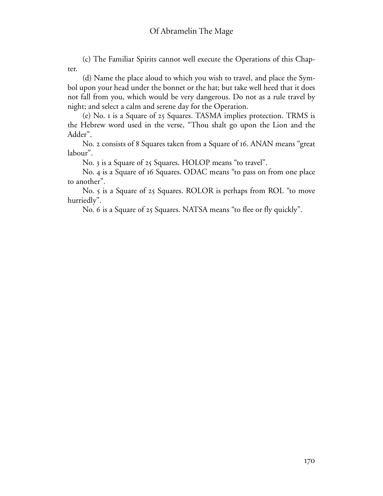(c) The Familiar Spirits cannot well execute the Operations of this Chapter.

(d) Name the place aloud to which you wish to travel, and place the Symbol upon your head under the bonnet or the hat; but take well heed that it does not fall from you, which would be very dangerous. Do not as a rule travel by night; and select a calm and serene day for the Operation.

(e) No.  $\sigma$  is a Square of 25 Squares. TASMA implies protection. TRMS is the Hebrew word used in the verse, "Thou shalt go upon the Lion and the Adder".

No. 2 consists of 8 Squares taken from a Square of 16. ANAN means "great" labour".

No. 3 is a Square of 25 Squares. HOLOP means "to travel".

No. 4 is a Square of 16 Squares. ODAC means "to pass on from one place to another".

No. 5 is a Square of 25 Squares. ROLOR is perhaps from ROL "to move hurriedly".

No. 6 is a Square of 25 Squares. NATSA means "to flee or fly quickly".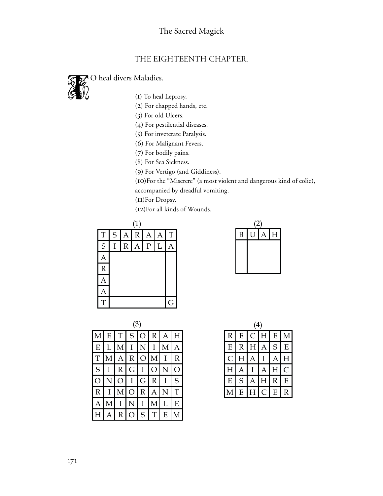## THE EIGHTEENTH CHAPTER.





(I) To heal Leprosy.

(2) For chapped hands, etc.

(3) For old Ulcers.

(4) For pestilential diseases.

() For inveterate Paralysis.

(6) For Malignant Fevers.

(7) For bodily pains.

(8) For Sea Sickness.

(9) For Vertigo (and Giddiness).

(IO)For the "Miserere" (a most violent and dangerous kind of colic), accompanied by dreadful vomiting.

(II)For Dropsy.

(12) For all kinds of Wounds.







| $\left( 4\right)$       |                         |                         |                   |              |                |  |  |  |  |  |
|-------------------------|-------------------------|-------------------------|-------------------|--------------|----------------|--|--|--|--|--|
|                         |                         |                         | $R E  C $ H $E$ M |              |                |  |  |  |  |  |
| ${\bf E}$               | $R$ $H$ $A$             |                         |                   | $\mathsf{S}$ | E              |  |  |  |  |  |
| $\mathsf{C}$            |                         |                         | $H$ $A$ $I$ $A$   |              | H              |  |  |  |  |  |
| H                       | $\mathbf{A}$            | $\prod$ $\mid$ A        |                   | <sup>H</sup> | $\mathsf{C}$   |  |  |  |  |  |
| ${\bf E}$               | S                       | $\mathsf{I}_\mathrm{A}$ | $H$ $R$           |              | E              |  |  |  |  |  |
| $\overline{\mathbf{M}}$ | $\mathsf{I}_\mathrm{E}$ |                         | HClE              |              | $\overline{R}$ |  |  |  |  |  |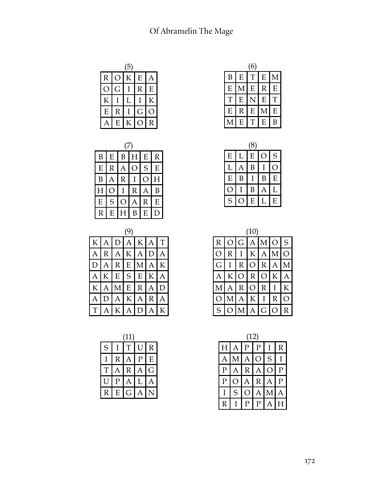| (5)         |   |   |   |   |  |  |  |  |  |
|-------------|---|---|---|---|--|--|--|--|--|
| $\mathbb R$ |   | K | E |   |  |  |  |  |  |
|             |   |   | R | E |  |  |  |  |  |
| К           |   |   |   | К |  |  |  |  |  |
| E           | R |   |   |   |  |  |  |  |  |
|             | E | К |   | R |  |  |  |  |  |

| B           | E | $\mathbf B$    | H            | E           | $\mathbb{R}$ |  |  |  |  |  |
|-------------|---|----------------|--------------|-------------|--------------|--|--|--|--|--|
| Ε           | R |                |              | S           | E            |  |  |  |  |  |
| $\mathbf B$ |   | $\mathbb R$    |              |             |              |  |  |  |  |  |
|             |   |                | $\mathbb{R}$ |             |              |  |  |  |  |  |
| Е           | S |                |              | $\mathbb R$ | E            |  |  |  |  |  |
|             | Е | $\overline{H}$ | в            | Ε           |              |  |  |  |  |  |

|  |  | (9) |                             |  |
|--|--|-----|-----------------------------|--|
|  |  |     | KADAKAT                     |  |
|  |  |     | A[R]A[K]A[D]A               |  |
|  |  |     | $D$ $A$ $R$ $E$ $M$ $A$ $K$ |  |
|  |  |     | A K E S E K A               |  |
|  |  |     | $K$ AMERAD                  |  |
|  |  |     | $A$ $D$ $A$ $K$ $A$ $R$ $A$ |  |
|  |  |     | TIA KA D A K                |  |

| S |             | Τ | $\overline{I}$ | R |  |  |  |  |  |  |
|---|-------------|---|----------------|---|--|--|--|--|--|--|
|   | $\mathbb R$ | А | Р              | E |  |  |  |  |  |  |
| T | A           | R | A              | x |  |  |  |  |  |  |
|   | Р           | А |                |   |  |  |  |  |  |  |
| R | E           |   |                |   |  |  |  |  |  |  |

|   | (6) |   |   |   |  |  |  |  |  |  |  |
|---|-----|---|---|---|--|--|--|--|--|--|--|
| B | E   | T | E | M |  |  |  |  |  |  |  |
| E | М   | E | R | E |  |  |  |  |  |  |  |
| Τ | E   | N | Ε | Γ |  |  |  |  |  |  |  |
| Ε | R   | E | M | E |  |  |  |  |  |  |  |
|   | E   | т | E | B |  |  |  |  |  |  |  |

| (8) |   |   |   |   |  |  |  |  |  |  |
|-----|---|---|---|---|--|--|--|--|--|--|
| E   | L | E |   | S |  |  |  |  |  |  |
|     | A | B |   |   |  |  |  |  |  |  |
| E   | B |   | B | E |  |  |  |  |  |  |
|     |   | B | A |   |  |  |  |  |  |  |
| S   |   | E |   | Е |  |  |  |  |  |  |

|  |                                                                          | (10) |  |  |
|--|--------------------------------------------------------------------------|------|--|--|
|  | $R$ OGAMOS                                                               |      |  |  |
|  | $\big \bigcirc\big $ R $\big $ I $\big $ K $\big $ A $\big $ M $\big $ O |      |  |  |
|  | G I R O R A M                                                            |      |  |  |
|  | A K O R O K A                                                            |      |  |  |
|  | M A R O R I K                                                            |      |  |  |
|  | $O$ MAKIRO                                                               |      |  |  |
|  | S O M A G O R                                                            |      |  |  |

| (12)           |                             |  |                       |  |  |  |  |  |  |  |
|----------------|-----------------------------|--|-----------------------|--|--|--|--|--|--|--|
|                | $H$ $A$ $P$ $P$ $I$ $I$ $R$ |  |                       |  |  |  |  |  |  |  |
| $\mathbf{A}$   | M A O S I                   |  |                       |  |  |  |  |  |  |  |
|                | P   A   R   A   O   P       |  |                       |  |  |  |  |  |  |  |
| $\mathbf{P}$   |                             |  | O[A R A P             |  |  |  |  |  |  |  |
|                |                             |  | $S$ O $A$ M $A$       |  |  |  |  |  |  |  |
| R <sub>1</sub> |                             |  | $I$   $P$   $P$   $A$ |  |  |  |  |  |  |  |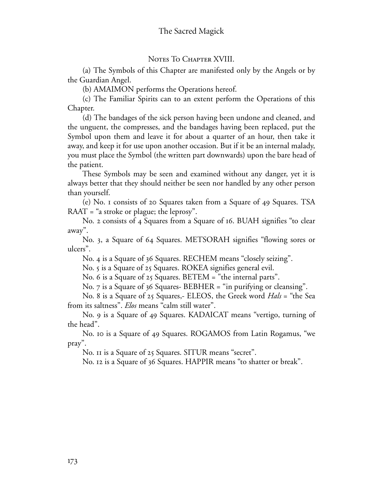NOTES TO CHAPTER XVIII.

(a) The Symbols of this Chapter are manifested only by the Angels or by the Guardian Angel.

(b) AMAIMON performs the Operations hereof.

(c) The Familiar Spirits can to an extent perform the Operations of this Chapter.

(d) The bandages of the sick person having been undone and cleaned, and the unguent, the compresses, and the bandages having been replaced, put the Symbol upon them and leave it for about a quarter of an hour, then take it away, and keep it for use upon another occasion. But if it be an internal malady, you must place the Symbol (the written part downwards) upon the bare head of the patient.

These Symbols may be seen and examined without any danger, yet it is always better that they should neither be seen nor handled by any other person than yourself.

(e) No. I consists of 20 Squares taken from a Square of 49 Squares. TSA RAAT = "a stroke or plague; the leprosy".

No. 2 consists of 4 Squares from a Square of 16. BUAH signifies "to clear away".

No. 3, a Square of 64 Squares. METSORAH signifies "flowing sores or ulcers".

No. 4 is a Square of 36 Squares. RECHEM means "closely seizing".

No. 5 is a Square of 25 Squares. ROKEA signifies general evil.

No. 6 is a Square of  $25$  Squares. BETEM = "the internal parts".

No.  $\tau$  is a Square of 36 Squares- BEBHER = "in purifying or cleansing".

No. 8 is a Square of 25 Squares,- ELEOS, the Greek word *Hals* = "the Sea from its saltness". *Elos* means "calm still water".

No. 9 is a Square of 49 Squares. KADAICAT means "vertigo, turning of the head".

No. to is a Square of 49 Squares. ROGAMOS from Latin Rogamus, "we pray".

No. II is a Square of 25 Squares. SITUR means "secret".

No. 12 is a Square of 36 Squares. HAPPIR means "to shatter or break".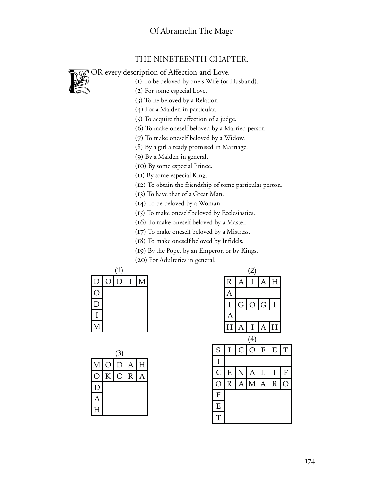### THE NINETEENTH CHAPTER.

OR every description of Affection and Love.



- () To be beloved by one's Wife (or Husband).
- (2) For some especial Love.
- (3) To he beloved by a Relation.
- (4) For a Maiden in particular.

 $(5)$  To acquire the affection of a judge.

(6) To make oneself beloved by a Married person.

(7) To make oneself beloved by a Widow.

(8) By a girl already promised in Marriage.

(9) By a Maiden in general.

(IO) By some especial Prince.

(II) By some especial King.

(12) To obtain the friendship of some particular person.

 $(13)$  To have that of a Great Man.

 $(I4)$  To be beloved by a Woman.

() To make oneself beloved by Ecclesiastics.

(16) To make oneself beloved by a Master.

 $(17)$  To make oneself beloved by a Mistress.

(18) To make oneself beloved by Infidels.

 $(19)$  By the Pope, by an Emperor, or by Kings.

(20) For Adulteries in general.



| (3)         |   |  |              |                           |  |  |  |  |  |
|-------------|---|--|--------------|---------------------------|--|--|--|--|--|
| $\mathbf M$ | ∩ |  | Α            | $\boldsymbol{\mathrm{H}}$ |  |  |  |  |  |
|             | K |  | $\mathbb{R}$ |                           |  |  |  |  |  |
|             |   |  |              |                           |  |  |  |  |  |
|             |   |  |              |                           |  |  |  |  |  |
|             |   |  |              |                           |  |  |  |  |  |

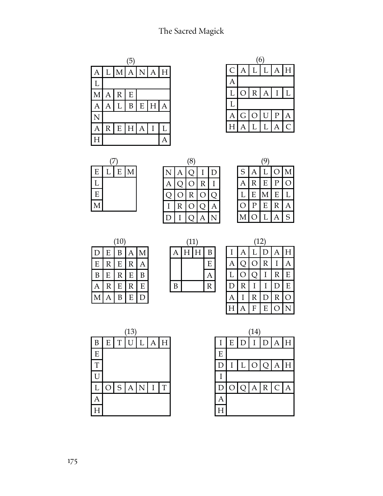# The Sacred Magick

|   | (5) |  |                     |  |  |  |  |  |  |
|---|-----|--|---------------------|--|--|--|--|--|--|
|   |     |  | A L M A N A H       |  |  |  |  |  |  |
| L |     |  |                     |  |  |  |  |  |  |
| M |     |  | $A$ $R$ $E$         |  |  |  |  |  |  |
|   |     |  | $L$ $B$ $E$ $H$ $A$ |  |  |  |  |  |  |
| N |     |  |                     |  |  |  |  |  |  |
|   |     |  | $R$ $E$ $H$ $A$ $I$ |  |  |  |  |  |  |
|   |     |  |                     |  |  |  |  |  |  |

| (6)              |  |  |     |                                  |  |  |  |  |
|------------------|--|--|-----|----------------------------------|--|--|--|--|
| $\mathsf{C}\mid$ |  |  |     |                                  |  |  |  |  |
|                  |  |  |     |                                  |  |  |  |  |
|                  |  |  |     |                                  |  |  |  |  |
|                  |  |  |     |                                  |  |  |  |  |
|                  |  |  |     | $\overline{A}$                   |  |  |  |  |
|                  |  |  |     |                                  |  |  |  |  |
|                  |  |  | L L | A L L A H<br>O[R A I L<br>GIOUIP |  |  |  |  |

| E |  | E | M |  |  |  |  |
|---|--|---|---|--|--|--|--|
|   |  |   |   |  |  |  |  |
| Е |  |   |   |  |  |  |  |
| M |  |   |   |  |  |  |  |

|   |   | (8           |   |  |
|---|---|--------------|---|--|
| ľ |   |              | I |  |
|   |   |              | R |  |
|   |   | $\mathbb{R}$ |   |  |
|   | R |              |   |  |
|   |   |              |   |  |

| S |   |                         |   | M |  |  |  |  |  |
|---|---|-------------------------|---|---|--|--|--|--|--|
|   | R | E                       |   |   |  |  |  |  |  |
|   | E | $\overline{\mathsf{M}}$ | E |   |  |  |  |  |  |
|   |   | E                       | R |   |  |  |  |  |  |
|   |   |                         |   | ς |  |  |  |  |  |

| (10) |              |   |             |   |  |  |  |
|------|--------------|---|-------------|---|--|--|--|
|      | E            | В | Α           | M |  |  |  |
| Ε    | $\mathbb R$  | E | $\mathbb R$ |   |  |  |  |
| B    | Ε            | R | Е           | В |  |  |  |
|      | $\mathbb{R}$ | E | R           | E |  |  |  |
|      |              | B | E           |   |  |  |  |

| (11) |                         |                |   |  |  |  |
|------|-------------------------|----------------|---|--|--|--|
|      | $\overline{\mathrm{H}}$ | $\overline{H}$ | B |  |  |  |
|      |                         |                | Ε |  |  |  |
|      |                         |                |   |  |  |  |
| B    |                         |                | R |  |  |  |
|      |                         |                |   |  |  |  |

| (12)           |             |           |              |              |   |  |  |  |  |
|----------------|-------------|-----------|--------------|--------------|---|--|--|--|--|
| $\overline{I}$ | А           |           |              | А            |   |  |  |  |  |
| $\overline{A}$ |             |           | $\mathbb{R}$ |              |   |  |  |  |  |
| L              |             | Q         |              | $\mathbb R$  | E |  |  |  |  |
| D              | $\mathbf R$ | I         | I            | υ            | E |  |  |  |  |
| A              |             | ${\bf R}$ |              | $\mathbb{R}$ |   |  |  |  |  |
| $\mathsf{F}$   |             | F         | E            |              |   |  |  |  |  |

|                | (13)           |                    |                |              |              |   |  |  |
|----------------|----------------|--------------------|----------------|--------------|--------------|---|--|--|
| B              | E              | $\mathbf{\hat{T}}$ | $\overline{U}$ | $\mathbf{L}$ | $\mathbf{A}$ | H |  |  |
| $\overline{E}$ |                |                    |                |              |              |   |  |  |
| T              |                |                    |                |              |              |   |  |  |
|                |                |                    |                |              |              |   |  |  |
| L              | $\overline{O}$ | S                  | A N            |              | $\mathbf I$  | T |  |  |
| A              |                |                    |                |              |              |   |  |  |
|                |                |                    |                |              |              |   |  |  |

| (14)           |  |                         |  |  |  |  |  |  |
|----------------|--|-------------------------|--|--|--|--|--|--|
| $\mathbf{I}$   |  | $E$ $D$ $I$ $D$ $A$ $H$ |  |  |  |  |  |  |
| E              |  |                         |  |  |  |  |  |  |
| $\overline{D}$ |  | I L O Q A H             |  |  |  |  |  |  |
|                |  |                         |  |  |  |  |  |  |
|                |  | OQA R C A               |  |  |  |  |  |  |
|                |  |                         |  |  |  |  |  |  |
|                |  |                         |  |  |  |  |  |  |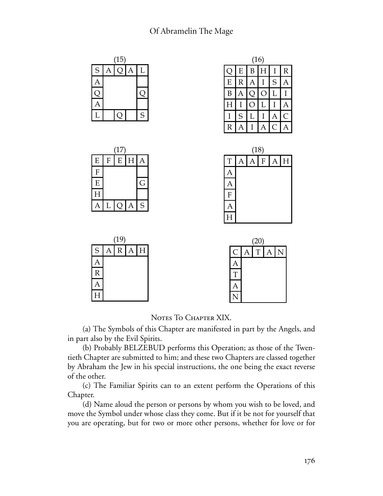





(16)

(18)

NOTES TO CHAPTER XIX.

(a) The Symbols of this Chapter are manifested in part by the Angels, and in part also by the Evil Spirits.

(b) Probably BELZEBUD performs this Operation; as those of the Twentieth Chapter are submitted to him; and these two Chapters are classed together by Abraham the Jew in his special instructions, the one being the exact reverse of the other.

(c) The Familiar Spirits can to an extent perform the Operations of this Chapter.

(d) Name aloud the person or persons by whom you wish to be loved, and move the Symbol under whose class they come. But if it be not for yourself that you are operating, but for two or more other persons, whether for love or for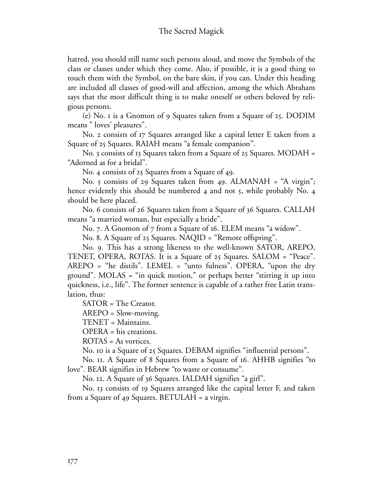hatred, you should still name such persons aloud, and move the Symbols of the class or classes under which they come. Also, if possible, it is a good thing to touch them with the Symbol, on the bare skin, if you can. Under this heading are included all classes of good-will and affection, among the which Abraham says that the most difficult thing is to make oneself or others beloved by religious persons.

(e) No. I is a Gnomon of 9 Squares taken from a Square of 25. DODIM means " loves' pleasures".

No. 2 consists of 17 Squares arranged like a capital letter E taken from a Square of 25 Squares. RAIAH means "a female companion".

No. 3 consists of  $I_3$  Squares taken from a Square of  $25$  Squares. MODAH = "Adorned as for a bridal".

No. 4 consists of 25 Squares from a Square of 49.

No. 5 consists of 29 Squares taken from 49. ALMANAH = "A virgin"; hence evidently this should be numbered  $\frac{4}{3}$  and not 5, while probably No. 4 should be here placed.

No. 6 consists of 26 Squares taken from a Square of 36 Squares. CALLAH means "a married woman, but especially a bride".

No. 7. A Gnomon of  $7$  from a Square of 16. ELEM means "a widow".

No. 8. A Square of  $25$  Squares. NAQID = "Remote offspring".

No. 9. This has a strong likeness to the well-known SATOR, AREPO, TENET, OPERA, ROTAS. It is a Square of 25 Squares. SALOM = "Peace". AREPO = "he distils". LEMEL = "unto fulness". OPERA, "upon the dry ground". MOLAS = "in quick motion," or perhaps better "stirring it up into quickness, i.e., life". The former sentence is capable of a rather free Latin translation, thus:

SATOR = The Creator.

AREPO = Slow-moving.

TENET = Maintains.

OPERA = his creations.

ROTAS = As vortices.

No. Io is a Square of 25 Squares. DEBAM signifies "influential persons".

No. II. A Square of 8 Squares from a Square of 16. AHHB signifies "to love". BEAR signifies in Hebrew "to waste or consume".

No. 12. A Square of 36 Squares. IALDAH signifies "a girl".

No. 13 consists of 19 Squares arranged like the capital letter F, and taken from a Square of 49 Squares.  $BETULAR = a \, virgin$ .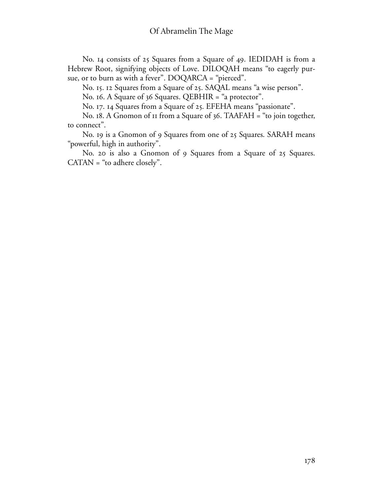No. 14 consists of 25 Squares from a Square of 49. IEDIDAH is from a Hebrew Root, signifying objects of Love. DILOQAH means "to eagerly pursue, or to burn as with a fever". DOQARCA = "pierced".

No. 15. 12 Squares from a Square of 25. SAQAL means "a wise person".

No. 16. A Square of  $36$  Squares. QEBHIR = "a protector".

No. 17. 14 Squares from a Square of 25. EFEHA means "passionate".

No. 18. A Gnomon of 11 from a Square of 36. TAAFAH = "to join together, to connect".

No. 19 is a Gnomon of 9 Squares from one of 25 Squares. SARAH means "powerful, high in authority".

No. 20 is also a Gnomon of 9 Squares from a Square of 25 Squares. CATAN = "to adhere closely".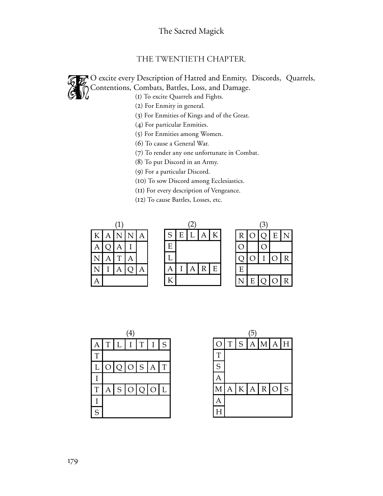### THE TWENTIETH CHAPTER.



- (2) For Enmity in general.
- () For Enmities of Kings and of the Great.
- (4) For particular Enmities.
- () For Enmities among Women.
- $(6)$  To cause a General War.
- (7) To render any one unfortunate in Combat.
- (8) To put Discord in an Army.
- () For a particular Discord.
- (IO) To sow Discord among Ecclesiastics.
- (II) For every description of Vengeance.
- (12) To cause Battles, Losses, etc.



|             |   | (3) |   |
|-------------|---|-----|---|
| $\mathbb R$ |   |     | E |
|             |   |     |   |
|             |   |     |   |
| E           |   |     |   |
|             | E |     |   |

 $\overline{N}$ 

R

 $R$ 

| (4)          |     |  |                                   |       |  |             |  |
|--------------|-----|--|-----------------------------------|-------|--|-------------|--|
| Α            | T L |  | $\mathbf{I}$                      | $T$ I |  | S           |  |
| Т            |     |  |                                   |       |  |             |  |
|              |     |  | O[Q]O[S]A                         |       |  | $\mathbf T$ |  |
|              |     |  |                                   |       |  |             |  |
| Τ            | A   |  | $\vert S \vert 0 \vert Q \vert 0$ |       |  | $\Gamma$    |  |
|              |     |  |                                   |       |  |             |  |
| $\mathbf{C}$ |     |  |                                   |       |  |             |  |

|   |   |   | (5) |             |  |
|---|---|---|-----|-------------|--|
| О | T | S |     | $A$ M $A$ H |  |
| T |   |   |     |             |  |
| S |   |   |     |             |  |
| А |   |   |     |             |  |
| M |   |   |     | A K A R O S |  |
| A |   |   |     |             |  |
| H |   |   |     |             |  |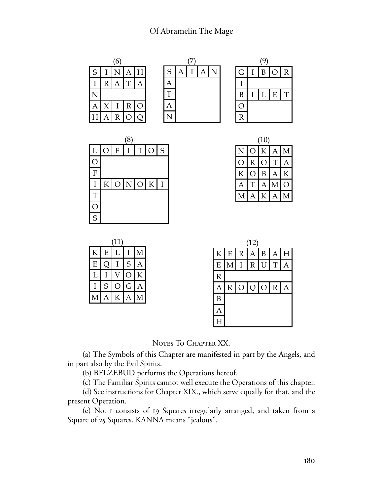

NOTES TO CHAPTER XX.

(a) The Symbols of this Chapter are manifested in part by the Angels, and in part also by the Evil Spirits.

(b) BELZEBUD performs the Operations hereof.

(c) The Familiar Spirits cannot well execute the Operations of this chapter.

(d) See instructions for Chapter XIX., which serve equally for that, and the present Operation.

(e) No. I consists of 19 Squares irregularly arranged, and taken from a Square of 25 Squares. KANNA means "jealous".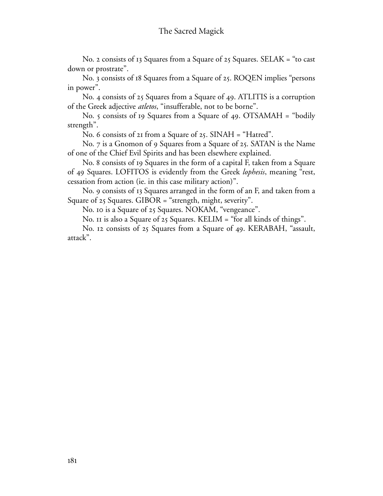No. 2 consists of 13 Squares from a Square of  $25$  Squares. SELAK = "to cast down or prostrate".

No. 3 consists of 18 Squares from a Square of 25. ROQEN implies "persons" in power".

No. 4 consists of  $25$  Squares from a Square of 49. ATLITIS is a corruption of the Greek adjective *atletos*, "insufferable, not to be borne".

No. 5 consists of 19 Squares from a Square of 49. OTSAMAH = "bodily" strength".

No. 6 consists of  $2I$  from a Square of  $25$ . SINAH = "Hatred".

No. 7 is a Gnomon of 9 Squares from a Square of 25. SATAN is the Name of one of the Chief Evil Spirits and has been elsewhere explained.

No. 8 consists of 19 Squares in the form of a capital F, taken from a Square of 49 Squares. LOFITOS is evidently from the Greek *lophesis*, meaning "rest, cessation from action (ie. in this case military action)".

No. 9 consists of 13 Squares arranged in the form of an F, and taken from a Square of  $25$  Squares. GIBOR = "strength, might, severity".

No. 10 is a Square of 25 Squares. NOKAM, "vengeance".

No. II is also a Square of  $25$  Squares. KELIM = "for all kinds of things".

No. 12 consists of 25 Squares from a Square of 49. KERABAH, "assault, attack".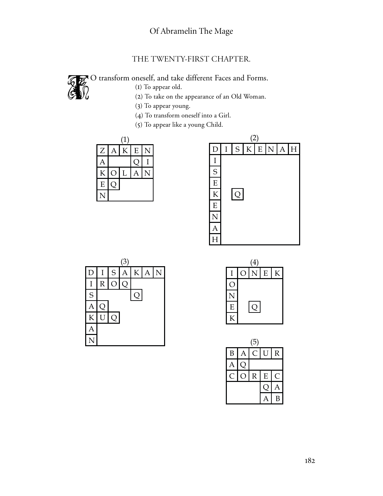## THE TWENTY-FIRST CHAPTER.

 $\mathbb{Z}^{\bullet}$  O transform oneself, and take different Faces and Forms.

- (I) To appear old.
	- (2) To take on the appearance of an Old Woman.
	- (3) To appear young.
	- (4) To transform oneself into a Girl.
	- () To appear like a young Child.



 $\bigcirc$ 







| (5, |   |                  |   |             |  |
|-----|---|------------------|---|-------------|--|
| B   | Α |                  | U | $\mathbb R$ |  |
|     |   |                  |   |             |  |
|     |   | $\boldsymbol{R}$ | E |             |  |
|     |   |                  |   |             |  |
|     |   |                  |   | В           |  |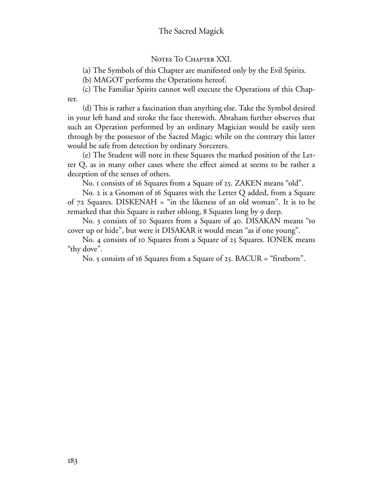#### NOTES TO CHAPTER XXI.

(a) The Symbols of this Chapter are manifested only by the Evil Spirits.

(b) MAGOT performs the Operations hereof.

(c) The Familiar Spirits cannot well execute the Operations of this Chapter.

(d) This is rather a fascination than anything else. Take the Symbol desired in your left hand and stroke the face therewith. Abraham further observes that such an Operation performed by an ordinary Magician would be easily seen through by the possessor of the Sacred Magic; while on the contrary this latter would be safe from detection by ordinary Sorcerers.

(e) The Student will note in these Squares the marked position of the Letter Q, as in many other cases where the effect aimed at seems to be rather a deception of the senses of others.

No. I consists of 16 Squares from a Square of 25. ZAKEN means "old".

No.  $2$  is a Gnomon of 16 Squares with the Letter Q added, from a Square of  $72$  Squares. DISKENAH = "in the likeness of an old woman". It is to be remarked that this Square is rather oblong, 8 Squares long by 9 deep.

No. 3 consists of 20 Squares from a Square of 40. DISAKAN means "to cover up or hide", but were it DISAKAR it would mean "as if one young".

No. 4 consists of 10 Squares from a Square of 25 Squares. IONEK means "thy dove".

No. 5 consists of 16 Squares from a Square of  $25$ . BACUR = "firstborn".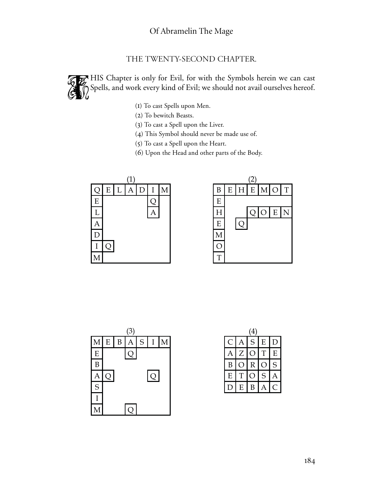#### THE TWENTY-SECOND CHAPTER.

HIS Chapter is only for Evil, for with the Symbols herein we can cast<br>
Spells, and work every kind of Evil; we should not avail ourselves hereof. Spells, and work every kind of Evil; we should not avail ourselves hereof.

- () To cast Spells upon Men.
- (2) To bewitch Beasts.
- (3) To cast a Spell upon the Liver.
- (4) This Symbol should never be made use of.
- () To cast a Spell upon the Heart.
- (6) Upon the Head and other parts of the Body.







| 4 |   |   |   |   |  |
|---|---|---|---|---|--|
| C |   | S | E |   |  |
| Ą | Z |   | T | E |  |
| B |   | R |   | S |  |
| E | T |   | S |   |  |
|   | E | B |   |   |  |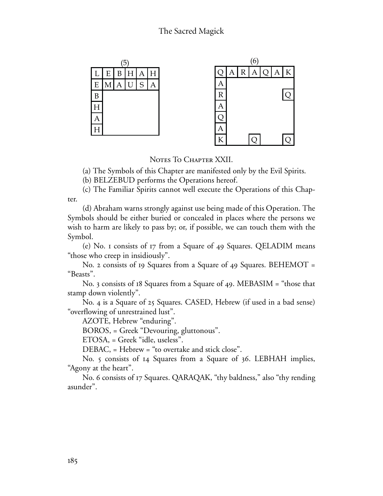## The Sacred Magick



NOTES TO CHAPTER XXII.

(a) The Symbols of this Chapter are manifested only by the Evil Spirits.

(b) BELZEBUD performs the Operations hereof.

(c) The Familiar Spirits cannot well execute the Operations of this Chapter.

(d) Abraham warns strongly against use being made of this Operation. The Symbols should be either buried or concealed in places where the persons we wish to harm are likely to pass by; or, if possible, we can touch them with the Symbol.

(e) No. I consists of  $I7$  from a Square of 49 Squares. QELADIM means "those who creep in insidiously".

No. 2 consists of 19 Squares from a Square of 49 Squares. BEHEMOT = "Beasts".

No. 3 consists of  $I8$  Squares from a Square of 49. MEBASIM = "those that stamp down violently".

No. 4 is a Square of 25 Squares. CASED, Hebrew (if used in a bad sense) "overflowing of unrestrained lust".

AZOTE, Hebrew "enduring".

BOROS, = Greek "Devouring, gluttonous".

ETOSA, = Greek "idle, useless".

DEBAC, = Hebrew = "to overtake and stick close".

No. 5 consists of 14 Squares from a Square of 36. LEBHAH implies, "Agony at the heart".

No. 6 consists of 17 Squares. QARAQAK, "thy baldness," also "thy rending asunder".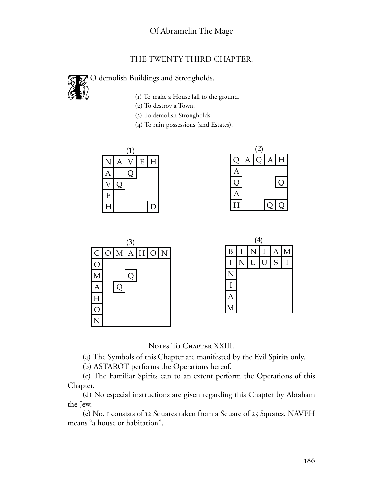### THE TWENTY-THIRD CHAPTER.

<sup>7</sup> O demolish Buildings and Strongholds.



() To make a House fall to the ground.

- (2) To destroy a Town.
- () To demolish Strongholds.
- (4) To ruin possessions (and Estates).









NOTES TO CHAPTER XXIII.

(a) The Symbols of this Chapter are manifested by the Evil Spirits only.

(b) ASTAROT performs the Operations hereof.

(c) The Familiar Spirits can to an extent perform the Operations of this Chapter.

(d) No especial instructions are given regarding this Chapter by Abraham the Jew.

(e) No. I consists of 12 Squares taken from a Square of 25 Squares. NAVEH means "a house or habitation".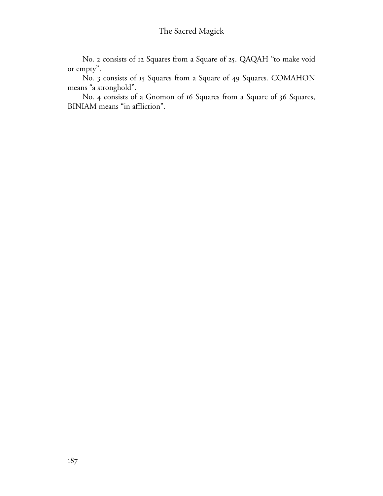No. 2 consists of 12 Squares from a Square of 25. QAQAH "to make void or empty".

No. 3 consists of 15 Squares from a Square of 49 Squares. COMAHON means "a stronghold".

No. 4 consists of a Gnomon of 16 Squares from a Square of 36 Squares, BINIAM means "in affliction".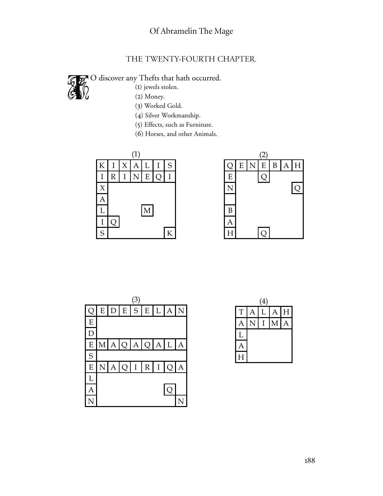## THE TWENTY-FOURTH CHAPTER.

O discover any Thefts that hath occurred.<br>
(5)  $\begin{pmatrix} 1 \end{pmatrix}$  jewels stolen.<br>
(2) Money.



- (I) jewels stolen.
- $(2)$  Money.
- (3) Worked Gold.
- (4) Silver Workmanship.
- () Effects, such as Furniture.
- (6) Horses, and other Animals.





|           |             |                     | (3) |           |   |                  |
|-----------|-------------|---------------------|-----|-----------|---|------------------|
| Q         | $\mathbf E$ | DE[S]E[L]A N        |     |           |   |                  |
| ${\bf E}$ |             |                     |     |           |   |                  |
| D         |             |                     |     |           |   |                  |
| E         |             | M A Q A Q A L       |     |           |   | $\boldsymbol{A}$ |
| S         |             |                     |     |           |   |                  |
| E         | $\mathbf N$ | $A \big  Q \big  I$ |     | $R$   $I$ | Q | $\mathbf{A}$     |
| L         |             |                     |     |           |   |                  |
| A         |             |                     |     |           |   |                  |
|           |             |                     |     |           |   |                  |

| (4) |             |  |   |   |  |
|-----|-------------|--|---|---|--|
| T   | Α           |  | A | H |  |
| A   | $\mathbf N$ |  | M |   |  |
|     |             |  |   |   |  |
|     |             |  |   |   |  |
|     |             |  |   |   |  |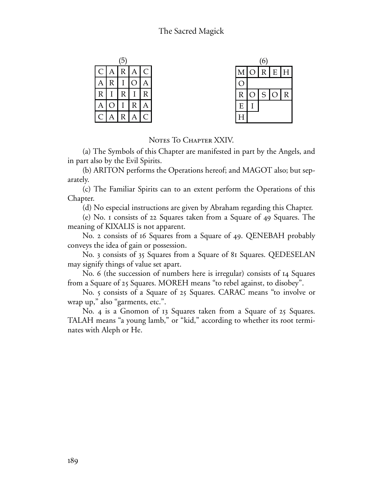

NOTES TO CHAPTER XXIV.

(a) The Symbols of this Chapter are manifested in part by the Angels, and in part also by the Evil Spirits.

(b) ARITON performs the Operations hereof; and MAGOT also; but separately.

(c) The Familiar Spirits can to an extent perform the Operations of this Chapter.

(d) No especial instructions are given by Abraham regarding this Chapter.

(e) No. I consists of  $22$  Squares taken from a Square of 49 Squares. The meaning of KIXALIS is not apparent.

No. 2 consists of 16 Squares from a Square of 49. QENEBAH probably conveys the idea of gain or possession.

No. 3 consists of 35 Squares from a Square of 81 Squares. QEDESELAN may signify things of value set apart.

No. 6 (the succession of numbers here is irregular) consists of 14 Squares from a Square of 25 Squares. MOREH means "to rebel against, to disobey".

No. 5 consists of a Square of 25 Squares. CARAC means "to involve or wrap up," also "garments, etc.".

No. 4 is a Gnomon of 13 Squares taken from a Square of 25 Squares. TALAH means "a young lamb," or "kid," according to whether its root terminates with Aleph or He.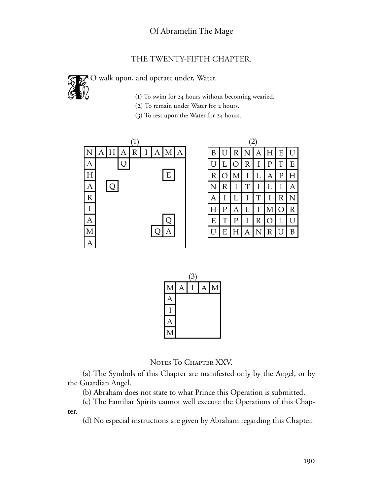#### THE TWENTY-FIFTH CHAPTER.

O walk upon, and operate under, Water. 55

- (I) To swim for  $24$  hours without becoming wearied.
- (2) To remain under Water for 2 hours.
- $(3)$  To rest upon the Water for 24 hours.



| (2)                                                                                                                                       |  |                                 |  |  |  |  |  |
|-------------------------------------------------------------------------------------------------------------------------------------------|--|---------------------------------|--|--|--|--|--|
|                                                                                                                                           |  | $B$ U R N A H E U               |  |  |  |  |  |
| U L  O R  I   P  T   E                                                                                                                    |  |                                 |  |  |  |  |  |
|                                                                                                                                           |  | $R$ OMILLAPH                    |  |  |  |  |  |
|                                                                                                                                           |  | $NR$ I T I L I A                |  |  |  |  |  |
|                                                                                                                                           |  | $A$ I L I T I R N               |  |  |  |  |  |
|                                                                                                                                           |  | $H$ $P$ $A$ $L$ $I$ $M$ $O$ $R$ |  |  |  |  |  |
| $E$ TPIROLU                                                                                                                               |  |                                 |  |  |  |  |  |
| $\begin{array}{c c c c c c c c} \hline \text{U} & \text{E} & \text{H} & \text{A} & \text{N} & \text{R} & \text{U} & \text{B} \end{array}$ |  |                                 |  |  |  |  |  |



NOTES TO CHAPTER XXV.

(a) The Symbols of this Chapter are manifested only by the Angel, or by the Guardian Angel.

(b) Abraham does not state to what Prince this Operation is submitted.

(c) The Familiar Spirits cannot well execute the Operations of this Chapter.

(d) No especial instructions are given by Abraham regarding this Chapter.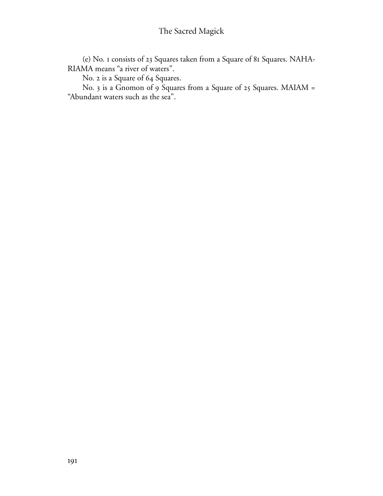(e) No. I consists of 23 Squares taken from a Square of 81 Squares. NAHA-RIAMA means "a river of waters".

No. 2 is a Square of 64 Squares.

No. 3 is a Gnomon of 9 Squares from a Square of 25 Squares. MAIAM = "Abundant waters such as the sea".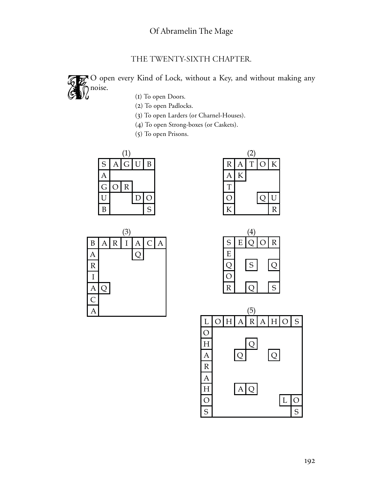#### THE TWENTY-SIXTH CHAPTER.

CO open every Kind of Lock, without a Key, and without making any<br>CO noise. (1) To open Doors. noise.

- (I) To open Doors.
- (2) To open Padlocks.
- (3) To open Larders (or Charnel-Houses).
- (4) To open Strong-boxes (or Caskets).
- (5) To open Prisons.









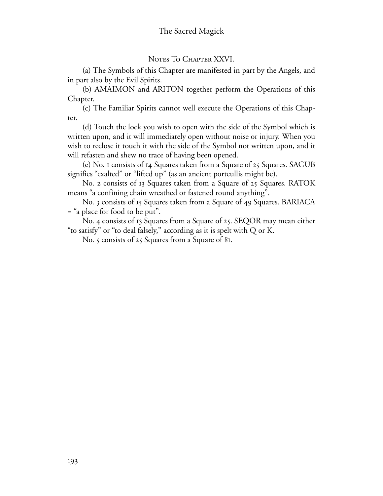NOTES TO CHAPTER XXVI.

(a) The Symbols of this Chapter are manifested in part by the Angels, and in part also by the Evil Spirits.

(b) AMAIMON and ARITON together perform the Operations of this Chapter.

(c) The Familiar Spirits cannot well execute the Operations of this Chapter.

(d) Touch the lock you wish to open with the side of the Symbol which is written upon, and it will immediately open without noise or injury. When you wish to reclose it touch it with the side of the Symbol not written upon, and it will refasten and shew no trace of having been opened.

(e) No. I consists of  $I_4$  Squares taken from a Square of  $25$  Squares. SAGUB signifies "exalted" or "lifted up" (as an ancient portcullis might be).

No. 2 consists of 13 Squares taken from a Square of 25 Squares. RATOK means "a confining chain wreathed or fastened round anything".

No. 3 consists of 15 Squares taken from a Square of 49 Squares. BARIACA = "a place for food to be put".

No. 4 consists of 13 Squares from a Square of 25. SEQOR may mean either "to satisfy" or "to deal falsely," according as it is spelt with Q or K.

No. 5 consists of  $25$  Squares from a Square of 81.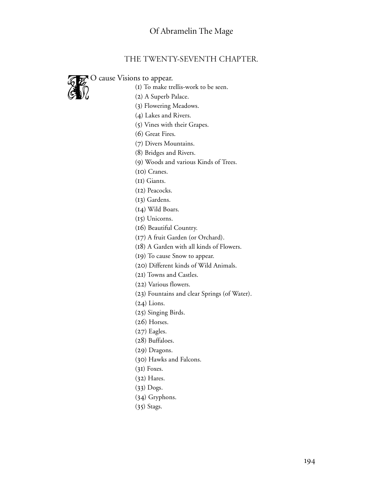## THE TWENTY-SEVENTH CHAPTER.





- () To make trellis-work to be seen.
- (2) A Superb Palace.
- (3) Flowering Meadows.
- (4) Lakes and Rivers.
- () Vines with their Grapes.
- $(6)$  Great Fires.
- (7) Divers Mountains.
- (8) Bridges and Rivers.
- () Woods and various Kinds of Trees.
- (IO) Cranes.
- (II) Giants.
- (12) Peacocks.
- $(I3)$  Gardens.
- (14) Wild Boars.
- (15) Unicorns.
- (16) Beautiful Country.
- (17) A fruit Garden (or Orchard).
- (18) A Garden with all kinds of Flowers.
- (19) To cause Snow to appear.
- (20) Different kinds of Wild Animals.
- (21) Towns and Castles.
- (22) Various flowers.
- (23) Fountains and clear Springs (of Water).
- $(24)$  Lions.
- (25) Singing Birds.
- $(26)$  Horses.
- $(27)$  Eagles.
- (28) Buffaloes.
- $(29)$  Dragons.
- (30) Hawks and Falcons.
- $(3I)$  Foxes.
- $(32)$  Hares.
- $(33)$  Dogs.
- (34) Gryphons.
- (35) Stags.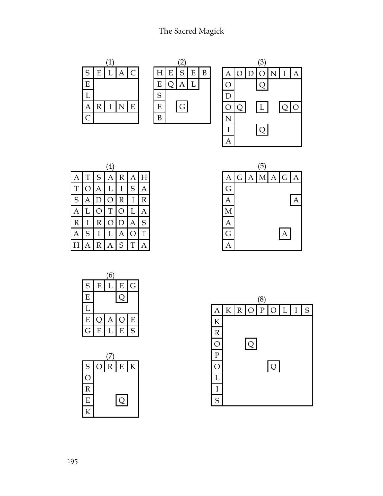

| (4) |                     |  |  |                         |  |  |  |
|-----|---------------------|--|--|-------------------------|--|--|--|
|     | A[T S A R A H]      |  |  |                         |  |  |  |
|     | $T$  O $A$  L I S A |  |  |                         |  |  |  |
|     | $S$ A D O R I R     |  |  |                         |  |  |  |
|     | A L  O  T  O  L  A  |  |  |                         |  |  |  |
|     | $R$ I RODAS         |  |  |                         |  |  |  |
|     | SLILIAOT            |  |  |                         |  |  |  |
|     |                     |  |  | $A$ $R$ $A$ $S$ $T$ $A$ |  |  |  |







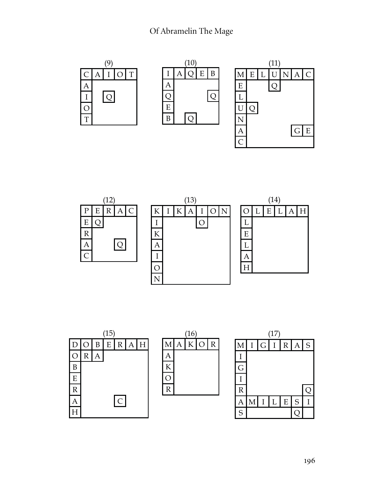







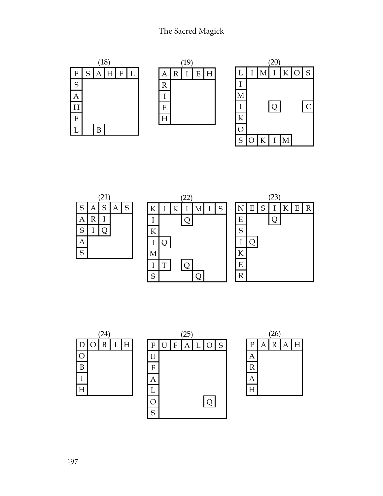



| 21)          |   |   |   |   |  |  |
|--------------|---|---|---|---|--|--|
| S            | Α | S | Α | S |  |  |
| Α            | R |   |   |   |  |  |
| S            |   |   |   |   |  |  |
| A            |   |   |   |   |  |  |
| $\mathbf{S}$ |   |   |   |   |  |  |





197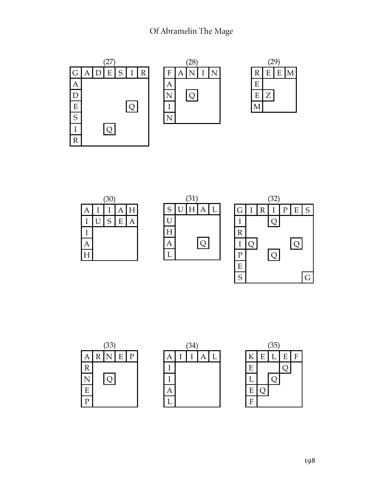











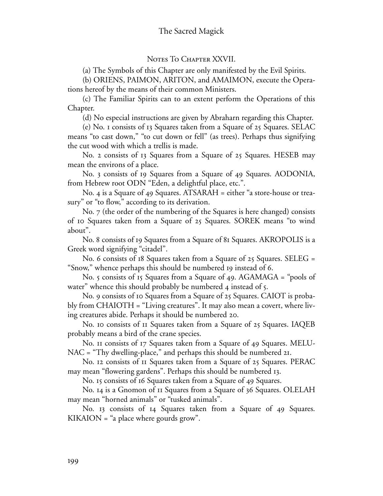NOTES TO CHAPTER XXVII.

(a) The Symbols of this Chapter are only manifested by the Evil Spirits.

(b) ORIENS, PAIMON, ARITON, and AMAIMON, execute the Operations hereof by the means of their common Ministers.

(c) The Familiar Spirits can to an extent perform the Operations of this Chapter.

(d) No especial instructions are given by Abraharn regarding this Chapter.

(e) No. I consists of  $I_3$  Squares taken from a Square of  $25$  Squares. SELAC means "to cast down," "to cut down or fell" (as trees). Perhaps thus signifying the cut wood with which a trellis is made.

No. 2 consists of 13 Squares from a Square of 25 Squares. HESEB may mean the environs of a place.

No. 3 consists of 19 Squares from a Square of 49 Squares. AODONIA, from Hebrew root ODN "Eden, a delightful place, etc.".

No. 4 is a Square of 49 Squares. ATSARAH = either "a store-house or treasury" or "to flow," according to its derivation.

No. 7 (the order of the numbering of the Squares is here changed) consists of 10 Squares taken from a Square of 25 Squares. SOREK means "to wind about".

No. 8 consists of 19 Squares from a Square of 81 Squares. AKROPOLIS is a Greek word signifying "citadel".

No. 6 consists of 18 Squares taken from a Square of  $25$  Squares. SELEG = "Snow," whence perhaps this should be numbered 19 instead of 6.

No. 5 consists of 15 Squares from a Square of 49. AGAMAGA = "pools of water" whence this should probably be numbered  $\frac{1}{4}$  instead of 5.

No. 9 consists of 10 Squares from a Square of  $25$  Squares. CAIOT is probably from CHAIOTH = "Living creatures". It may also mean a covert, where living creatures abide. Perhaps it should be numbered 20.

No. Io consists of II Squares taken from a Square of 25 Squares. IAQEB probably means a bird of the crane species.

No. II consists of 17 Squares taken from a Square of 49 Squares. MELU- $NAC = "Thy$  dwelling-place," and perhaps this should be numbered 21.

No. 12 consists of II Squares taken from a Square of 25 Squares. PERAC may mean "flowering gardens". Perhaps this should be numbered 13.

No. 15 consists of 16 Squares taken from a Square of 49 Squares.

No. 14 is a Gnomon of II Squares from a Square of 36 Squares. OLELAH may mean "horned animals" or "tusked animals".

No. 13 consists of 14 Squares taken from a Square of 49 Squares. KIKAION = "a place where gourds grow".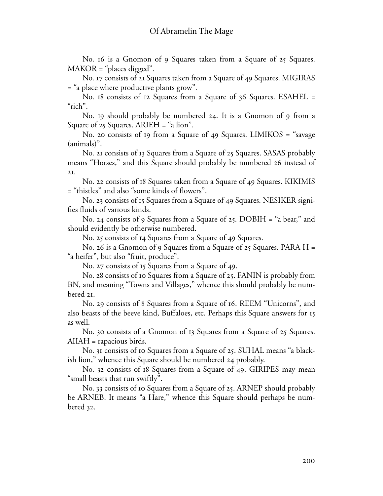No. 16 is a Gnomon of 9 Squares taken from a Square of 25 Squares. MAKOR = "places digged".

No. 17 consists of 21 Squares taken from a Square of 49 Squares. MIGIRAS = "a place where productive plants grow".

No.  $18$  consists of  $12$  Squares from a Square of  $36$  Squares. ESAHEL = "rich".

No. 19 should probably be numbered 24. It is a Gnomon of 9 from a Square of  $25$  Squares. ARIEH = "a lion".

No. 20 consists of 19 from a Square of 49 Squares. LIMIKOS = "savage" (animals)".

No. 21 consists of 13 Squares from a Square of 25 Squares. SASAS probably means "Horses," and this Square should probably be numbered 26 instead of  $2I.$ 

No. 22 consists of 18 Squares taken from a Square of 49 Squares. KIKIMIS = "thistles" and also "some kinds of flowers".

No. 23 consists of 15 Squares from a Square of 49 Squares. NESIKER signifies fluids of various kinds.

No. 24 consists of 9 Squares from a Square of 25. DOBIH = "a bear," and should evidently be otherwise numbered.

No. 25 consists of 14 Squares from a Square of 49 Squares.

No. 26 is a Gnomon of 9 Squares from a Square of 25 Squares. PARA  $H =$ "a heifer", but also "fruit, produce".

No. 27 consists of 15 Squares from a Square of 49.

No. 28 consists of 10 Squares from a Square of 25. FANIN is probably from BN, and meaning "Towns and Villages," whence this should probably be numbered 21.

No. 29 consists of 8 Squares from a Square of 16. REEM "Unicorns", and also beasts of the beeve kind, Buffaloes, etc. Perhaps this Square answers for as well.

No. 30 consists of a Gnomon of 13 Squares from a Square of 25 Squares. AIIAH = rapacious birds.

No. 31 consists of 10 Squares from a Square of 25. SUHAL means "a blackish lion," whence this Square should be numbered 24 probably.

No. 32 consists of 18 Squares from a Square of 49. GIRIPES may mean "small beasts that run swiftly".

No. 33 consists of 10 Squares from a Square of 25. ARNEP should probably be ARNEB. It means "a Hare," whence this Square should perhaps be numbered  $32.$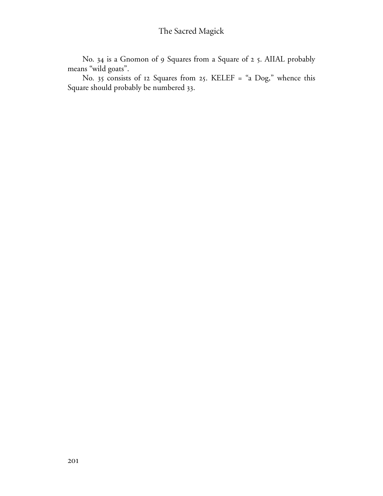No. 34 is a Gnomon of 9 Squares from a Square of 2 5. AIIAL probably means "wild goats".

No. 35 consists of 12 Squares from 25. KELEF = "a Dog," whence this Square should probably be numbered 33.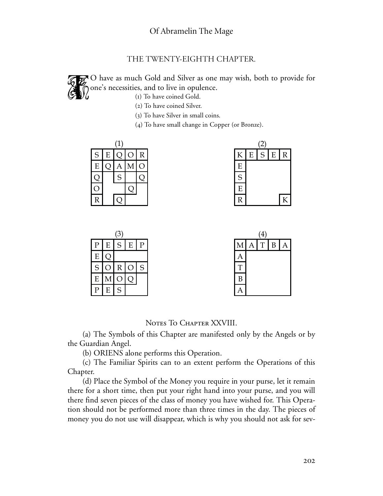## THE TWENTY-EIGHTH CHAPTER.

O have as much Gold and Silver as one may wish, both to provide for one's necessities, and to live in opulence. 55

() To have coined Gold.

(2) To have coined Silver.

() To have Silver in small coins.

() To have small change in Copper (or Bronze).









NOTES TO CHAPTER XXVIII.

(a) The Symbols of this Chapter are manifested only by the Angels or by the Guardian Angel.

(b) ORIENS alone performs this Operation.

(c) The Familiar Spirits can to an extent perform the Operations of this Chapter.

(d) Place the Symbol of the Money you require in your purse, let it remain there for a short time, then put your right hand into your purse, and you will there find seven pieces of the class of money you have wished for. This Operation should not be performed more than three times in the day. The pieces of money you do not use will disappear, which is why you should not ask for sev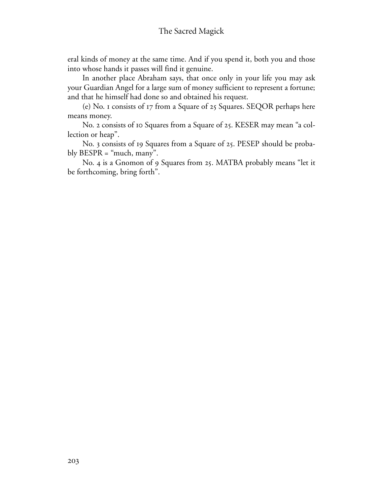eral kinds of money at the same time. And if you spend it, both you and those into whose hands it passes will find it genuine.

In another place Abraham says, that once only in your life you may ask your Guardian Angel for a large sum of money sufficient to represent a fortune; and that he himself had done so and obtained his request.

(e) No. I consists of  $I7$  from a Square of  $25$  Squares. SEQOR perhaps here means money.

No. 2 consists of 10 Squares from a Square of 25. KESER may mean "a collection or heap".

No. 3 consists of 19 Squares from a Square of 25. PESEP should be probably BESPR = "much, many".

No. 4 is a Gnomon of 9 Squares from 25. MATBA probably means "let it be forthcoming, bring forth".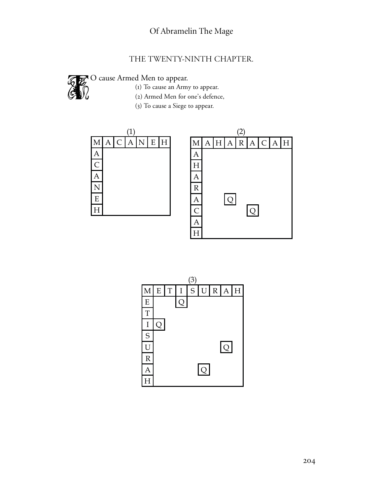## THE TWENTY-NINTH CHAPTER.



() To cause an Army to appear.

- 
- () To cause a Siege to appear.





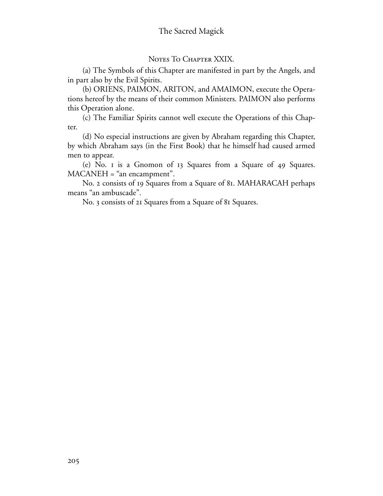NOTES TO CHAPTER XXIX.

(a) The Symbols of this Chapter are manifested in part by the Angels, and in part also by the Evil Spirits.

(b) ORIENS, PAIMON, ARITON, and AMAIMON, execute the Operations hereof by the means of their common Ministers. PAIMON also performs this Operation alone.

(c) The Familiar Spirits cannot well execute the Operations of this Chapter.

(d) No especial instructions are given by Abraham regarding this Chapter, by which Abraham says (in the First Book) that he himself had caused armed men to appear.

(e) No. I is a Gnomon of  $I_3$  Squares from a Square of 49 Squares. MACANEH = "an encampment".

No. 2 consists of 19 Squares from a Square of 81. MAHARACAH perhaps means "an ambuscade".

No. 3 consists of 21 Squares from a Square of 81 Squares.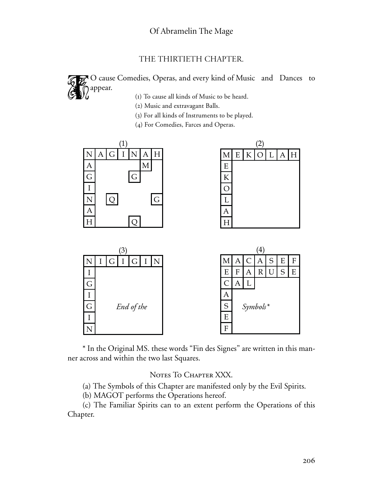## THE THIRTIETH CHAPTER.

O cause Comedies, Operas, and every kind of Music and Dances to appear. 55

() To cause all kinds of Music to be heard.

(2) Music and extravagant Balls.

() For all kinds of Instruments to be played.

(4) For Comedies, Farces and Operas.



\* In the Original MS. these words "Fin des Signes" are written in this manner across and within the two last Squares.

NOTES TO CHAPTER XXX.

(a) The Symbols of this Chapter are manifested only by the Evil Spirits.

(b) MAGOT performs the Operations hereof.

(c) The Familiar Spirits can to an extent perform the Operations of this Chapter.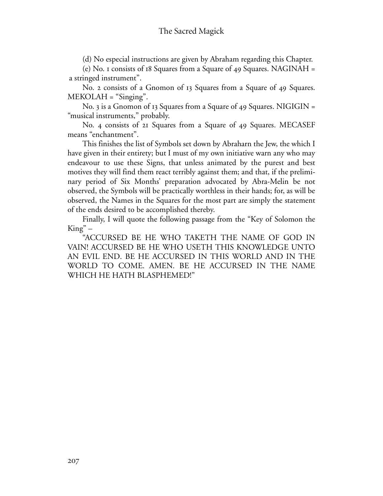(d) No especial instructions are given by Abraham regarding this Chapter.

(e) No. I consists of  $I_8$  Squares from a Square of 49 Squares. NAGINAH = a stringed instrument".

No. 2 consists of a Gnomon of 13 Squares from a Square of 49 Squares. MEKOLAH = "Singing".

No.  $3$  is a Gnomon of 13 Squares from a Square of 49 Squares. NIGIGIN = "musical instruments," probably.

No. 4 consists of 21 Squares from a Square of 49 Squares. MECASEF means "enchantment".

This finishes the list of Symbols set down by Abraharn the Jew, the which I have given in their entirety; but I must of my own initiative warn any who may endeavour to use these Signs, that unless animated by the purest and best motives they will find them react terribly against them; and that, if the preliminary period of Six Months' preparation advocated by Abra-Melin be not observed, the Symbols will be practically worthless in their hands; for, as will be observed, the Names in the Squares for the most part are simply the statement of the ends desired to be accomplished thereby.

Finally, I will quote the following passage from the "Key of Solomon the King" –

"ACCURSED BE HE WHO TAKETH THE NAME OF GOD IN VAIN! ACCURSED BE HE WHO USETH THIS KNOWLEDGE UNTO AN EVIL END. BE HE ACCURSED IN THIS WORLD AND IN THE WORLD TO COME. AMEN. BE HE ACCURSED IN THE NAME WHICH HE HATH BLASPHEMED!"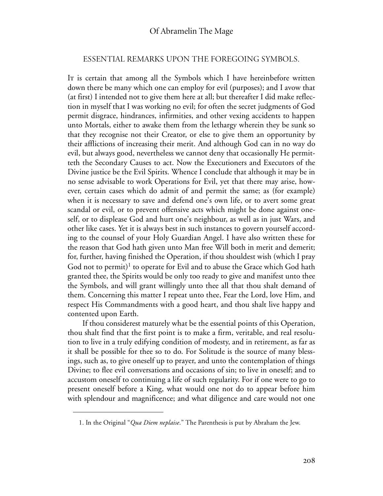#### ESSENTIAL REMARKS UPON THE FOREGOING SYMBOLS.

It is certain that among all the Symbols which I have hereinbefore written down there be many which one can employ for evil (purposes); and I avow that (at first) I intended not to give them here at all; but thereafter I did make reflection in myself that I was working no evil; for often the secret judgments of God permit disgrace, hindrances, infirmities, and other vexing accidents to happen unto Mortals, either to awake them from the lethargy wherein they be sunk so that they recognise not their Creator, or else to give them an opportunity by their afflictions of increasing their merit. And although God can in no way do evil, but always good, nevertheless we cannot deny that occasionally He permitteth the Secondary Causes to act. Now the Executioners and Executors of the Divine justice be the Evil Spirits. Whence I conclude that although it may be in no sense advisable to work Operations for Evil, yet that there may arise, however, certain cases which do admit of and permit the same; as (for example) when it is necessary to save and defend one's own life, or to avert some great scandal or evil, or to prevent offensive acts which might be done against oneself, or to displease God and hurt one's neighbour, as well as in just Wars, and other like cases. Yet it is always best in such instances to govern yourself according to the counsel of your Holy Guardian Angel. I have also written these for the reason that God hath given unto Man free Will both in merit and demerit; for, further, having finished the Operation, if thou shouldest wish (which I pray God not to permit)<sup>1</sup> to operate for Evil and to abuse the Grace which God hath granted thee, the Spirits would be only too ready to give and manifest unto thee the Symbols, and will grant willingly unto thee all that thou shalt demand of them. Concerning this matter I repeat unto thee, Fear the Lord, love Him, and respect His Commandments with a good heart, and thou shalt live happy and contented upon Earth.

If thou considerest maturely what be the essential points of this Operation, thou shalt find that the first point is to make a firm, veritable, and real resolution to live in a truly edifying condition of modesty, and in retirement, as far as it shall be possible for thee so to do. For Solitude is the source of many blessings, such as, to give oneself up to prayer, and unto the contemplation of things Divine; to flee evil conversations and occasions of sin; to live in oneself; and to accustom oneself to continuing a life of such regularity. For if one were to go to present oneself before a King, what would one not do to appear before him with splendour and magnificence; and what diligence and care would not one

<sup>1.</sup> In the Original "*Qua Diem neplaise*." The Parenthesis is put by Abraham the Jew.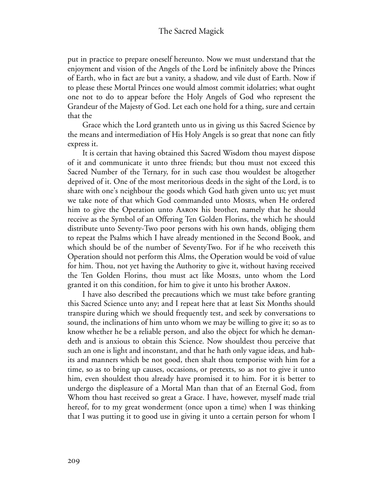put in practice to prepare oneself hereunto. Now we must understand that the enjoyment and vision of the Angels of the Lord be infinitely above the Princes of Earth, who in fact are but a vanity, a shadow, and vile dust of Earth. Now if to please these Mortal Princes one would almost commit idolatries; what ought one not to do to appear before the Holy Angels of God who represent the Grandeur of the Majesty of God. Let each one hold for a thing, sure and certain that the

Grace which the Lord granteth unto us in giving us this Sacred Science by the means and intermediation of His Holy Angels is so great that none can fitly express it.

It is certain that having obtained this Sacred Wisdom thou mayest dispose of it and communicate it unto three friends; but thou must not exceed this Sacred Number of the Ternary, for in such case thou wouldest be altogether deprived of it. One of the most meritorious deeds in the sight of the Lord, is to share with one's neighbour the goods which God hath given unto us; yet must we take note of that which God commanded unto Moses, when He ordered him to give the Operation unto Aaron his brother, namely that he should receive as the Symbol of an Offering Ten Golden Florins, the which he should distribute unto Seventy-Two poor persons with his own hands, obliging them to repeat the Psalms which I have already mentioned in the Second Book, and which should be of the number of SeventyTwo. For if he who receiveth this Operation should not perform this Alms, the Operation would be void of value for him. Thou, not yet having the Authority to give it, without having received the Ten Golden Florins, thou must act like Moses, unto whom the Lord granted it on this condition, for him to give it unto his brother Aaron.

I have also described the precautions which we must take before granting this Sacred Science unto any; and I repeat here that at least Six Months should transpire during which we should frequently test, and seek by conversations to sound, the inclinations of him unto whom we may be willing to give it; so as to know whether he be a reliable person, and also the object for which he demandeth and is anxious to obtain this Science. Now shouldest thou perceive that such an one is light and inconstant, and that he hath only vague ideas, and habits and manners which be not good, then shalt thou temporise with him for a time, so as to bring up causes, occasions, or pretexts, so as not to give it unto him, even shouldest thou already have promised it to him. For it is better to undergo the displeasure of a Mortal Man than that of an Eternal God, from Whom thou hast received so great a Grace. I have, however, myself made trial hereof, for to my great wonderment (once upon a time) when I was thinking that I was putting it to good use in giving it unto a certain person for whom I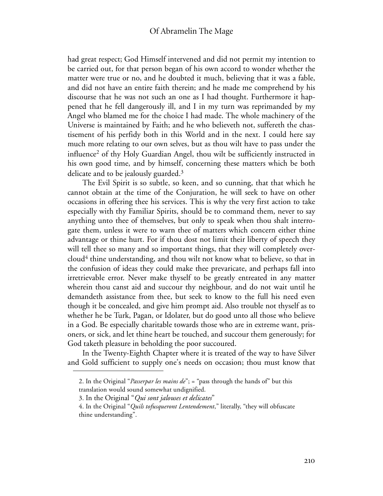had great respect; God Himself intervened and did not permit my intention to be carried out, for that person began of his own accord to wonder whether the matter were true or no, and he doubted it much, believing that it was a fable, and did not have an entire faith therein; and he made me comprehend by his discourse that he was not such an one as I had thought. Furthermore it happened that he fell dangerously ill, and I in my turn was reprimanded by my Angel who blamed me for the choice I had made. The whole machinery of the Universe is maintained by Faith; and he who believeth not, suffereth the chastisement of his perfidy both in this World and in the next. I could here say much more relating to our own selves, but as thou wilt have to pass under the influence2 of thy Holy Guardian Angel, thou wilt be sufficiently instructed in his own good time, and by himself, concerning these matters which be both delicate and to be jealously guarded.<sup>3</sup>

The Evil Spirit is so subtle, so keen, and so cunning, that that which he cannot obtain at the time of the Conjuration, he will seek to have on other occasions in offering thee his services. This is why the very first action to take especially with thy Familiar Spirits, should be to command them, never to say anything unto thee of themselves, but only to speak when thou shalt interrogate them, unless it were to warn thee of matters which concern either thine advantage or thine hurt. For if thou dost not limit their liberty of speech they will tell thee so many and so important things, that they will completely over $cloud<sup>4</sup>$  thine understanding, and thou wilt not know what to believe, so that in the confusion of ideas they could make thee prevaricate, and perhaps fall into irretrievable error. Never make thyself to be greatly entreated in any matter wherein thou canst aid and succour thy neighbour, and do not wait until he demandeth assistance from thee, but seek to know to the full his need even though it be concealed, and give him prompt aid. Also trouble not thyself as to whether he be Turk, Pagan, or Idolater, but do good unto all those who believe in a God. Be especially charitable towards those who are in extreme want, prisoners, or sick, and let thine heart be touched, and succour them generously; for God taketh pleasure in beholding the poor succoured.

In the Twenty-Eighth Chapter where it is treated of the way to have Silver and Gold sufficient to supply one's needs on occasion; thou must know that

<sup>2.</sup> In the Original "*Passerpar les mains de*"; = "pass through the hands of" but this translation would sound somewhat undignified.

<sup>3.</sup> In the Original "*Qui sont jalouses et delicates*"

<sup>4.</sup> In the Original "*Quils tofusqueront Lentendement*," literally, "they will obfuscate thine understanding".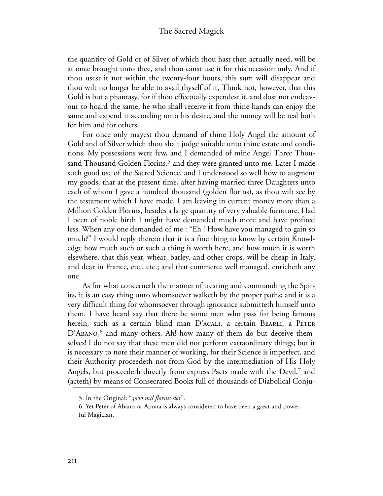the quantity of Gold or of Silver of which thou hast then actually need, will be at once brought unto thee, and thou canst use it for this occasion only. And if thou usest it not within the twenty-four hours, this sum will disappear and thou wilt no longer be able to avail thyself of it, Think not, however, that this Gold is but a phantasy, for if thou effectually expendest it, and dost not endeavour to hoard the same, he who shall receive it from thine hands can enjoy the same and expend it according unto his desire, and the money will be real both for him and for others.

For once only mayest thou demand of thine Holy Angel the amount of Gold and of Silver which thou shalt judge suitable unto thine estate and conditions. My possessions were few, and I demanded of mine Angel Three Thousand Thousand Golden Florins,<sup>5</sup> and they were granted unto me. Later I made such good use of the Sacred Science, and I understood so well how to augment my goods, that at the present time, after having married three Daughters unto each of whom I gave a hundred thousand (golden florins), as thou wilt see by the testament which I have made, I am leaving in current money more than a Million Golden Florins, besides a large quantity of very valuable furniture. Had I been of noble birth I might have demanded much more and have profited less. When any one demanded of me : "Eh ! How have you managed to gain so much?" I would reply thereto that it is a fine thing to know by certain Knowledge how much such or such a thing is worth here, and how much it is worth elsewhere, that this year, wheat, barley, and other crops, will be cheap in Italy, and dear in France, etc., etc.; and that commerce well managed, enricheth any one.

As for what concerneth the manner of treating and commanding the Spirits, it is an easy thing unto whomsoever walketh by the proper paths; and it is a very difficult thing for whomsoever through ignorance submitteth himself unto them. I have heard say that there be some men who pass for being famous herein, such as a certain blind man D'ACALI, a certain BEARLI, a PETER D'Abano,<sup>6</sup> and many others. Ah! how many of them do but deceive themselves! I do not say that these men did not perform extraordinary things; but it is necessary to note their manner of working, for their Science is imperfect, and their Authority proceedeth not from God by the intermediation of His Holy Angels, but proceedeth directly from express Pacts made with the Devil,<sup>7</sup> and (acteth) by means of Consecrated Books full of thousands of Diabolical Conju-

<sup>5.</sup> In the Original: " *mil florins dor*".

<sup>6.</sup> Yet Peter of Abano or Apona is always considered to have been a great and powerful Magician.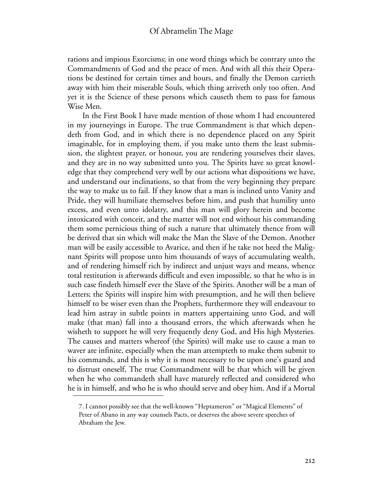rations and impious Exorcisms; in one word things which be contrary unto the Commandments of God and the peace of men. And with all this their Operations be destined for certain times and hours, and finally the Demon carrieth away with him their miserable Souls, which thing arriveth only too often. And yet it is the Science of these persons which causeth them to pass for famous Wise Men.

In the First Book I have made mention of those whom I had encountered in my journeyings in Europe. The true Commandment is that which dependeth from God, and in which there is no dependence placed on any Spirit imaginable, for in employing them, if you make unto them the least submission, the slightest prayer, or honour, you are rendering yourselves their slaves, and they are in no way submitted unto you. The Spirits have so great knowledge that they comprehend very well by our actions what dispositions we have, and understand our inclinations, so that from the very beginning they prepare the way to make us to fail. If they know that a man is inclined unto Vanity and Pride, they will humiliate themselves before him, and push that humility unto excess, and even unto idolatry, and this man will glory herein and become intoxicated with conceit, and the matter will not end without his commanding them some pernicious thing of such a nature that ultimately thence from will be derived that sin which will make the Man the Slave of the Demon. Another man will be easily accessible to Avarice, and then if he take not heed the Malignant Spirits will propose unto him thousands of ways of accumulating wealth, and of rendering himself rich by indirect and unjust ways and means, whence total restitution is afterwards difficult and even impossible, so that he who is in such case findeth himself ever the Slave of the Spirits. Another will be a man of Letters; the Spirits will inspire him with presumption, and he will then believe himself to be wiser even than the Prophets, furthermore they will endeavour to lead him astray in subtle points in matters appertaining unto God, and will make (that man) fall into a thousand errors, the which afterwards when he wisheth to support he will very frequently deny God, and His high Mysteries. The causes and matters whereof (the Spirits) will make use to cause a man to waver are infinite, especially when the man attempteth to make them submit to his commands, and this is why it is most necessary to be upon one's guard and to distrust oneself, The true Commandment will be that which will be given when he who commandeth shall have maturely reflected and considered who he is in himself, and who he is who should serve and obey him. And if a Mortal

<sup>7.</sup> I cannot possibly see that the well-known "Heptameron" or "Magical Elements" of Peter of Abano in any way counsels Pacts, or deserves the above severe speeches of Abraham the Jew.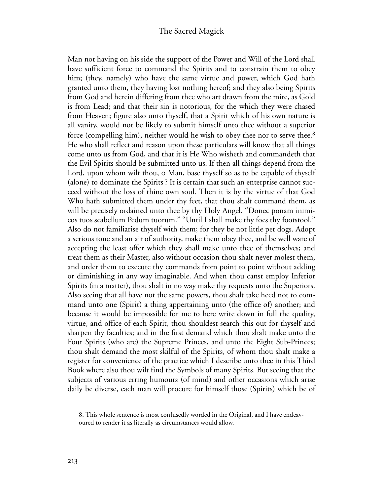Man not having on his side the support of the Power and Will of the Lord shall have sufficient force to command the Spirits and to constrain them to obey him; (they, namely) who have the same virtue and power, which God hath granted unto them, they having lost nothing hereof; and they also being Spirits from God and herein differing from thee who art drawn from the mire, as Gold is from Lead; and that their sin is notorious, for the which they were chased from Heaven; figure also unto thyself, that a Spirit which of his own nature is all vanity, would not be likely to submit himself unto thee without a superior force (compelling him), neither would he wish to obey thee nor to serve thee.<sup>8</sup> He who shall reflect and reason upon these particulars will know that all things come unto us from God, and that it is He Who wisheth and commandeth that the Evil Spirits should be submitted unto us. If then all things depend from the Lord, upon whom wilt thou, o Man, base thyself so as to be capable of thyself (alone) to dominate the Spirits ? It is certain that such an enterprise cannot succeed without the loss of thine own soul. Then it is by the virtue of that God Who hath submitted them under thy feet, that thou shalt command them, as will be precisely ordained unto thee by thy Holy Angel. "Donec ponam inimicos tuos scabellum Pedum tuorum." "Until I shall make thy foes thy footstool." Also do not familiarise thyself with them; for they be not little pet dogs. Adopt a serious tone and an air of authority, make them obey thee, and be well ware of accepting the least offer which they shall make unto thee of themselves; and treat them as their Master, also without occasion thou shalt never molest them, and order them to execute thy commands from point to point without adding or diminishing in any way imaginable. And when thou canst employ Inferior Spirits (in a matter), thou shalt in no way make thy requests unto the Superiors. Also seeing that all have not the same powers, thou shalt take heed not to command unto one (Spirit) a thing appertaining unto (the office of) another; and because it would be impossible for me to here write down in full the quality, virtue, and office of each Spirit, thou shouldest search this out for thyself and sharpen thy faculties; and in the first demand which thou shalt make unto the Four Spirits (who are) the Supreme Princes, and unto the Eight Sub-Princes; thou shalt demand the most skilful of the Spirits, of whom thou shalt make a register for convenience of the practice which I describe unto thee in this Third Book where also thou wilt find the Symbols of many Spirits. But seeing that the subjects of various erring humours (of mind) and other occasions which arise daily be diverse, each man will procure for himself those (Spirits) which be of

<sup>8.</sup> This whole sentence is most confusedly worded in the Original, and I have endeavoured to render it as literally as circumstances would allow.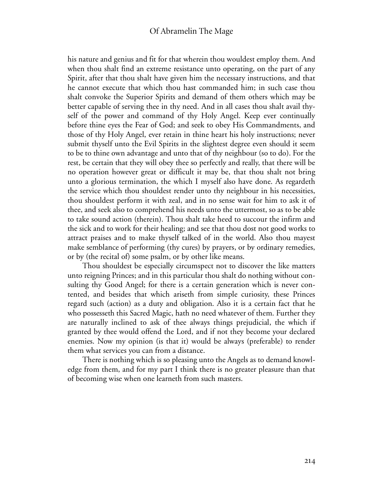his nature and genius and fit for that wherein thou wouldest employ them. And when thou shalt find an extreme resistance unto operating, on the part of any Spirit, after that thou shalt have given him the necessary instructions, and that he cannot execute that which thou hast commanded him; in such case thou shalt convoke the Superior Spirits and demand of them others which may be better capable of serving thee in thy need. And in all cases thou shalt avail thyself of the power and command of thy Holy Angel. Keep ever continually before thine eyes the Fear of God; and seek to obey His Commandments, and those of thy Holy Angel, ever retain in thine heart his holy instructions; never submit thyself unto the Evil Spirits in the slightest degree even should it seem to be to thine own advantage and unto that of thy neighbour (so to do). For the rest, be certain that they will obey thee so perfectly and really, that there will be no operation however great or difficult it may be, that thou shalt not bring unto a glorious termination, the which I myself also have done. As regardeth the service which thou shouldest render unto thy neighbour in his necessities, thou shouldest perform it with zeal, and in no sense wait for him to ask it of thee, and seek also to comprehend his needs unto the uttermost, so as to be able to take sound action (therein). Thou shalt take heed to succour the infirm and the sick and to work for their healing; and see that thou dost not good works to attract praises and to make thyself talked of in the world. Also thou mayest make semblance of performing (thy cures) by prayers, or by ordinary remedies, or by (the recital of) some psalm, or by other like means.

Thou shouldest be especially circumspect not to discover the like matters unto reigning Princes; and in this particular thou shalt do nothing without consulting thy Good Angel; for there is a certain generation which is never contented, and besides that which ariseth from simple curiosity, these Princes regard such (action) as a duty and obligation. Also it is a certain fact that he who possesseth this Sacred Magic, hath no need whatever of them. Further they are naturally inclined to ask of thee always things prejudicial, the which if granted by thee would offend the Lord, and if not they become your declared enemies. Now my opinion (is that it) would be always (preferable) to render them what services you can from a distance.

There is nothing which is so pleasing unto the Angels as to demand knowledge from them, and for my part I think there is no greater pleasure than that of becoming wise when one learneth from such masters.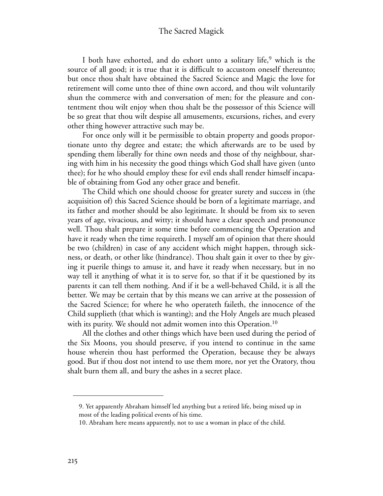I both have exhorted, and do exhort unto a solitary life,<sup>9</sup> which is the source of all good; it is true that it is difficult to accustom oneself thereunto; but once thou shalt have obtained the Sacred Science and Magic the love for retirement will come unto thee of thine own accord, and thou wilt voluntarily shun the commerce with and conversation of men; for the pleasure and contentment thou wilt enjoy when thou shalt be the possessor of this Science will be so great that thou wilt despise all amusements, excursions, riches, and every other thing however attractive such may be.

For once only will it be permissible to obtain property and goods proportionate unto thy degree and estate; the which afterwards are to be used by spending them liberally for thine own needs and those of thy neighbour, sharing with him in his necessity the good things which God shall have given (unto thee); for he who should employ these for evil ends shall render himself incapable of obtaining from God any other grace and benefit.

The Child which one should choose for greater surety and success in (the acquisition of) this Sacred Science should be born of a legitimate marriage, and its father and mother should be also legitimate. It should be from six to seven years of age, vivacious, and witty; it should have a clear speech and pronounce well. Thou shalt prepare it some time before commencing the Operation and have it ready when the time requireth. I myself am of opinion that there should be two (children) in case of any accident which might happen, through sickness, or death, or other like (hindrance). Thou shalt gain it over to thee by giving it puerile things to amuse it, and have it ready when necessary, but in no way tell it anything of what it is to serve for, so that if it be questioned by its parents it can tell them nothing. And if it be a well-behaved Child, it is all the better. We may be certain that by this means we can arrive at the possession of the Sacred Science; for where he who operateth faileth, the innocence of the Child supplieth (that which is wanting); and the Holy Angels are much pleased with its purity. We should not admit women into this Operation.<sup>10</sup>

All the clothes and other things which have been used during the period of the Six Moons, you should preserve, if you intend to continue in the same house wherein thou hast performed the Operation, because they be always good. But if thou dost not intend to use them more, nor yet the Oratory, thou shalt burn them all, and bury the ashes in a secret place.

<sup>9.</sup> Yet apparently Abraham himself led anything but a retired life, being mixed up in most of the leading political events of his time.

<sup>10.</sup> Abraham here means apparently, not to use a woman in place of the child.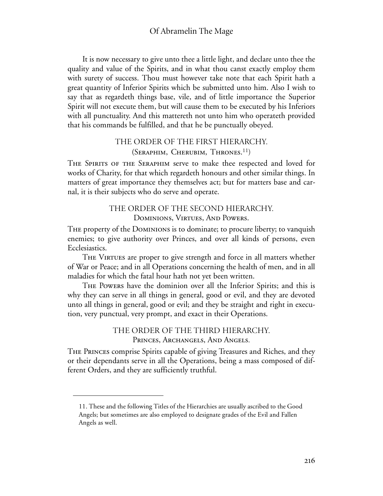It is now necessary to give unto thee a little light, and declare unto thee the quality and value of the Spirits, and in what thou canst exactly employ them with surety of success. Thou must however take note that each Spirit hath a great quantity of Inferior Spirits which be submitted unto him. Also I wish to say that as regardeth things base, vile, and of little importance the Superior Spirit will not execute them, but will cause them to be executed by his Inferiors with all punctuality. And this mattereth not unto him who operateth provided that his commands be fulfilled, and that he be punctually obeyed.

## THE ORDER OF THE FIRST HIERARCHY. (Seraphim, Cherubim, Thrones.11)

THE SPIRITS OF THE SERAPHIM serve to make thee respected and loved for works of Charity, for that which regardeth honours and other similar things. In matters of great importance they themselves act; but for matters base and carnal, it is their subjects who do serve and operate.

#### THE ORDER OF THE SECOND HIERARCHY. Dominions, Virtues, And Powers.

The property of the Dominions is to dominate; to procure liberty; to vanquish enemies; to give authority over Princes, and over all kinds of persons, even Ecclesiastics.

THE VIRTUES are proper to give strength and force in all matters whether of War or Peace; and in all Operations concerning the health of men, and in all maladies for which the fatal hour hath not yet been written.

The Powers have the dominion over all the Inferior Spirits; and this is why they can serve in all things in general, good or evil, and they are devoted unto all things in general, good or evil; and they be straight and right in execution, very punctual, very prompt, and exact in their Operations.

## THE ORDER OF THE THIRD HIERARCHY. PRINCES, ARCHANGELS, AND ANGELS.

The Princes comprise Spirits capable of giving Treasures and Riches, and they or their dependants serve in all the Operations, being a mass composed of different Orders, and they are sufficiently truthful.

<sup>11.</sup> These and the following Titles of the Hierarchies are usually ascribed to the Good Angels; but sometimes are also employed to designate grades of the Evil and Fallen Angels as well.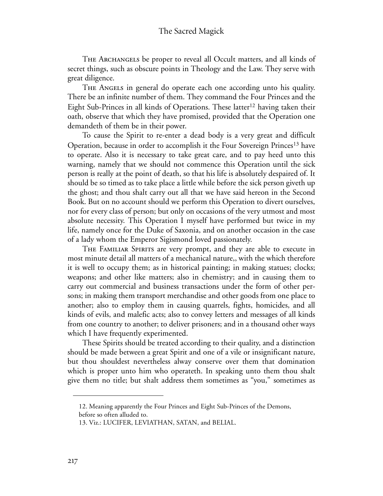THE ARCHANGELS be proper to reveal all Occult matters, and all kinds of secret things, such as obscure points in Theology and the Law. They serve with great diligence.

THE ANGELS in general do operate each one according unto his quality. There be an infinite number of them. They command the Four Princes and the Eight Sub-Princes in all kinds of Operations. These latter<sup>12</sup> having taken their oath, observe that which they have promised, provided that the Operation one demandeth of them be in their power.

To cause the Spirit to re-enter a dead body is a very great and difficult Operation, because in order to accomplish it the Four Sovereign Princes<sup>13</sup> have to operate. Also it is necessary to take great care, and to pay heed unto this warning, namely that we should not commence this Operation until the sick person is really at the point of death, so that his life is absolutely despaired of. It should be so timed as to take place a little while before the sick person giveth up the ghost; and thou shalt carry out all that we have said hereon in the Second Book. But on no account should we perform this Operation to divert ourselves, nor for every class of person; but only on occasions of the very utmost and most absolute necessity. This Operation I myself have performed but twice in my life, namely once for the Duke of Saxonia, and on another occasion in the case of a lady whom the Emperor Sigismond loved passionately.

The Familiar Spirits are very prompt, and they are able to execute in most minute detail all matters of a mechanical nature,, with the which therefore it is well to occupy them; as in historical painting; in making statues; clocks; weapons; and other like matters; also in chemistry; and in causing them to carry out commercial and business transactions under the form of other persons; in making them transport merchandise and other goods from one place to another; also to employ them in causing quarrels, fights, homicides, and all kinds of evils, and malefic acts; also to convey letters and messages of all kinds from one country to another; to deliver prisoners; and in a thousand other ways which I have frequently experimented.

These Spirits should be treated according to their quality, and a distinction should be made between a great Spirit and one of a vile or insignificant nature, but thou shouldest nevertheless alway conserve over them that domination which is proper unto him who operateth. In speaking unto them thou shalt give them no title; but shalt address them sometimes as "you," sometimes as

<sup>12.</sup> Meaning apparently the Four Princes and Eight Sub-Princes of the Demons,

before so often alluded to.

<sup>13.</sup> Viz.: LUCIFER, LEVIATHAN, SATAN, and BELIAL.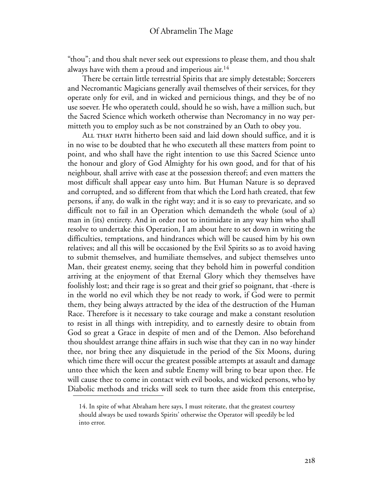"thou"; and thou shalt never seek out expressions to please them, and thou shalt always have with them a proud and imperious air.<sup>14</sup>

There be certain little terrestrial Spirits that are simply detestable; Sorcerers and Necromantic Magicians generally avail themselves of their services, for they operate only for evil, and in wicked and pernicious things, and they be of no use soever. He who operateth could, should he so wish, have a million such, but the Sacred Science which worketh otherwise than Necromancy in no way permitteth you to employ such as be not constrained by an Oath to obey you.

ALL THAT HATH hitherto been said and laid down should suffice, and it is in no wise to be doubted that he who executeth all these matters from point to point, and who shall have the right intention to use this Sacred Science unto the honour and glory of God Almighty for his own good, and for that of his neighbour, shall arrive with ease at the possession thereof; and even matters the most difficult shall appear easy unto him. But Human Nature is so depraved and corrupted, and so different from that which the Lord hath created, that few persons, if any, do walk in the right way; and it is so easy to prevaricate, and so difficult not to fail in an Operation which demandeth the whole (soul of a) man in (its) entirety. And in order not to intimidate in any way him who shall resolve to undertake this Operation, I am about here to set down in writing the difficulties, temptations, and hindrances which will be caused him by his own relatives; and all this will be occasioned by the Evil Spirits so as to avoid having to submit themselves, and humiliate themselves, and subject themselves unto Man, their greatest enemy, seeing that they behold him in powerful condition arriving at the enjoyment of that Eternal Glory which they themselves have foolishly lost; and their rage is so great and their grief so poignant, that -there is in the world no evil which they be not ready to work, if God were to permit them, they being always attracted by the idea of the destruction of the Human Race. Therefore is it necessary to take courage and make a constant resolution to resist in all things with intrepidity, and to earnestly desire to obtain from God so great a Grace in despite of men and of the Demon. Also beforehand thou shouldest arrange thine affairs in such wise that they can in no way hinder thee, nor bring thee any disquietude in the period of the Six Moons, during which time there will occur the greatest possible attempts at assault and damage unto thee which the keen and subtle Enemy will bring to bear upon thee. He will cause thee to come in contact with evil books, and wicked persons, who by Diabolic methods and tricks will seek to turn thee aside from this enterprise,

<sup>14.</sup> In spite of what Abraham here says, I must reiterate, that the greatest courtesy should always be used towards Spirits' otherwise the Operator will speedily be led into error.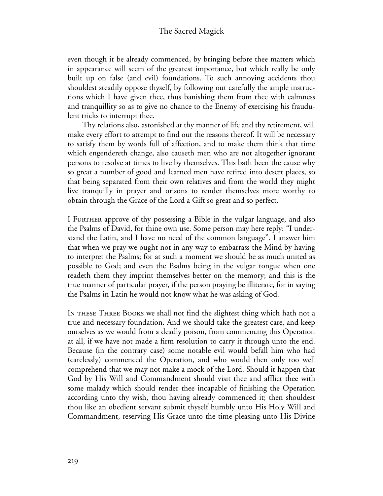even though it be already commenced, by bringing before thee matters which in appearance will seem of the greatest importance, but which really be only built up on false (and evil) foundations. To such annoying accidents thou shouldest steadily oppose thyself, by following out carefully the ample instructions which I have given thee, thus banishing them from thee with calmness and tranquillity so as to give no chance to the Enemy of exercising his fraudulent tricks to interrupt thee.

Thy relations also, astonished at thy manner of life and thy retirement, will make every effort to attempt to find out the reasons thereof. It will be necessary to satisfy them by words full of affection, and to make them think that time which engendereth change, also causeth men who are not altogether ignorant persons to resolve at times to live by themselves. This bath been the cause why so great a number of good and learned men have retired into desert places, so that being separated from their own relatives and from the world they might live tranquilly in prayer and orisons to render themselves more worthy to obtain through the Grace of the Lord a Gift so great and so perfect.

I FURTHER approve of thy possessing a Bible in the vulgar language, and also the Psalms of David, for thine own use. Some person may here reply: "I understand the Latin, and I have no need of the common language". I answer him that when we pray we ought not in any way to embarrass the Mind by having to interpret the Psalms; for at such a moment we should be as much united as possible to God; and even the Psalms being in the vulgar tongue when one readeth them they imprint themselves better on the memory; and this is the true manner of particular prayer, if the person praying be illiterate, for in saying the Psalms in Latin he would not know what he was asking of God.

In these Three Books we shall not find the slightest thing which hath not a true and necessary foundation. And we should take the greatest care, and keep ourselves as we would from a deadly poison, from commencing this Operation at all, if we have not made a firm resolution to carry it through unto the end. Because (in the contrary case) some notable evil would befall him who had (carelessly) commenced the Operation, and who would then only too well comprehend that we may not make a mock of the Lord. Should it happen that God by His Will and Commandment should visit thee and afflict thee with some malady which should render thee incapable of finishing the Operation according unto thy wish, thou having already commenced it; then shouldest thou like an obedient servant submit thyself humbly unto His Holy Will and Commandment, reserving His Grace unto the time pleasing unto His Divine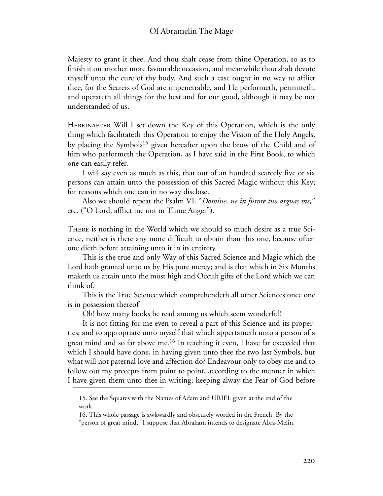Majesty to grant it thee. And thou shalt cease from thine Operation, so as to finish it on another more favourable occasion, and meanwhile thou shalt devote thyself unto the cure of thy body. And such a case ought in no way to afflict thee, for the Secrets of God are impenetrable, and He performeth, permitteth, and operateth all things for the best and for our good, although it may be not understanded of us.

HEREINAFTER Will I set down the Key of this Operation, which is the only thing which facilitateth this Operation to enjoy the Vision of the Holy Angels, by placing the Symbols<sup>15</sup> given hereafter upon the brow of the Child and of him who performeth the Operation, as I have said in the First Book, to which one can easily refer.

I will say even as much as this, that out of an hundred scarcely five or six persons can attain unto the possession of this Sacred Magic without this Key; for reasons which one can in no way disclose.

Also we should repeat the Psalm VI. "*Domine, ne in furore tuo arguas me,*" etc. ("O Lord, afflict me not in Thine Anger").

There is nothing in the World which we should so much desire as a true Science, neither is there any more difficult to obtain than this one, because often one dieth before attaining unto it in its entirety.

This is the true and only Way of this Sacred Science and Magic which the Lord hath granted unto us by His pure mercy; and is that which in Six Months maketh us attain unto the most high and Occult gifts of the Lord which we can think of.

This is the True Science which comprehendeth all other Sciences once one is in possession thereof

Oh! how many books be read among us which seem wonderful!

It is not fitting for me even to reveal a part of this Science and its properties; and to appropriate unto myself that which appertaineth unto a person of a great mind and so far above me.<sup>16</sup> In teaching it even, I have far exceeded that which I should have done, in having given unto thee the two last Symbols, but what will not paternal love and affection do? Endeavour only to obey me and to follow out my precepts from point to point, according to the manner in which I have given them unto thee in writing; keeping alway the Fear of God before

<sup>15.</sup> See the Squares with the Names of Adam and URIEL given at the end of the work.

<sup>16.</sup> This whole passage is awkwardly and obscurely worded in the French. By the "person of great mind," I suppose that Abraham intends to designate Abra-Melin.